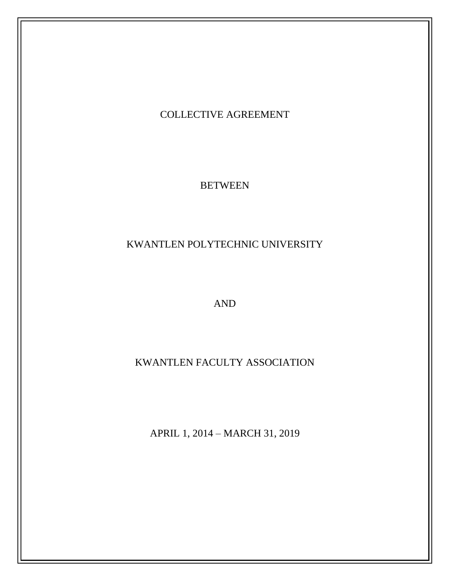# COLLECTIVE AGREEMENT

**BETWEEN** 

KWANTLEN POLYTECHNIC UNIVERSITY

AND

KWANTLEN FACULTY ASSOCIATION

APRIL 1, 2014 – MARCH 31, 2019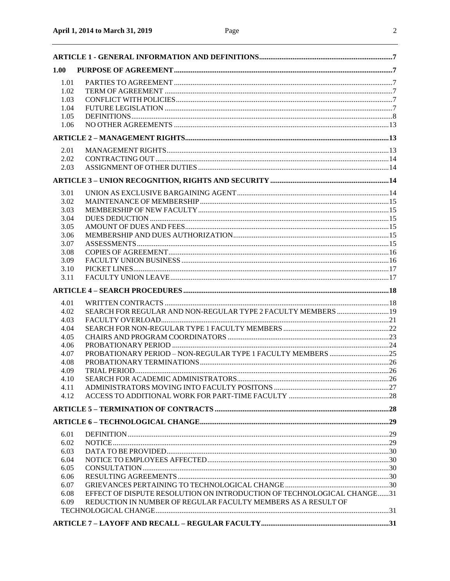| 1.00         |                                                                        |  |
|--------------|------------------------------------------------------------------------|--|
| 1.01         |                                                                        |  |
| 1.02         |                                                                        |  |
| 1.03         |                                                                        |  |
| 1.04         |                                                                        |  |
| 1.05         |                                                                        |  |
| 1.06         |                                                                        |  |
|              |                                                                        |  |
|              |                                                                        |  |
| 2.01         |                                                                        |  |
| 2.02<br>2.03 |                                                                        |  |
|              |                                                                        |  |
|              |                                                                        |  |
| 3.01         |                                                                        |  |
| 3.02         |                                                                        |  |
| 3.03         |                                                                        |  |
| 3.04         |                                                                        |  |
| 3.05         |                                                                        |  |
| 3.06         |                                                                        |  |
| 3.07         |                                                                        |  |
| 3.08         |                                                                        |  |
| 3.09         |                                                                        |  |
| 3.10         |                                                                        |  |
| 3.11         |                                                                        |  |
|              |                                                                        |  |
| 4.01         |                                                                        |  |
| 4.02         | SEARCH FOR REGULAR AND NON-REGULAR TYPE 2 FACULTY MEMBERS  19          |  |
| 4.03         |                                                                        |  |
| 4.04         |                                                                        |  |
| 4.05         |                                                                        |  |
| 4.06         |                                                                        |  |
| 4.07         |                                                                        |  |
| 4.08         |                                                                        |  |
| 4.09         |                                                                        |  |
| 4.10         |                                                                        |  |
| 4.11         |                                                                        |  |
| 4.12         |                                                                        |  |
|              |                                                                        |  |
|              |                                                                        |  |
| 6.01         |                                                                        |  |
| 6.02         |                                                                        |  |
| 6.03         |                                                                        |  |
| 6.04         |                                                                        |  |
| 6.05         |                                                                        |  |
| 6.06         |                                                                        |  |
| 6.07         |                                                                        |  |
| 6.08         | EFFECT OF DISPUTE RESOLUTION ON INTRODUCTION OF TECHNOLOGICAL CHANGE31 |  |
| 6.09         | REDUCTION IN NUMBER OF REGULAR FACULTY MEMBERS AS A RESULT OF          |  |
|              |                                                                        |  |
|              |                                                                        |  |
|              |                                                                        |  |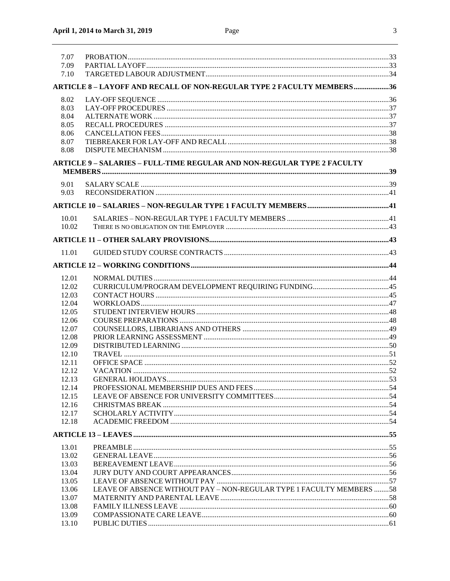| 7.07  |                                                                                |  |
|-------|--------------------------------------------------------------------------------|--|
| 7.09  |                                                                                |  |
| 7.10  |                                                                                |  |
|       | ARTICLE 8-LAYOFF AND RECALL OF NON-REGULAR TYPE 2 FACULTY MEMBERS36            |  |
|       |                                                                                |  |
| 8.02  |                                                                                |  |
| 8.03  |                                                                                |  |
| 8.04  |                                                                                |  |
| 8.05  |                                                                                |  |
| 8.06  |                                                                                |  |
| 8.07  |                                                                                |  |
| 8.08  |                                                                                |  |
|       | <b>ARTICLE 9 - SALARIES - FULL-TIME REGULAR AND NON-REGULAR TYPE 2 FACULTY</b> |  |
|       |                                                                                |  |
|       |                                                                                |  |
| 9.01  |                                                                                |  |
| 9.03  |                                                                                |  |
|       |                                                                                |  |
|       |                                                                                |  |
| 10.01 |                                                                                |  |
| 10.02 |                                                                                |  |
|       |                                                                                |  |
|       |                                                                                |  |
| 11.01 |                                                                                |  |
|       |                                                                                |  |
| 12.01 |                                                                                |  |
| 12.02 |                                                                                |  |
|       |                                                                                |  |
| 12.03 |                                                                                |  |
| 12.04 |                                                                                |  |
| 12.05 |                                                                                |  |
| 12.06 |                                                                                |  |
| 12.07 |                                                                                |  |
| 12.08 |                                                                                |  |
| 12.09 |                                                                                |  |
| 12.10 |                                                                                |  |
| 12.11 |                                                                                |  |
| 12.12 |                                                                                |  |
|       |                                                                                |  |
| 12.13 |                                                                                |  |
| 12.14 |                                                                                |  |
| 12.15 |                                                                                |  |
| 12.16 |                                                                                |  |
| 12.17 |                                                                                |  |
| 12.18 |                                                                                |  |
|       |                                                                                |  |
|       |                                                                                |  |
| 13.01 |                                                                                |  |
| 13.02 |                                                                                |  |
| 13.03 |                                                                                |  |
| 13.04 |                                                                                |  |
| 13.05 |                                                                                |  |
| 13.06 | LEAVE OF ABSENCE WITHOUT PAY - NON-REGULAR TYPE 1 FACULTY MEMBERS 58           |  |
| 13.07 |                                                                                |  |
| 13.08 |                                                                                |  |
| 13.09 |                                                                                |  |
| 13.10 |                                                                                |  |
|       |                                                                                |  |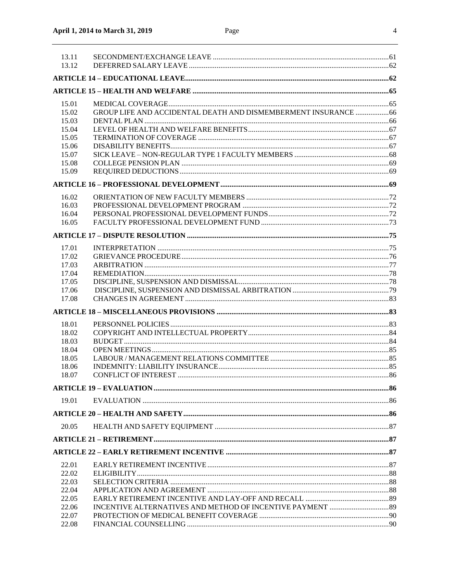| 13.11<br>13.12 |                                                                 |  |
|----------------|-----------------------------------------------------------------|--|
|                |                                                                 |  |
|                |                                                                 |  |
| 15.01          |                                                                 |  |
| 15.02          | GROUP LIFE AND ACCIDENTAL DEATH AND DISMEMBERMENT INSURANCE  66 |  |
| 15.03          |                                                                 |  |
| 15.04          |                                                                 |  |
| 15.05          |                                                                 |  |
| 15.06          |                                                                 |  |
| 15.07          |                                                                 |  |
| 15.08          |                                                                 |  |
| 15.09          |                                                                 |  |
|                |                                                                 |  |
| 16.02          |                                                                 |  |
| 16.03          |                                                                 |  |
| 16.04          |                                                                 |  |
| 16.05          |                                                                 |  |
|                |                                                                 |  |
| 17.01          |                                                                 |  |
| 17.02          |                                                                 |  |
| 17.03          |                                                                 |  |
| 17.04          |                                                                 |  |
| 17.05          |                                                                 |  |
| 17.06          |                                                                 |  |
| 17.08          |                                                                 |  |
|                |                                                                 |  |
| 18.01          |                                                                 |  |
| 18.02          |                                                                 |  |
| 18.03          |                                                                 |  |
| 18.04          |                                                                 |  |
| 18.05          |                                                                 |  |
| 18.06          |                                                                 |  |
| 18.07          |                                                                 |  |
|                |                                                                 |  |
| 19.01          |                                                                 |  |
|                |                                                                 |  |
| 20.05          |                                                                 |  |
|                |                                                                 |  |
|                |                                                                 |  |
| 22.01          |                                                                 |  |
| 22.02          |                                                                 |  |
| 22.03          |                                                                 |  |
| 22.04          |                                                                 |  |
| 22.05          |                                                                 |  |
| 22.06          |                                                                 |  |
| 22.07          |                                                                 |  |
| 22.08          |                                                                 |  |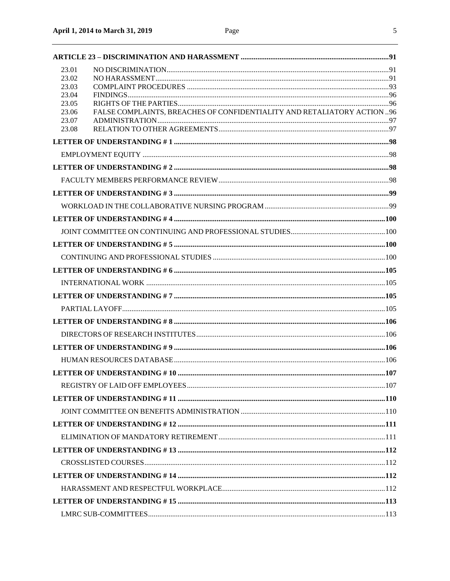| 23.01                                                                            |  |
|----------------------------------------------------------------------------------|--|
| 23.02                                                                            |  |
| 23.03<br>23.04                                                                   |  |
| 23.05                                                                            |  |
| FALSE COMPLAINTS, BREACHES OF CONFIDENTIALITY AND RETALIATORY ACTION 96<br>23.06 |  |
| 23.07<br>23.08                                                                   |  |
|                                                                                  |  |
|                                                                                  |  |
|                                                                                  |  |
|                                                                                  |  |
|                                                                                  |  |
|                                                                                  |  |
|                                                                                  |  |
|                                                                                  |  |
|                                                                                  |  |
|                                                                                  |  |
|                                                                                  |  |
|                                                                                  |  |
|                                                                                  |  |
|                                                                                  |  |
|                                                                                  |  |
|                                                                                  |  |
|                                                                                  |  |
|                                                                                  |  |
|                                                                                  |  |
|                                                                                  |  |
|                                                                                  |  |
|                                                                                  |  |
|                                                                                  |  |
|                                                                                  |  |
|                                                                                  |  |
|                                                                                  |  |
|                                                                                  |  |
|                                                                                  |  |
|                                                                                  |  |
|                                                                                  |  |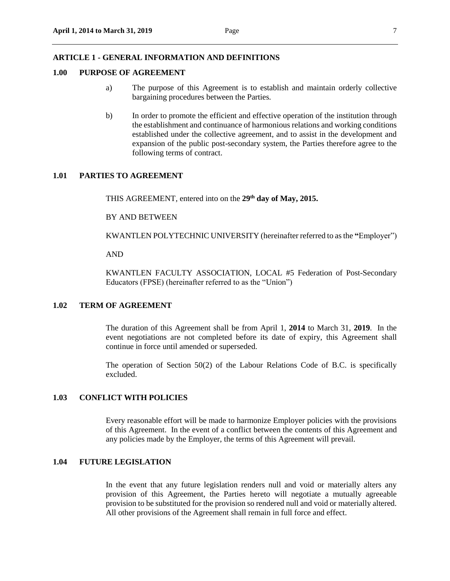#### <span id="page-6-0"></span>**ARTICLE 1 - GENERAL INFORMATION AND DEFINITIONS**

# <span id="page-6-1"></span>**1.00 PURPOSE OF AGREEMENT**

- a) The purpose of this Agreement is to establish and maintain orderly collective bargaining procedures between the Parties.
- b) In order to promote the efficient and effective operation of the institution through the establishment and continuance of harmonious relations and working conditions established under the collective agreement, and to assist in the development and expansion of the public post-secondary system, the Parties therefore agree to the following terms of contract.

#### <span id="page-6-2"></span>**1.01 PARTIES TO AGREEMENT**

THIS AGREEMENT, entered into on the **29 th day of May, 2015.**

BY AND BETWEEN

KWANTLEN POLYTECHNIC UNIVERSITY (hereinafter referred to as the **"**Employer")

AND

KWANTLEN FACULTY ASSOCIATION, LOCAL #5 Federation of Post-Secondary Educators (FPSE) (hereinafter referred to as the "Union")

#### <span id="page-6-3"></span>**1.02 TERM OF AGREEMENT**

The duration of this Agreement shall be from April 1, **2014** to March 31, **2019**. In the event negotiations are not completed before its date of expiry, this Agreement shall continue in force until amended or superseded.

The operation of Section 50(2) of the Labour Relations Code of B.C. is specifically excluded.

# <span id="page-6-4"></span>**1.03 CONFLICT WITH POLICIES**

Every reasonable effort will be made to harmonize Employer policies with the provisions of this Agreement. In the event of a conflict between the contents of this Agreement and any policies made by the Employer, the terms of this Agreement will prevail.

# <span id="page-6-5"></span>**1.04 FUTURE LEGISLATION**

In the event that any future legislation renders null and void or materially alters any provision of this Agreement, the Parties hereto will negotiate a mutually agreeable provision to be substituted for the provision so rendered null and void or materially altered. All other provisions of the Agreement shall remain in full force and effect.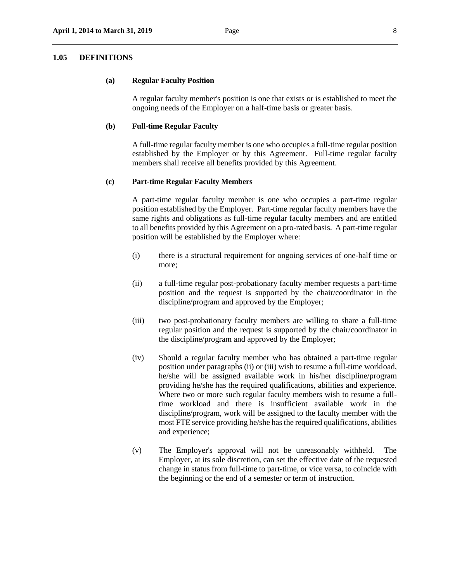#### <span id="page-7-0"></span>**1.05 DEFINITIONS**

#### **(a) Regular Faculty Position**

A regular faculty member's position is one that exists or is established to meet the ongoing needs of the Employer on a half-time basis or greater basis.

#### **(b) Full-time Regular Faculty**

A full-time regular faculty member is one who occupies a full-time regular position established by the Employer or by this Agreement. Full-time regular faculty members shall receive all benefits provided by this Agreement.

#### **(c) Part-time Regular Faculty Members**

A part-time regular faculty member is one who occupies a part-time regular position established by the Employer. Part-time regular faculty members have the same rights and obligations as full-time regular faculty members and are entitled to all benefits provided by this Agreement on a pro-rated basis. A part-time regular position will be established by the Employer where:

- (i) there is a structural requirement for ongoing services of one-half time or more;
- (ii) a full-time regular post-probationary faculty member requests a part-time position and the request is supported by the chair/coordinator in the discipline/program and approved by the Employer;
- (iii) two post-probationary faculty members are willing to share a full-time regular position and the request is supported by the chair/coordinator in the discipline/program and approved by the Employer;
- (iv) Should a regular faculty member who has obtained a part-time regular position under paragraphs (ii) or (iii) wish to resume a full-time workload, he/she will be assigned available work in his/her discipline/program providing he/she has the required qualifications, abilities and experience. Where two or more such regular faculty members wish to resume a fulltime workload and there is insufficient available work in the discipline/program, work will be assigned to the faculty member with the most FTE service providing he/she has the required qualifications, abilities and experience;
- (v) The Employer's approval will not be unreasonably withheld. The Employer, at its sole discretion, can set the effective date of the requested change in status from full-time to part-time, or vice versa, to coincide with the beginning or the end of a semester or term of instruction.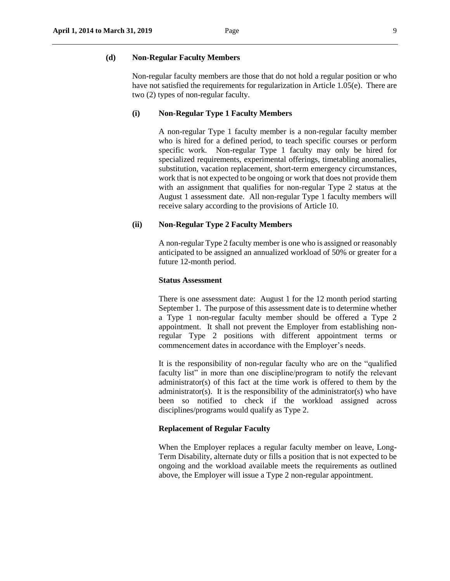#### **(d) Non-Regular Faculty Members**

Non-regular faculty members are those that do not hold a regular position or who have not satisfied the requirements for regularization in Article 1.05(e). There are two (2) types of non-regular faculty.

#### **(i) Non-Regular Type 1 Faculty Members**

A non-regular Type 1 faculty member is a non-regular faculty member who is hired for a defined period, to teach specific courses or perform specific work. Non-regular Type 1 faculty may only be hired for specialized requirements, experimental offerings, timetabling anomalies, substitution, vacation replacement, short-term emergency circumstances, work that is not expected to be ongoing or work that does not provide them with an assignment that qualifies for non-regular Type 2 status at the August 1 assessment date. All non-regular Type 1 faculty members will receive salary according to the provisions of Article 10.

#### **(ii) Non-Regular Type 2 Faculty Members**

A non-regular Type 2 faculty member is one who is assigned or reasonably anticipated to be assigned an annualized workload of 50% or greater for a future 12-month period.

#### **Status Assessment**

There is one assessment date: August 1 for the 12 month period starting September 1. The purpose of this assessment date is to determine whether a Type 1 non-regular faculty member should be offered a Type 2 appointment. It shall not prevent the Employer from establishing nonregular Type 2 positions with different appointment terms or commencement dates in accordance with the Employer's needs.

It is the responsibility of non-regular faculty who are on the "qualified faculty list" in more than one discipline/program to notify the relevant administrator(s) of this fact at the time work is offered to them by the administrator(s). It is the responsibility of the administrator(s) who have been so notified to check if the workload assigned across disciplines/programs would qualify as Type 2.

# **Replacement of Regular Faculty**

When the Employer replaces a regular faculty member on leave, Long-Term Disability, alternate duty or fills a position that is not expected to be ongoing and the workload available meets the requirements as outlined above, the Employer will issue a Type 2 non-regular appointment.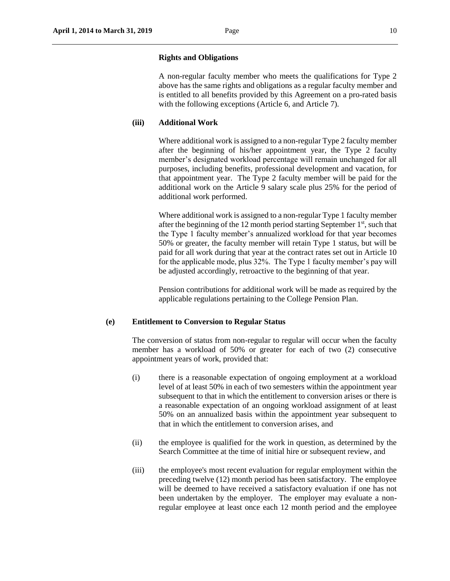#### **Rights and Obligations**

A non-regular faculty member who meets the qualifications for Type 2 above has the same rights and obligations as a regular faculty member and is entitled to all benefits provided by this Agreement on a pro-rated basis with the following exceptions (Article 6, and Article 7).

### **(iii) Additional Work**

Where additional work is assigned to a non-regular Type 2 faculty member after the beginning of his/her appointment year, the Type 2 faculty member's designated workload percentage will remain unchanged for all purposes, including benefits, professional development and vacation, for that appointment year. The Type 2 faculty member will be paid for the additional work on the Article 9 salary scale plus 25% for the period of additional work performed.

Where additional work is assigned to a non-regular Type 1 faculty member after the beginning of the 12 month period starting September  $1<sup>st</sup>$ , such that the Type 1 faculty member's annualized workload for that year becomes 50% or greater, the faculty member will retain Type 1 status, but will be paid for all work during that year at the contract rates set out in Article 10 for the applicable mode, plus 32%. The Type 1 faculty member's pay will be adjusted accordingly, retroactive to the beginning of that year.

Pension contributions for additional work will be made as required by the applicable regulations pertaining to the College Pension Plan.

#### **(e) Entitlement to Conversion to Regular Status**

The conversion of status from non-regular to regular will occur when the faculty member has a workload of 50% or greater for each of two (2) consecutive appointment years of work, provided that:

- (i) there is a reasonable expectation of ongoing employment at a workload level of at least 50% in each of two semesters within the appointment year subsequent to that in which the entitlement to conversion arises or there is a reasonable expectation of an ongoing workload assignment of at least 50% on an annualized basis within the appointment year subsequent to that in which the entitlement to conversion arises, and
- (ii) the employee is qualified for the work in question, as determined by the Search Committee at the time of initial hire or subsequent review, and
- (iii) the employee's most recent evaluation for regular employment within the preceding twelve (12) month period has been satisfactory. The employee will be deemed to have received a satisfactory evaluation if one has not been undertaken by the employer. The employer may evaluate a nonregular employee at least once each 12 month period and the employee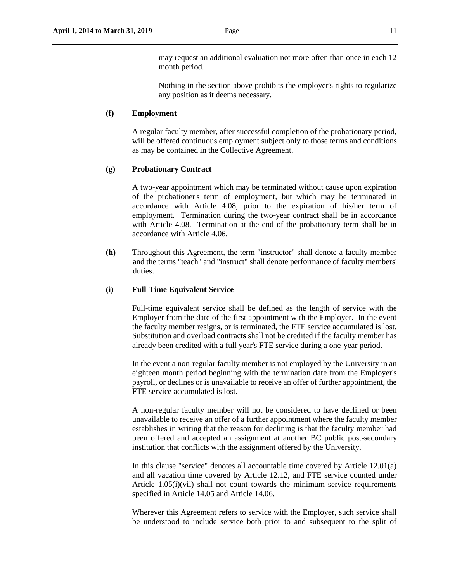may request an additional evaluation not more often than once in each 12 month period.

Nothing in the section above prohibits the employer's rights to regularize any position as it deems necessary.

# **(f) Employment**

A regular faculty member, after successful completion of the probationary period, will be offered continuous employment subject only to those terms and conditions as may be contained in the Collective Agreement.

### **(g) Probationary Contract**

A two-year appointment which may be terminated without cause upon expiration of the probationer's term of employment, but which may be terminated in accordance with Article 4.08, prior to the expiration of his/her term of employment. Termination during the two-year contract shall be in accordance with Article 4.08. Termination at the end of the probationary term shall be in accordance with Article 4.06.

**(h)** Throughout this Agreement, the term "instructor" shall denote a faculty member and the terms "teach" and "instruct" shall denote performance of faculty members' duties.

#### **(i) Full-Time Equivalent Service**

Full-time equivalent service shall be defined as the length of service with the Employer from the date of the first appointment with the Employer. In the event the faculty member resigns, or is terminated, the FTE service accumulated is lost. Substitution and overload contract**s** shall not be credited if the faculty member has already been credited with a full year's FTE service during a one-year period.

In the event a non-regular faculty member is not employed by the University in an eighteen month period beginning with the termination date from the Employer's payroll, or declines or is unavailable to receive an offer of further appointment, the FTE service accumulated is lost.

A non-regular faculty member will not be considered to have declined or been unavailable to receive an offer of a further appointment where the faculty member establishes in writing that the reason for declining is that the faculty member had been offered and accepted an assignment at another BC public post-secondary institution that conflicts with the assignment offered by the University.

In this clause "service" denotes all accountable time covered by Article 12.01(a) and all vacation time covered by Article 12.12, and FTE service counted under Article 1.05(i)(vii) shall not count towards the minimum service requirements specified in Article 14.05 and Article 14.06.

Wherever this Agreement refers to service with the Employer, such service shall be understood to include service both prior to and subsequent to the split of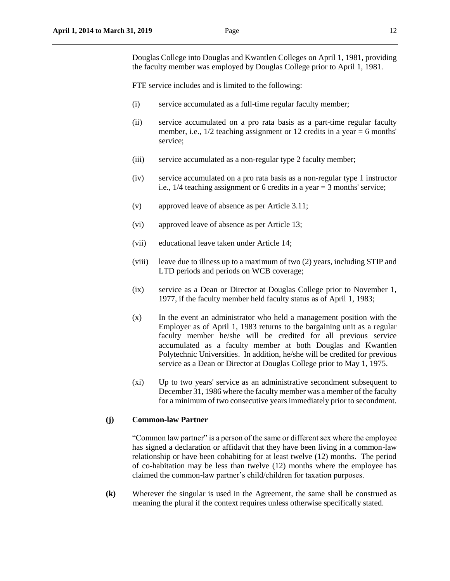Douglas College into Douglas and Kwantlen Colleges on April 1, 1981, providing the faculty member was employed by Douglas College prior to April 1, 1981.

FTE service includes and is limited to the following:

- (i) service accumulated as a full-time regular faculty member;
- (ii) service accumulated on a pro rata basis as a part-time regular faculty member, i.e.,  $1/2$  teaching assignment or 12 credits in a year  $= 6$  months' service;
- (iii) service accumulated as a non-regular type 2 faculty member;
- (iv) service accumulated on a pro rata basis as a non-regular type 1 instructor i.e., 1/4 teaching assignment or 6 credits in a year = 3 months' service;
- (v) approved leave of absence as per Article 3.11;
- (vi) approved leave of absence as per Article 13;
- (vii) educational leave taken under Article 14;
- (viii) leave due to illness up to a maximum of two (2) years, including STIP and LTD periods and periods on WCB coverage;
- (ix) service as a Dean or Director at Douglas College prior to November 1, 1977, if the faculty member held faculty status as of April 1, 1983;
- (x) In the event an administrator who held a management position with the Employer as of April 1, 1983 returns to the bargaining unit as a regular faculty member he/she will be credited for all previous service accumulated as a faculty member at both Douglas and Kwantlen Polytechnic Universities. In addition, he/she will be credited for previous service as a Dean or Director at Douglas College prior to May 1, 1975.
- (xi) Up to two years' service as an administrative secondment subsequent to December 31, 1986 where the faculty member was a member of the faculty for a minimum of two consecutive years immediately prior to secondment.

### **(j) Common-law Partner**

"Common law partner" is a person of the same or different sex where the employee has signed a declaration or affidavit that they have been living in a common-law relationship or have been cohabiting for at least twelve (12) months. The period of co-habitation may be less than twelve (12) months where the employee has claimed the common-law partner's child/children for taxation purposes.

**(k)** Wherever the singular is used in the Agreement, the same shall be construed as meaning the plural if the context requires unless otherwise specifically stated.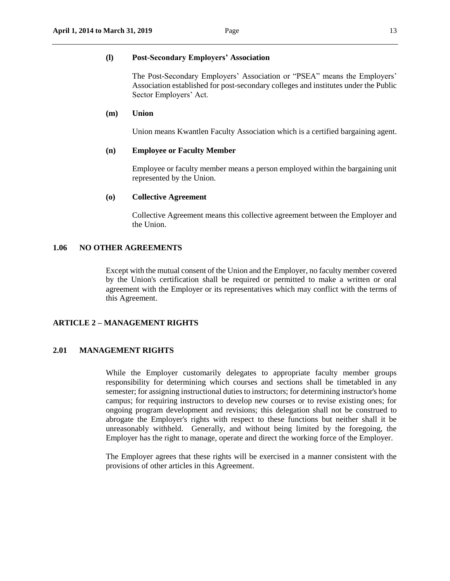#### **(l) Post-Secondary Employers' Association**

The Post-Secondary Employers' Association or "PSEA" means the Employers' Association established for post-secondary colleges and institutes under the Public Sector Employers' Act.

# **(m) Union**

Union means Kwantlen Faculty Association which is a certified bargaining agent.

### **(n) Employee or Faculty Member**

Employee or faculty member means a person employed within the bargaining unit represented by the Union.

#### **(o) Collective Agreement**

Collective Agreement means this collective agreement between the Employer and the Union.

#### <span id="page-12-0"></span>**1.06 NO OTHER AGREEMENTS**

Except with the mutual consent of the Union and the Employer, no faculty member covered by the Union's certification shall be required or permitted to make a written or oral agreement with the Employer or its representatives which may conflict with the terms of this Agreement.

### <span id="page-12-1"></span>**ARTICLE 2 – MANAGEMENT RIGHTS**

### <span id="page-12-2"></span>**2.01 MANAGEMENT RIGHTS**

While the Employer customarily delegates to appropriate faculty member groups responsibility for determining which courses and sections shall be timetabled in any semester; for assigning instructional duties to instructors; for determining instructor's home campus; for requiring instructors to develop new courses or to revise existing ones; for ongoing program development and revisions; this delegation shall not be construed to abrogate the Employer's rights with respect to these functions but neither shall it be unreasonably withheld. Generally, and without being limited by the foregoing, the Employer has the right to manage, operate and direct the working force of the Employer.

The Employer agrees that these rights will be exercised in a manner consistent with the provisions of other articles in this Agreement.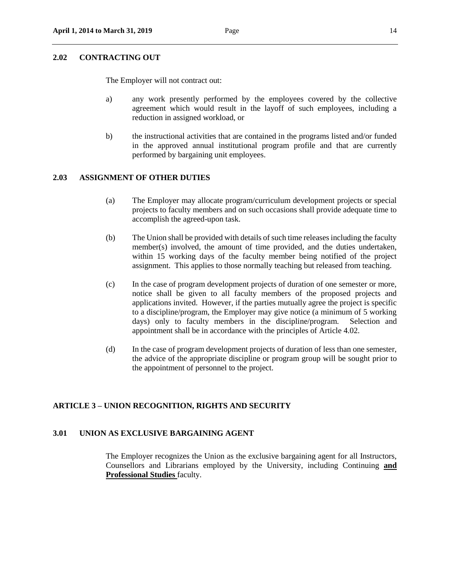### <span id="page-13-0"></span>**2.02 CONTRACTING OUT**

The Employer will not contract out:

- a) any work presently performed by the employees covered by the collective agreement which would result in the layoff of such employees, including a reduction in assigned workload, or
- b) the instructional activities that are contained in the programs listed and/or funded in the approved annual institutional program profile and that are currently performed by bargaining unit employees.

# <span id="page-13-1"></span>**2.03 ASSIGNMENT OF OTHER DUTIES**

- (a) The Employer may allocate program/curriculum development projects or special projects to faculty members and on such occasions shall provide adequate time to accomplish the agreed-upon task.
- (b) The Union shall be provided with details of such time releases including the faculty member(s) involved, the amount of time provided, and the duties undertaken, within 15 working days of the faculty member being notified of the project assignment. This applies to those normally teaching but released from teaching.
- (c) In the case of program development projects of duration of one semester or more, notice shall be given to all faculty members of the proposed projects and applications invited. However, if the parties mutually agree the project is specific to a discipline/program, the Employer may give notice (a minimum of 5 working days) only to faculty members in the discipline/program. Selection and appointment shall be in accordance with the principles of Article 4.02.
- (d) In the case of program development projects of duration of less than one semester, the advice of the appropriate discipline or program group will be sought prior to the appointment of personnel to the project.

#### <span id="page-13-2"></span>**ARTICLE 3 – UNION RECOGNITION, RIGHTS AND SECURITY**

# <span id="page-13-3"></span>**3.01 UNION AS EXCLUSIVE BARGAINING AGENT**

The Employer recognizes the Union as the exclusive bargaining agent for all Instructors, Counsellors and Librarians employed by the University, including Continuing **and Professional Studies** faculty.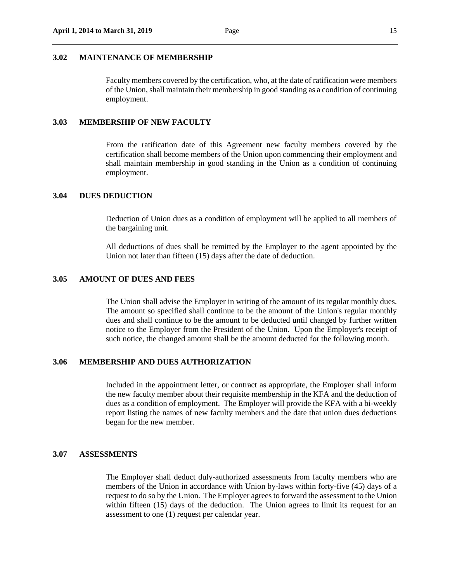#### <span id="page-14-0"></span>**3.02 MAINTENANCE OF MEMBERSHIP**

Faculty members covered by the certification, who, at the date of ratification were members of the Union, shall maintain their membership in good standing as a condition of continuing employment.

#### <span id="page-14-1"></span>**3.03 MEMBERSHIP OF NEW FACULTY**

From the ratification date of this Agreement new faculty members covered by the certification shall become members of the Union upon commencing their employment and shall maintain membership in good standing in the Union as a condition of continuing employment.

#### <span id="page-14-2"></span>**3.04 DUES DEDUCTION**

Deduction of Union dues as a condition of employment will be applied to all members of the bargaining unit.

All deductions of dues shall be remitted by the Employer to the agent appointed by the Union not later than fifteen (15) days after the date of deduction.

### <span id="page-14-3"></span>**3.05 AMOUNT OF DUES AND FEES**

The Union shall advise the Employer in writing of the amount of its regular monthly dues. The amount so specified shall continue to be the amount of the Union's regular monthly dues and shall continue to be the amount to be deducted until changed by further written notice to the Employer from the President of the Union. Upon the Employer's receipt of such notice, the changed amount shall be the amount deducted for the following month.

### <span id="page-14-4"></span>**3.06 MEMBERSHIP AND DUES AUTHORIZATION**

Included in the appointment letter, or contract as appropriate, the Employer shall inform the new faculty member about their requisite membership in the KFA and the deduction of dues as a condition of employment. The Employer will provide the KFA with a bi-weekly report listing the names of new faculty members and the date that union dues deductions began for the new member.

### <span id="page-14-5"></span>**3.07 ASSESSMENTS**

The Employer shall deduct duly-authorized assessments from faculty members who are members of the Union in accordance with Union by-laws within forty-five (45) days of a request to do so by the Union. The Employer agrees to forward the assessment to the Union within fifteen (15) days of the deduction. The Union agrees to limit its request for an assessment to one (1) request per calendar year.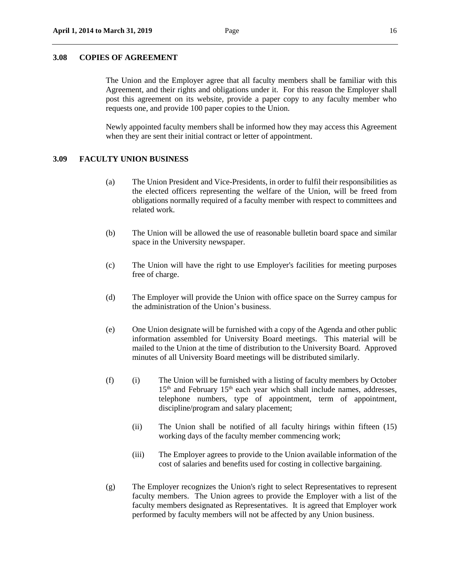#### <span id="page-15-0"></span>**3.08 COPIES OF AGREEMENT**

The Union and the Employer agree that all faculty members shall be familiar with this Agreement, and their rights and obligations under it. For this reason the Employer shall post this agreement on its website, provide a paper copy to any faculty member who requests one, and provide 100 paper copies to the Union.

Newly appointed faculty members shall be informed how they may access this Agreement when they are sent their initial contract or letter of appointment.

#### <span id="page-15-1"></span>**3.09 FACULTY UNION BUSINESS**

- (a) The Union President and Vice-Presidents, in order to fulfil their responsibilities as the elected officers representing the welfare of the Union, will be freed from obligations normally required of a faculty member with respect to committees and related work.
- (b) The Union will be allowed the use of reasonable bulletin board space and similar space in the University newspaper.
- (c) The Union will have the right to use Employer's facilities for meeting purposes free of charge.
- (d) The Employer will provide the Union with office space on the Surrey campus for the administration of the Union's business.
- (e) One Union designate will be furnished with a copy of the Agenda and other public information assembled for University Board meetings. This material will be mailed to the Union at the time of distribution to the University Board. Approved minutes of all University Board meetings will be distributed similarly.
- (f) (i) The Union will be furnished with a listing of faculty members by October  $15<sup>th</sup>$  and February  $15<sup>th</sup>$  each year which shall include names, addresses, telephone numbers, type of appointment, term of appointment, discipline/program and salary placement;
	- (ii) The Union shall be notified of all faculty hirings within fifteen (15) working days of the faculty member commencing work;
	- (iii) The Employer agrees to provide to the Union available information of the cost of salaries and benefits used for costing in collective bargaining.
- (g) The Employer recognizes the Union's right to select Representatives to represent faculty members. The Union agrees to provide the Employer with a list of the faculty members designated as Representatives. It is agreed that Employer work performed by faculty members will not be affected by any Union business.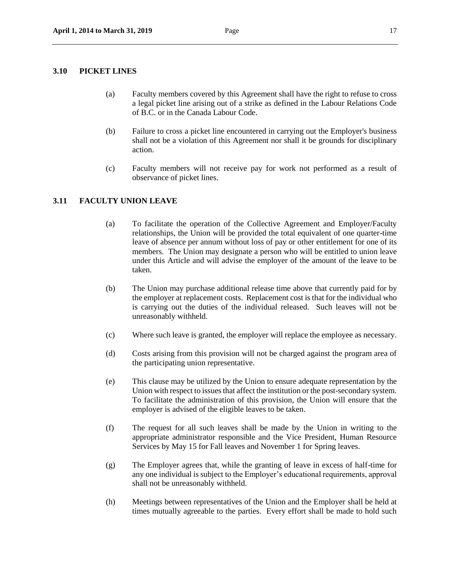#### <span id="page-16-0"></span>**3.10 PICKET LINES**

- (a) Faculty members covered by this Agreement shall have the right to refuse to cross a legal picket line arising out of a strike as defined in the Labour Relations Code of B.C. or in the Canada Labour Code.
- (b) Failure to cross a picket line encountered in carrying out the Employer's business shall not be a violation of this Agreement nor shall it be grounds for disciplinary action.
- (c) Faculty members will not receive pay for work not performed as a result of observance of picket lines.

### <span id="page-16-1"></span>**3.11 FACULTY UNION LEAVE**

- (a) To facilitate the operation of the Collective Agreement and Employer/Faculty relationships, the Union will be provided the total equivalent of one quarter-time leave of absence per annum without loss of pay or other entitlement for one of its members. The Union may designate a person who will be entitled to union leave under this Article and will advise the employer of the amount of the leave to be taken.
- (b) The Union may purchase additional release time above that currently paid for by the employer at replacement costs. Replacement cost is that for the individual who is carrying out the duties of the individual released. Such leaves will not be unreasonably withheld.
- (c) Where such leave is granted, the employer will replace the employee as necessary.
- (d) Costs arising from this provision will not be charged against the program area of the participating union representative.
- (e) This clause may be utilized by the Union to ensure adequate representation by the Union with respect to issues that affect the institution or the post-secondary system. To facilitate the administration of this provision, the Union will ensure that the employer is advised of the eligible leaves to be taken.
- (f) The request for all such leaves shall be made by the Union in writing to the appropriate administrator responsible and the Vice President, Human Resource Services by May 15 for Fall leaves and November 1 for Spring leaves.
- (g) The Employer agrees that, while the granting of leave in excess of half-time for any one individual is subject to the Employer's educational requirements, approval shall not be unreasonably withheld.
- (h) Meetings between representatives of the Union and the Employer shall be held at times mutually agreeable to the parties. Every effort shall be made to hold such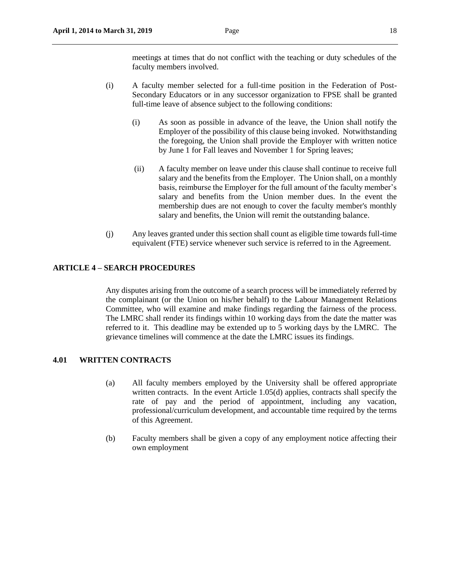- (i) A faculty member selected for a full-time position in the Federation of Post-Secondary Educators or in any successor organization to FPSE shall be granted full-time leave of absence subject to the following conditions:
	- (i) As soon as possible in advance of the leave, the Union shall notify the Employer of the possibility of this clause being invoked. Notwithstanding the foregoing, the Union shall provide the Employer with written notice by June 1 for Fall leaves and November 1 for Spring leaves;
	- (ii) A faculty member on leave under this clause shall continue to receive full salary and the benefits from the Employer. The Union shall, on a monthly basis, reimburse the Employer for the full amount of the faculty member's salary and benefits from the Union member dues. In the event the membership dues are not enough to cover the faculty member's monthly salary and benefits, the Union will remit the outstanding balance.
- (j) Any leaves granted under this section shall count as eligible time towards full-time equivalent (FTE) service whenever such service is referred to in the Agreement.

## <span id="page-17-0"></span>**ARTICLE 4 – SEARCH PROCEDURES**

Any disputes arising from the outcome of a search process will be immediately referred by the complainant (or the Union on his/her behalf) to the Labour Management Relations Committee, who will examine and make findings regarding the fairness of the process. The LMRC shall render its findings within 10 working days from the date the matter was referred to it. This deadline may be extended up to 5 working days by the LMRC. The grievance timelines will commence at the date the LMRC issues its findings.

# <span id="page-17-1"></span>**4.01 WRITTEN CONTRACTS**

- (a) All faculty members employed by the University shall be offered appropriate written contracts. In the event Article 1.05(d) applies, contracts shall specify the rate of pay and the period of appointment, including any vacation, professional/curriculum development, and accountable time required by the terms of this Agreement.
- (b) Faculty members shall be given a copy of any employment notice affecting their own employment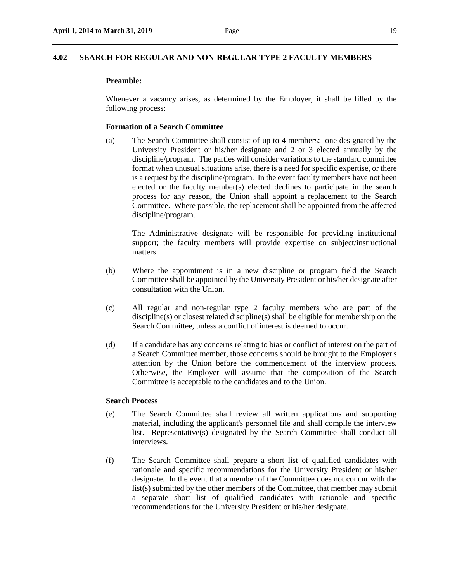### <span id="page-18-0"></span>**4.02 SEARCH FOR REGULAR AND NON-REGULAR TYPE 2 FACULTY MEMBERS**

### **Preamble:**

Whenever a vacancy arises, as determined by the Employer, it shall be filled by the following process:

#### **Formation of a Search Committee**

(a) The Search Committee shall consist of up to 4 members: one designated by the University President or his/her designate and 2 or 3 elected annually by the discipline/program. The parties will consider variations to the standard committee format when unusual situations arise, there is a need for specific expertise, or there is a request by the discipline/program. In the event faculty members have not been elected or the faculty member(s) elected declines to participate in the search process for any reason, the Union shall appoint a replacement to the Search Committee. Where possible, the replacement shall be appointed from the affected discipline/program.

The Administrative designate will be responsible for providing institutional support; the faculty members will provide expertise on subject/instructional matters.

- (b) Where the appointment is in a new discipline or program field the Search Committee shall be appointed by the University President or his/her designate after consultation with the Union.
- (c) All regular and non-regular type 2 faculty members who are part of the discipline(s) or closest related discipline(s) shall be eligible for membership on the Search Committee, unless a conflict of interest is deemed to occur.
- (d) If a candidate has any concerns relating to bias or conflict of interest on the part of a Search Committee member, those concerns should be brought to the Employer's attention by the Union before the commencement of the interview process. Otherwise, the Employer will assume that the composition of the Search Committee is acceptable to the candidates and to the Union.

#### **Search Process**

- (e) The Search Committee shall review all written applications and supporting material, including the applicant's personnel file and shall compile the interview list. Representative(s) designated by the Search Committee shall conduct all interviews.
- (f) The Search Committee shall prepare a short list of qualified candidates with rationale and specific recommendations for the University President or his/her designate. In the event that a member of the Committee does not concur with the list(s) submitted by the other members of the Committee, that member may submit a separate short list of qualified candidates with rationale and specific recommendations for the University President or his/her designate.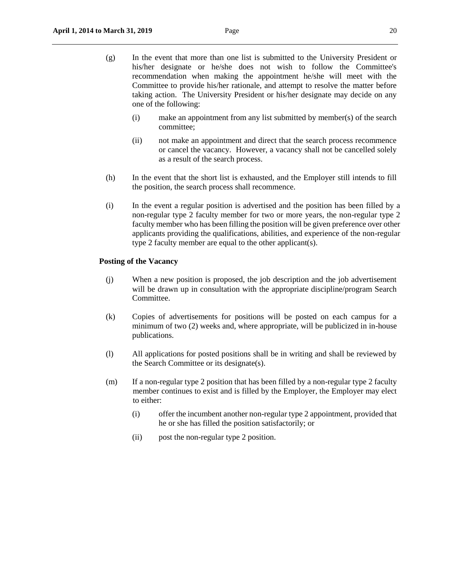- (g) In the event that more than one list is submitted to the University President or his/her designate or he/she does not wish to follow the Committee's recommendation when making the appointment he/she will meet with the Committee to provide his/her rationale, and attempt to resolve the matter before taking action. The University President or his/her designate may decide on any one of the following:
	- (i) make an appointment from any list submitted by member(s) of the search committee;
	- (ii) not make an appointment and direct that the search process recommence or cancel the vacancy. However, a vacancy shall not be cancelled solely as a result of the search process.
- (h) In the event that the short list is exhausted, and the Employer still intends to fill the position, the search process shall recommence.
- (i) In the event a regular position is advertised and the position has been filled by a non-regular type 2 faculty member for two or more years, the non-regular type 2 faculty member who has been filling the position will be given preference over other applicants providing the qualifications, abilities, and experience of the non-regular type 2 faculty member are equal to the other applicant(s).

#### **Posting of the Vacancy**

- (j) When a new position is proposed, the job description and the job advertisement will be drawn up in consultation with the appropriate discipline/program Search Committee.
- (k) Copies of advertisements for positions will be posted on each campus for a minimum of two (2) weeks and, where appropriate, will be publicized in in-house publications.
- (l) All applications for posted positions shall be in writing and shall be reviewed by the Search Committee or its designate(s).
- (m) If a non-regular type 2 position that has been filled by a non-regular type 2 faculty member continues to exist and is filled by the Employer, the Employer may elect to either:
	- (i) offer the incumbent another non-regular type 2 appointment, provided that he or she has filled the position satisfactorily; or
	- (ii) post the non-regular type 2 position.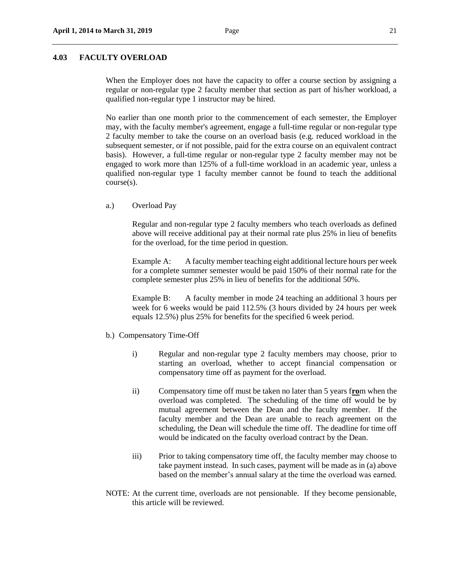### <span id="page-20-0"></span>**4.03 FACULTY OVERLOAD**

When the Employer does not have the capacity to offer a course section by assigning a regular or non-regular type 2 faculty member that section as part of his/her workload, a qualified non-regular type 1 instructor may be hired.

No earlier than one month prior to the commencement of each semester, the Employer may, with the faculty member's agreement, engage a full-time regular or non-regular type 2 faculty member to take the course on an overload basis (e.g. reduced workload in the subsequent semester, or if not possible, paid for the extra course on an equivalent contract basis). However, a full-time regular or non-regular type 2 faculty member may not be engaged to work more than 125% of a full-time workload in an academic year, unless a qualified non-regular type 1 faculty member cannot be found to teach the additional course(s).

a.) Overload Pay

Regular and non-regular type 2 faculty members who teach overloads as defined above will receive additional pay at their normal rate plus 25% in lieu of benefits for the overload, for the time period in question.

Example A: A faculty member teaching eight additional lecture hours per week for a complete summer semester would be paid 150% of their normal rate for the complete semester plus 25% in lieu of benefits for the additional 50%.

Example B: A faculty member in mode 24 teaching an additional 3 hours per week for 6 weeks would be paid 112.5% (3 hours divided by 24 hours per week equals 12.5%) plus 25% for benefits for the specified 6 week period.

- b.) Compensatory Time-Off
	- i) Regular and non-regular type 2 faculty members may choose, prior to starting an overload, whether to accept financial compensation or compensatory time off as payment for the overload.
	- ii) Compensatory time off must be taken no later than 5 years f**ro**m when the overload was completed. The scheduling of the time off would be by mutual agreement between the Dean and the faculty member. If the faculty member and the Dean are unable to reach agreement on the scheduling, the Dean will schedule the time off. The deadline for time off would be indicated on the faculty overload contract by the Dean.
	- iii) Prior to taking compensatory time off, the faculty member may choose to take payment instead. In such cases, payment will be made as in (a) above based on the member's annual salary at the time the overload was earned.
- NOTE: At the current time, overloads are not pensionable. If they become pensionable, this article will be reviewed.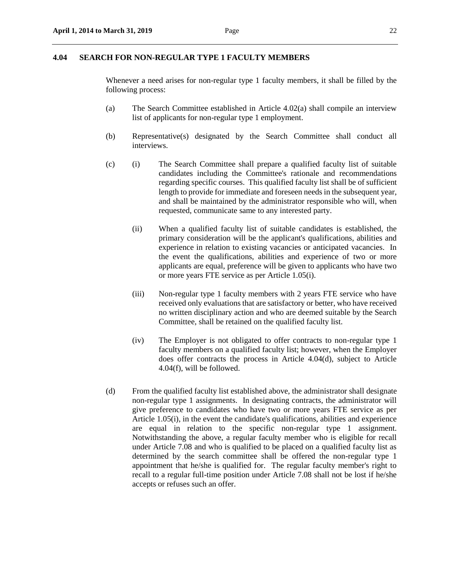### <span id="page-21-0"></span>**4.04 SEARCH FOR NON-REGULAR TYPE 1 FACULTY MEMBERS**

Whenever a need arises for non-regular type 1 faculty members, it shall be filled by the following process:

- (a) The Search Committee established in Article 4.02(a) shall compile an interview list of applicants for non-regular type 1 employment.
- (b) Representative(s) designated by the Search Committee shall conduct all interviews.
- (c) (i) The Search Committee shall prepare a qualified faculty list of suitable candidates including the Committee's rationale and recommendations regarding specific courses. This qualified faculty list shall be of sufficient length to provide for immediate and foreseen needs in the subsequent year, and shall be maintained by the administrator responsible who will, when requested, communicate same to any interested party.
	- (ii) When a qualified faculty list of suitable candidates is established, the primary consideration will be the applicant's qualifications, abilities and experience in relation to existing vacancies or anticipated vacancies. In the event the qualifications, abilities and experience of two or more applicants are equal, preference will be given to applicants who have two or more years FTE service as per Article 1.05(i).
	- (iii) Non-regular type 1 faculty members with 2 years FTE service who have received only evaluations that are satisfactory or better, who have received no written disciplinary action and who are deemed suitable by the Search Committee, shall be retained on the qualified faculty list.
	- (iv) The Employer is not obligated to offer contracts to non-regular type 1 faculty members on a qualified faculty list; however, when the Employer does offer contracts the process in Article 4.04(d), subject to Article 4.04(f), will be followed.
- (d) From the qualified faculty list established above, the administrator shall designate non-regular type 1 assignments. In designating contracts, the administrator will give preference to candidates who have two or more years FTE service as per Article 1.05(i), in the event the candidate's qualifications, abilities and experience are equal in relation to the specific non-regular type 1 assignment. Notwithstanding the above, a regular faculty member who is eligible for recall under Article 7.08 and who is qualified to be placed on a qualified faculty list as determined by the search committee shall be offered the non-regular type 1 appointment that he/she is qualified for. The regular faculty member's right to recall to a regular full-time position under Article 7.08 shall not be lost if he/she accepts or refuses such an offer.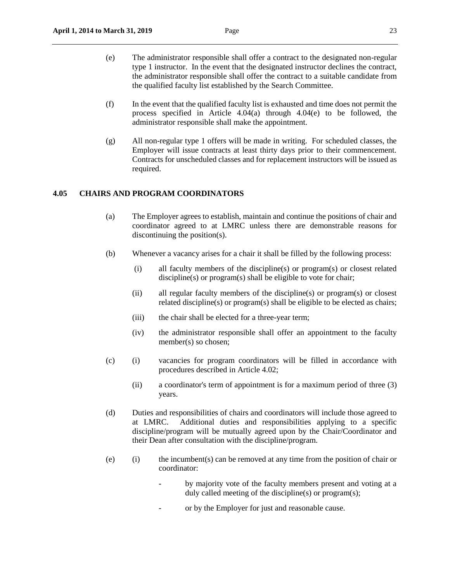- (e) The administrator responsible shall offer a contract to the designated non-regular type 1 instructor. In the event that the designated instructor declines the contract, the administrator responsible shall offer the contract to a suitable candidate from the qualified faculty list established by the Search Committee.
- (f) In the event that the qualified faculty list is exhausted and time does not permit the process specified in Article 4.04(a) through 4.04(e) to be followed, the administrator responsible shall make the appointment.
- (g) All non-regular type 1 offers will be made in writing. For scheduled classes, the Employer will issue contracts at least thirty days prior to their commencement. Contracts for unscheduled classes and for replacement instructors will be issued as required.

# <span id="page-22-0"></span>**4.05 CHAIRS AND PROGRAM COORDINATORS**

- (a) The Employer agrees to establish, maintain and continue the positions of chair and coordinator agreed to at LMRC unless there are demonstrable reasons for discontinuing the position(s).
- (b) Whenever a vacancy arises for a chair it shall be filled by the following process:
	- (i) all faculty members of the discipline(s) or program(s) or closest related discipline(s) or program(s) shall be eligible to vote for chair;
	- (ii) all regular faculty members of the discipline(s) or program(s) or closest related discipline(s) or program(s) shall be eligible to be elected as chairs;
	- (iii) the chair shall be elected for a three-year term;
	- (iv) the administrator responsible shall offer an appointment to the faculty member(s) so chosen;
- (c) (i) vacancies for program coordinators will be filled in accordance with procedures described in Article 4.02;
	- (ii) a coordinator's term of appointment is for a maximum period of three (3) years.
- (d) Duties and responsibilities of chairs and coordinators will include those agreed to at LMRC. Additional duties and responsibilities applying to a specific discipline/program will be mutually agreed upon by the Chair/Coordinator and their Dean after consultation with the discipline/program.
- (e) (i) the incumbent(s) can be removed at any time from the position of chair or coordinator:
	- by majority vote of the faculty members present and voting at a duly called meeting of the discipline(s) or program(s);
	- or by the Employer for just and reasonable cause.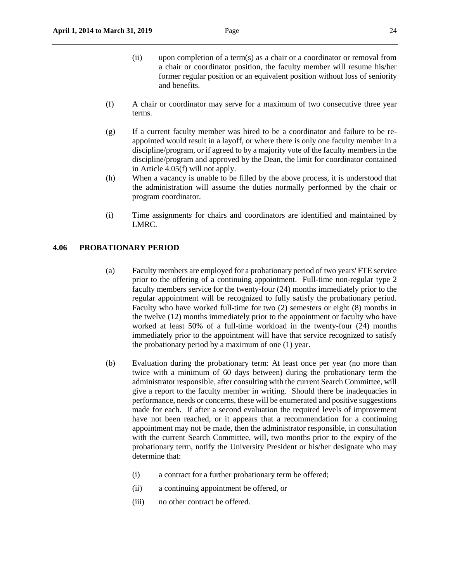- (ii) upon completion of a term(s) as a chair or a coordinator or removal from a chair or coordinator position, the faculty member will resume his/her former regular position or an equivalent position without loss of seniority and benefits.
- (f) A chair or coordinator may serve for a maximum of two consecutive three year terms.
- (g) If a current faculty member was hired to be a coordinator and failure to be reappointed would result in a layoff, or where there is only one faculty member in a discipline/program, or if agreed to by a majority vote of the faculty members in the discipline/program and approved by the Dean, the limit for coordinator contained in Article 4.05(f) will not apply.
- (h) When a vacancy is unable to be filled by the above process, it is understood that the administration will assume the duties normally performed by the chair or program coordinator.
- (i) Time assignment*s* for chairs and coordinators are identified and maintained by LMRC.

#### <span id="page-23-0"></span>**4.06 PROBATIONARY PERIOD**

- (a) Faculty members are employed for a probationary period of two years' FTE service prior to the offering of a continuing appointment. Full-time non-regular type 2 faculty members service for the twenty-four (24) months immediately prior to the regular appointment will be recognized to fully satisfy the probationary period. Faculty who have worked full-time for two (2) semesters or eight (8) months in the twelve (12) months immediately prior to the appointment or faculty who have worked at least 50% of a full-time workload in the twenty-four (24) months immediately prior to the appointment will have that service recognized to satisfy the probationary period by a maximum of one (1) year.
- (b) Evaluation during the probationary term: At least once per year (no more than twice with a minimum of 60 days between) during the probationary term the administrator responsible, after consulting with the current Search Committee, will give a report to the faculty member in writing. Should there be inadequacies in performance, needs or concerns, these will be enumerated and positive suggestions made for each. If after a second evaluation the required levels of improvement have not been reached, or it appears that a recommendation for a continuing appointment may not be made, then the administrator responsible, in consultation with the current Search Committee, will, two months prior to the expiry of the probationary term, notify the University President or his/her designate who may determine that:
	- (i) a contract for a further probationary term be offered;
	- (ii) a continuing appointment be offered, or
	- (iii) no other contract be offered.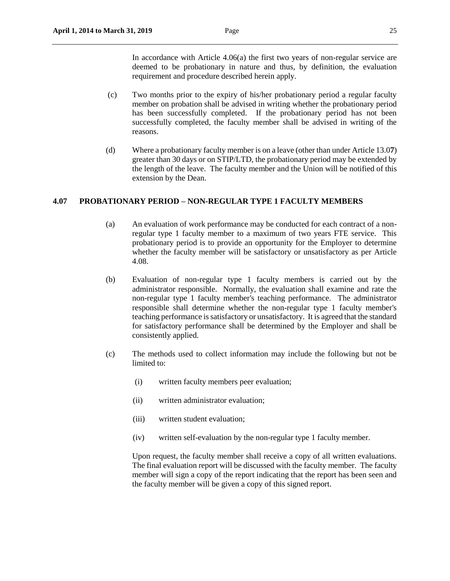In accordance with Article 4.06(a) the first two years of non-regular service are deemed to be probationary in nature and thus, by definition, the evaluation requirement and procedure described herein apply.

- (c) Two months prior to the expiry of his/her probationary period a regular faculty member on probation shall be advised in writing whether the probationary period has been successfully completed. If the probationary period has not been successfully completed, the faculty member shall be advised in writing of the reasons.
- (d) Where a probationary faculty member is on a leave (other than under Article 13.0**7**) greater than 30 days or on STIP/LTD, the probationary period may be extended by the length of the leave. The faculty member and the Union will be notified of this extension by the Dean.

# <span id="page-24-0"></span>**4.07 PROBATIONARY PERIOD – NON-REGULAR TYPE 1 FACULTY MEMBERS**

- (a) An evaluation of work performance may be conducted for each contract of a nonregular type 1 faculty member to a maximum of two years FTE service. This probationary period is to provide an opportunity for the Employer to determine whether the faculty member will be satisfactory or unsatisfactory as per Article 4.08.
- (b) Evaluation of non-regular type 1 faculty members is carried out by the administrator responsible. Normally, the evaluation shall examine and rate the non-regular type 1 faculty member's teaching performance. The administrator responsible shall determine whether the non-regular type 1 faculty member's teaching performance is satisfactory or unsatisfactory. It is agreed that the standard for satisfactory performance shall be determined by the Employer and shall be consistently applied.
- (c) The methods used to collect information may include the following but not be limited to:
	- (i) written faculty members peer evaluation;
	- (ii) written administrator evaluation;
	- (iii) written student evaluation;
	- (iv) written self-evaluation by the non-regular type 1 faculty member.

Upon request, the faculty member shall receive a copy of all written evaluations. The final evaluation report will be discussed with the faculty member. The faculty member will sign a copy of the report indicating that the report has been seen and the faculty member will be given a copy of this signed report.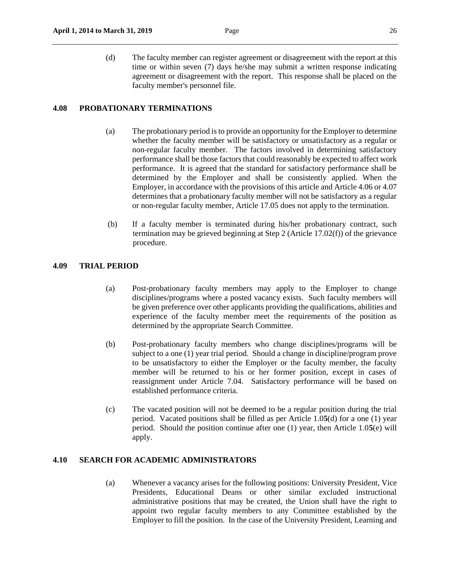(d) The faculty member can register agreement or disagreement with the report at this time or within seven (7) days he/she may submit a written response indicating agreement or disagreement with the report. This response shall be placed on the faculty member's personnel file.

# <span id="page-25-0"></span>**4.08 PROBATIONARY TERMINATIONS**

- (a) The probationary period is to provide an opportunity for the Employer to determine whether the faculty member will be satisfactory or unsatisfactory as a regular or non-regular faculty member. The factors involved in determining satisfactory performance shall be those factors that could reasonably be expected to affect work performance. It is agreed that the standard for satisfactory performance shall be determined by the Employer and shall be consistently applied. When the Employer, in accordance with the provisions of this article and Article 4.06 or 4.07 determines that a probationary faculty member will not be satisfactory as a regular or non-regular faculty member, Article 17.05 does not apply to the termination.
- (b) If a faculty member is terminated during his/her probationary contract, such termination may be grieved beginning at Step 2 (Article 17.02(f)) of the grievance procedure.

# <span id="page-25-1"></span>**4.09 TRIAL PERIOD**

- (a) Post-probationary faculty members may apply to the Employer to change disciplines/programs where a posted vacancy exists. Such faculty members will be given preference over other applicants providing the qualifications, abilities and experience of the faculty member meet the requirements of the position as determined by the appropriate Search Committee.
- (b) Post-probationary faculty members who change disciplines/programs will be subject to a one (1) year trial period. Should a change in discipline/program prove to be unsatisfactory to either the Employer or the faculty member, the faculty member will be returned to his or her former position, except in cases of reassignment under Article 7.04. Satisfactory performance will be based on established performance criteria.
- (c) The vacated position will not be deemed to be a regular position during the trial period. Vacated positions shall be filled as per Article 1.0**5**(d) for a one (1) year period. Should the position continue after one (1) year, then Article 1.0**5**(e) will apply.

# <span id="page-25-2"></span>**4.10 SEARCH FOR ACADEMIC ADMINISTRATORS**

(a) Whenever a vacancy arises for the following positions: University President, Vice Presidents, Educational Deans or other similar excluded instructional administrative positions that may be created, the Union shall have the right to appoint two regular faculty members to any Committee established by the Employer to fill the position. In the case of the University President, Learning and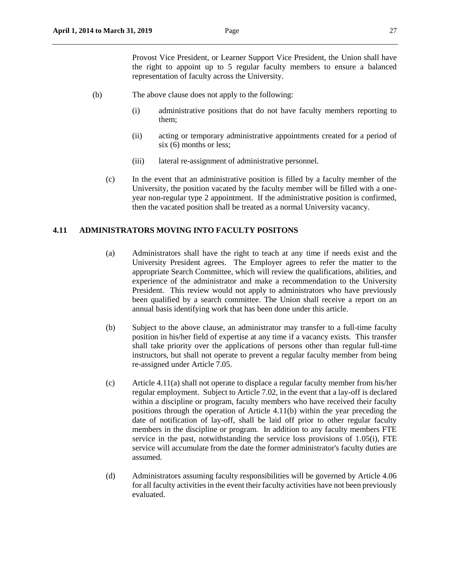Provost Vice President, or Learner Support Vice President, the Union shall have the right to appoint up to 5 regular faculty members to ensure a balanced representation of faculty across the University.

- (b) The above clause does not apply to the following:
	- (i) administrative positions that do not have faculty members reporting to them;
	- (ii) acting or temporary administrative appointments created for a period of six (6) months or less;
	- (iii) lateral re-assignment of administrative personnel.
	- (c) In the event that an administrative position is filled by a faculty member of the University, the position vacated by the faculty member will be filled with a oneyear non-regular type 2 appointment. If the administrative position is confirmed, then the vacated position shall be treated as a normal University vacancy.

### <span id="page-26-0"></span>**4.11 ADMINISTRATORS MOVING INTO FACULTY POSITONS**

- (a) Administrators shall have the right to teach at any time if needs exist and the University President agrees. The Employer agrees to refer the matter to the appropriate Search Committee, which will review the qualifications, abilities, and experience of the administrator and make a recommendation to the University President. This review would not apply to administrators who have previously been qualified by a search committee. The Union shall receive a report on an annual basis identifying work that has been done under this article.
- (b) Subject to the above clause, an administrator may transfer to a full-time faculty position in his/her field of expertise at any time if a vacancy exists. This transfer shall take priority over the applications of persons other than regular full-time instructors, but shall not operate to prevent a regular faculty member from being re-assigned under Article 7.05.
- (c) Article 4.11(a) shall not operate to displace a regular faculty member from his/her regular employment. Subject to Article 7.02, in the event that a lay-off is declared within a discipline or program, faculty members who have received their faculty positions through the operation of Article 4.11(b) within the year preceding the date of notification of lay-off, shall be laid off prior to other regular faculty members in the discipline or program. In addition to any faculty members FTE service in the past, notwithstanding the service loss provisions of 1.05(i), FTE service will accumulate from the date the former administrator's faculty duties are assumed.
- (d) Administrators assuming faculty responsibilities will be governed by Article 4.06 for all faculty activities in the event their faculty activities have not been previously evaluated.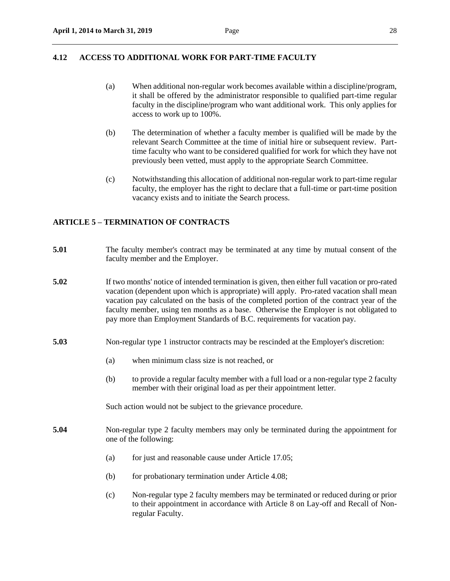# <span id="page-27-0"></span>**4.12 ACCESS TO ADDITIONAL WORK FOR PART-TIME FACULTY**

- (a) When additional non-regular work becomes available within a discipline/program, it shall be offered by the administrator responsible to qualified part-time regular faculty in the discipline/program who want additional work. This only applies for access to work up to 100%.
- (b) The determination of whether a faculty member is qualified will be made by the relevant Search Committee at the time of initial hire or subsequent review. Parttime faculty who want to be considered qualified for work for which they have not previously been vetted, must apply to the appropriate Search Committee.
- (c) Notwithstanding this allocation of additional non-regular work to part-time regular faculty, the employer has the right to declare that a full-time or part-time position vacancy exists and to initiate the Search process.

# <span id="page-27-1"></span>**ARTICLE 5 – TERMINATION OF CONTRACTS**

- **5.01** The faculty member's contract may be terminated at any time by mutual consent of the faculty member and the Employer.
- **5.02** If two months' notice of intended termination is given, then either full vacation or pro-rated vacation (dependent upon which is appropriate) will apply. Pro-rated vacation shall mean vacation pay calculated on the basis of the completed portion of the contract year of the faculty member, using ten months as a base. Otherwise the Employer is not obligated to pay more than Employment Standards of B.C. requirements for vacation pay.
- **5.03** Non-regular type 1 instructor contracts may be rescinded at the Employer's discretion:
	- (a) when minimum class size is not reached, or
	- (b) to provide a regular faculty member with a full load or a non-regular type 2 faculty member with their original load as per their appointment letter.

Such action would not be subject to the grievance procedure.

- **5.04** Non-regular type 2 faculty members may only be terminated during the appointment for one of the following:
	- (a) for just and reasonable cause under Article 17.05;
	- (b) for probationary termination under Article 4.08;
	- (c) Non-regular type 2 faculty members may be terminated or reduced during or prior to their appointment in accordance with Article 8 on Lay-off and Recall of Nonregular Faculty.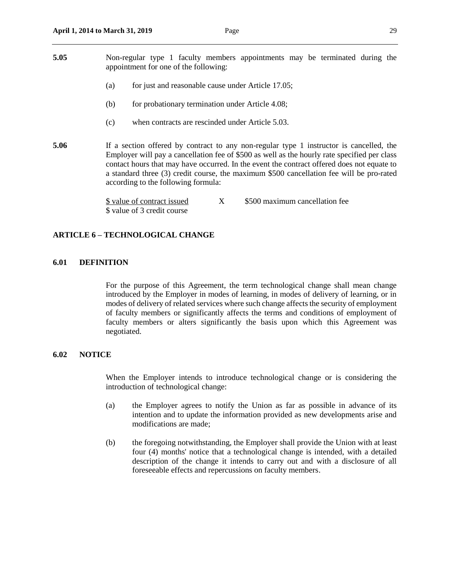- **5.05** Non-regular type 1 faculty members appointments may be terminated during the appointment for one of the following:
	- (a) for just and reasonable cause under Article 17.05;
	- (b) for probationary termination under Article 4.08;
	- (c) when contracts are rescinded under Article 5.03.
- **5.06** If a section offered by contract to any non-regular type 1 instructor is cancelled, the Employer will pay a cancellation fee of \$500 as well as the hourly rate specified per class contact hours that may have occurred. In the event the contract offered does not equate to a standard three (3) credit course, the maximum \$500 cancellation fee will be pro-rated according to the following formula:

\$ value of contract issued  $X = $500$  maximum cancellation fee \$ value of 3 credit course

### <span id="page-28-0"></span>**ARTICLE 6 – TECHNOLOGICAL CHANGE**

### <span id="page-28-1"></span>**6.01 DEFINITION**

For the purpose of this Agreement, the term technological change shall mean change introduced by the Employer in modes of learning, in modes of delivery of learning, or in modes of delivery of related services where such change affects the security of employment of faculty members or significantly affects the terms and conditions of employment of faculty members or alters significantly the basis upon which this Agreement was negotiated.

#### <span id="page-28-2"></span>**6.02 NOTICE**

When the Employer intends to introduce technological change or is considering the introduction of technological change:

- (a) the Employer agrees to notify the Union as far as possible in advance of its intention and to update the information provided as new developments arise and modifications are made;
- (b) the foregoing notwithstanding, the Employer shall provide the Union with at least four (4) months' notice that a technological change is intended, with a detailed description of the change it intends to carry out and with a disclosure of all foreseeable effects and repercussions on faculty members.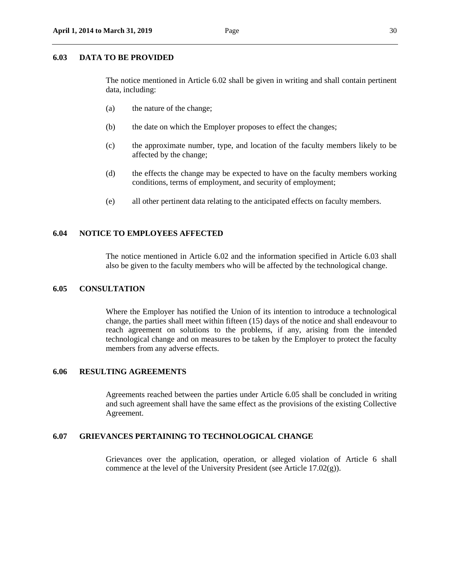#### <span id="page-29-0"></span>**6.03 DATA TO BE PROVIDED**

The notice mentioned in Article 6.02 shall be given in writing and shall contain pertinent data, including:

- (a) the nature of the change;
- (b) the date on which the Employer proposes to effect the changes;
- (c) the approximate number, type, and location of the faculty members likely to be affected by the change;
- (d) the effects the change may be expected to have on the faculty members working conditions, terms of employment, and security of employment;
- (e) all other pertinent data relating to the anticipated effects on faculty members.

#### <span id="page-29-1"></span>**6.04 NOTICE TO EMPLOYEES AFFECTED**

The notice mentioned in Article 6.02 and the information specified in Article 6.03 shall also be given to the faculty members who will be affected by the technological change.

#### <span id="page-29-2"></span>**6.05 CONSULTATION**

Where the Employer has notified the Union of its intention to introduce a technological change, the parties shall meet within fifteen (15) days of the notice and shall endeavour to reach agreement on solutions to the problems, if any, arising from the intended technological change and on measures to be taken by the Employer to protect the faculty members from any adverse effects.

#### <span id="page-29-3"></span>**6.06 RESULTING AGREEMENTS**

Agreements reached between the parties under Article 6.05 shall be concluded in writing and such agreement shall have the same effect as the provisions of the existing Collective Agreement.

### <span id="page-29-4"></span>**6.07 GRIEVANCES PERTAINING TO TECHNOLOGICAL CHANGE**

Grievances over the application, operation, or alleged violation of Article 6 shall commence at the level of the University President (see Article 17.02(g)).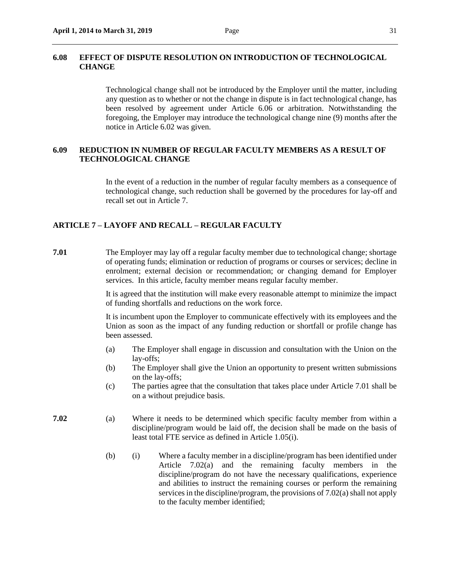<span id="page-30-0"></span>Technological change shall not be introduced by the Employer until the matter, including any question as to whether or not the change in dispute is in fact technological change, has been resolved by agreement under Article 6.06 or arbitration. Notwithstanding the foregoing, the Employer may introduce the technological change nine (9) months after the notice in Article 6.02 was given.

# <span id="page-30-1"></span>**6.09 REDUCTION IN NUMBER OF REGULAR FACULTY MEMBERS AS A RESULT OF TECHNOLOGICAL CHANGE**

In the event of a reduction in the number of regular faculty members as a consequence of technological change, such reduction shall be governed by the procedures for lay-off and recall set out in Article 7.

#### <span id="page-30-2"></span>**ARTICLE 7 – LAYOFF AND RECALL – REGULAR FACULTY**

**7.01** The Employer may lay off a regular faculty member due to technological change; shortage of operating funds; elimination or reduction of programs or courses or services; decline in enrolment; external decision or recommendation; or changing demand for Employer services. In this article, faculty member means regular faculty member.

> It is agreed that the institution will make every reasonable attempt to minimize the impact of funding shortfalls and reductions on the work force.

> It is incumbent upon the Employer to communicate effectively with its employees and the Union as soon as the impact of any funding reduction or shortfall or profile change has been assessed.

- (a) The Employer shall engage in discussion and consultation with the Union on the lay-offs;
- (b) The Employer shall give the Union an opportunity to present written submissions on the lay-offs;
- (c) The parties agree that the consultation that takes place under Article 7.01 shall be on a without prejudice basis.
- **7.02** (a) Where it needs to be determined which specific faculty member from within a discipline/program would be laid off, the decision shall be made on the basis of least total FTE service as defined in Article 1.05(i).
	- (b) (i) Where a faculty member in a discipline/program has been identified under Article 7.02(a) and the remaining faculty members in the discipline/program do not have the necessary qualifications, experience and abilities to instruct the remaining courses or perform the remaining services in the discipline/program, the provisions of 7.02(a) shall not apply to the faculty member identified;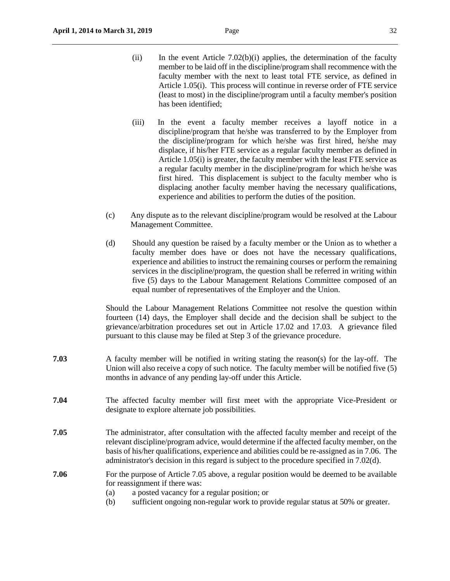- (ii) In the event Article 7.02(b)(i) applies, the determination of the faculty member to be laid off in the discipline/program shall recommence with the faculty member with the next to least total FTE service, as defined in Article 1.05(i). This process will continue in reverse order of FTE service (least to most) in the discipline/program until a faculty member's position has been identified;
- (iii) In the event a faculty member receives a layoff notice in a discipline/program that he/she was transferred to by the Employer from the discipline/program for which he/she was first hired, he/she may displace, if his/her FTE service as a regular faculty member as defined in Article 1.05(i) is greater, the faculty member with the least FTE service as a regular faculty member in the discipline/program for which he/she was first hired. This displacement is subject to the faculty member who is displacing another faculty member having the necessary qualifications, experience and abilities to perform the duties of the position.
- (c) Any dispute as to the relevant discipline/program would be resolved at the Labour Management Committee.
- (d) Should any question be raised by a faculty member or the Union as to whether a faculty member does have or does not have the necessary qualifications, experience and abilities to instruct the remaining courses or perform the remaining services in the discipline/program, the question shall be referred in writing within five (5) days to the Labour Management Relations Committee composed of an equal number of representatives of the Employer and the Union.

Should the Labour Management Relations Committee not resolve the question within fourteen (14) days, the Employer shall decide and the decision shall be subject to the grievance/arbitration procedures set out in Article 17.02 and 17.03. A grievance filed pursuant to this clause may be filed at Step 3 of the grievance procedure.

- **7.03** A faculty member will be notified in writing stating the reason(s) for the lay-off. The Union will also receive a copy of such notice. The faculty member will be notified five (5) months in advance of any pending lay-off under this Article.
- **7.04** The affected faculty member will first meet with the appropriate Vice-President or designate to explore alternate job possibilities.
- **7.05** The administrator, after consultation with the affected faculty member and receipt of the relevant discipline/program advice, would determine if the affected faculty member, on the basis of his/her qualifications, experience and abilities could be re-assigned as in 7.06. The administrator's decision in this regard is subject to the procedure specified in 7.02(d).
- **7.06** For the purpose of Article 7.05 above, a regular position would be deemed to be available for reassignment if there was:
	- (a) a posted vacancy for a regular position; or
	- (b) sufficient ongoing non-regular work to provide regular status at 50% or greater.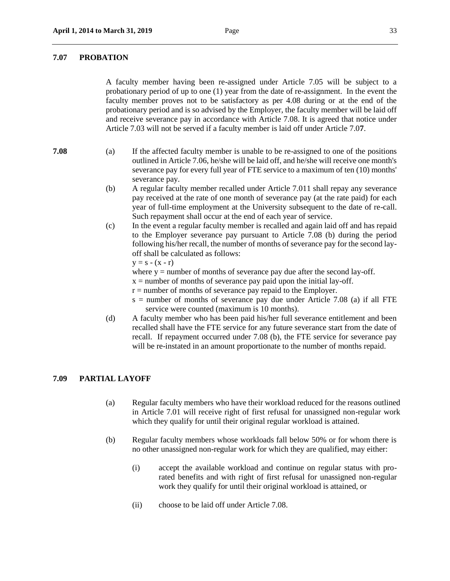### <span id="page-32-0"></span>**7.07 PROBATION**

A faculty member having been re-assigned under Article 7.05 will be subject to a probationary period of up to one (1) year from the date of re-assignment. In the event the faculty member proves not to be satisfactory as per 4.08 during or at the end of the probationary period and is so advised by the Employer, the faculty member will be laid off and receive severance pay in accordance with Article 7.08. It is agreed that notice under Article 7.03 will not be served if a faculty member is laid off under Article 7.0**7**.

- **7.08** (a) If the affected faculty member is unable to be re-assigned to one of the positions outlined in Article 7.06, he/she will be laid off, and he/she will receive one month's severance pay for every full year of FTE service to a maximum of ten (10) months' severance pay.
	- (b) A regular faculty member recalled under Article 7.011 shall repay any severance pay received at the rate of one month of severance pay (at the rate paid) for each year of full-time employment at the University subsequent to the date of re-call. Such repayment shall occur at the end of each year of service.
	- (c) In the event a regular faculty member is recalled and again laid off and has repaid to the Employer severance pay pursuant to Article 7.08 (b) during the period following his/her recall, the number of months of severance pay for the second layoff shall be calculated as follows:

$$
y = s - (x - r)
$$

- where  $y =$  number of months of severance pay due after the second lay-off.
- $x =$  number of months of severance pay paid upon the initial lay-off.
- $r =$  number of months of severance pay repaid to the Employer.
- $s =$  number of months of severance pay due under Article 7.08 (a) if all FTE service were counted (maximum is 10 months).
- (d) A faculty member who has been paid his/her full severance entitlement and been recalled shall have the FTE service for any future severance start from the date of recall. If repayment occurred under 7.08 (b), the FTE service for severance pay will be re-instated in an amount proportionate to the number of months repaid.

#### <span id="page-32-1"></span>**7.09 PARTIAL LAYOFF**

- (a) Regular faculty members who have their workload reduced for the reasons outlined in Article 7.01 will receive right of first refusal for unassigned non-regular work which they qualify for until their original regular workload is attained.
- (b) Regular faculty members whose workloads fall below 50% or for whom there is no other unassigned non-regular work for which they are qualified, may either:
	- (i) accept the available workload and continue on regular status with prorated benefits and with right of first refusal for unassigned non-regular work they qualify for until their original workload is attained, or
	- (ii) choose to be laid off under Article 7.08.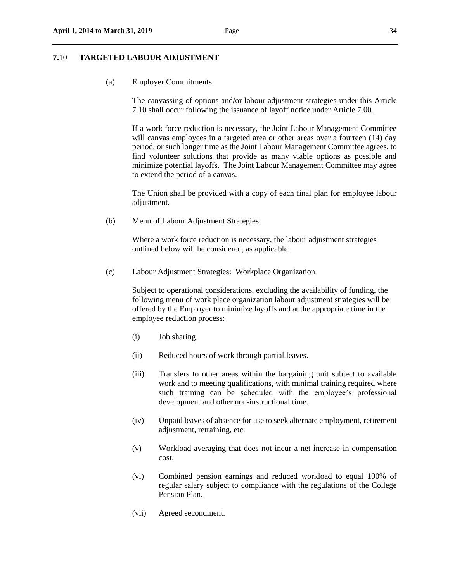#### <span id="page-33-0"></span>(a) Employer Commitments

The canvassing of options and/or labour adjustment strategies under this Article 7.10 shall occur following the issuance of layoff notice under Article 7.00.

If a work force reduction is necessary, the Joint Labour Management Committee will canvas employees in a targeted area or other areas over a fourteen (14) day period, or such longer time as the Joint Labour Management Committee agrees, to find volunteer solutions that provide as many viable options as possible and minimize potential layoffs.The Joint Labour Management Committee may agree to extend the period of a canvas.

The Union shall be provided with a copy of each final plan for employee labour adjustment.

(b) Menu of Labour Adjustment Strategies

Where a work force reduction is necessary, the labour adjustment strategies outlined below will be considered, as applicable.

(c) Labour Adjustment Strategies: Workplace Organization

Subject to operational considerations, excluding the availability of funding, the following menu of work place organization labour adjustment strategies will be offered by the Employer to minimize layoffs and at the appropriate time in the employee reduction process:

- (i) Job sharing.
- (ii) Reduced hours of work through partial leaves.
- (iii) Transfers to other areas within the bargaining unit subject to available work and to meeting qualifications, with minimal training required where such training can be scheduled with the employee's professional development and other non-instructional time.
- (iv) Unpaid leaves of absence for use to seek alternate employment, retirement adjustment, retraining, etc.
- (v) Workload averaging that does not incur a net increase in compensation cost.
- (vi) Combined pension earnings and reduced workload to equal 100% of regular salary subject to compliance with the regulations of the College Pension Plan.
- (vii) Agreed secondment.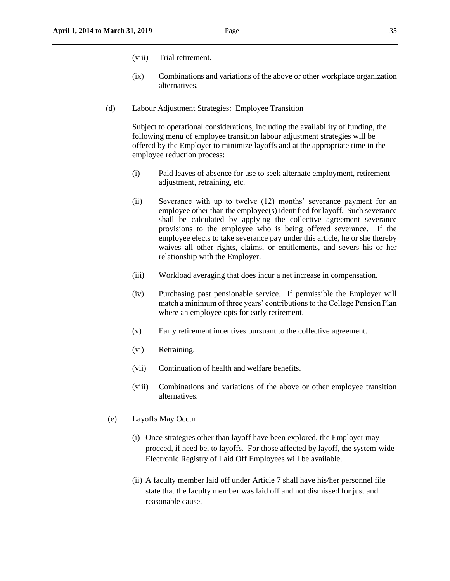- (viii) Trial retirement.
- (ix) Combinations and variations of the above or other workplace organization alternatives.
- (d) Labour Adjustment Strategies: Employee Transition

Subject to operational considerations, including the availability of funding, the following menu of employee transition labour adjustment strategies will be offered by the Employer to minimize layoffs and at the appropriate time in the employee reduction process:

- (i) Paid leaves of absence for use to seek alternate employment, retirement adjustment, retraining, etc.
- (ii) Severance with up to twelve (12) months' severance payment for an employee other than the employee(s) identified for layoff. Such severance shall be calculated by applying the collective agreement severance provisions to the employee who is being offered severance. If the employee elects to take severance pay under this article, he or she thereby waives all other rights, claims, or entitlements, and severs his or her relationship with the Employer.
- (iii) Workload averaging that does incur a net increase in compensation.
- (iv) Purchasing past pensionable service. If permissible the Employer will match a minimum of three years' contributions to the College Pension Plan where an employee opts for early retirement.
- (v) Early retirement incentives pursuant to the collective agreement.
- (vi) Retraining.
- (vii) Continuation of health and welfare benefits.
- (viii) Combinations and variations of the above or other employee transition alternatives.
- (e) Layoffs May Occur
	- (i) Once strategies other than layoff have been explored, the Employer may proceed, if need be, to layoffs. For those affected by layoff, the system-wide Electronic Registry of Laid Off Employees will be available.
	- (ii) A faculty member laid off under Article 7 shall have his/her personnel file state that the faculty member was laid off and not dismissed for just and reasonable cause.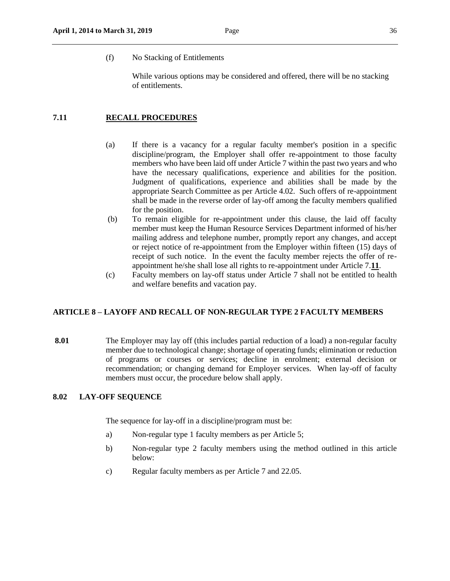While various options may be considered and offered, there will be no stacking of entitlements.

# **7.11 RECALL PROCEDURES**

- (a) If there is a vacancy for a regular faculty member's position in a specific discipline/program, the Employer shall offer re-appointment to those faculty members who have been laid off under Article 7 within the past two years and who have the necessary qualifications, experience and abilities for the position. Judgment of qualifications, experience and abilities shall be made by the appropriate Search Committee as per Article 4.02. Such offers of re-appointment shall be made in the reverse order of lay-off among the faculty members qualified for the position.
- (b) To remain eligible for re-appointment under this clause, the laid off faculty member must keep the Human Resource Services Department informed of his/her mailing address and telephone number, promptly report any changes, and accept or reject notice of re-appointment from the Employer within fifteen (15) days of receipt of such notice. In the event the faculty member rejects the offer of reappointment he/she shall lose all rights to re-appointment under Article 7.**11**.
- (c) Faculty members on lay-off status under Article 7 shall not be entitled to health and welfare benefits and vacation pay.

### <span id="page-35-0"></span>**ARTICLE 8 – LAYOFF AND RECALL OF [NON-REGULAR TYPE 2 FACULTY MEMBERS](#page-35-1)**

**8.01** The Employer may lay off (this includes partial reduction of a load) a non-regular faculty member due to technological change; shortage of operating funds; elimination or reduction of programs or courses or services; decline in enrolment; external decision or recommendation; or changing demand for Employer services. When lay-off of faculty members must occur, the procedure below shall apply.

### <span id="page-35-1"></span>**8.02 LAY-OFF SEQUENCE**

The sequence for lay-off in a discipline/program must be:

- a) Non-regular type 1 faculty members as per Article 5;
- b) Non-regular type 2 faculty members using the method outlined in this article below:
- c) Regular faculty members as per Article 7 and 22.05.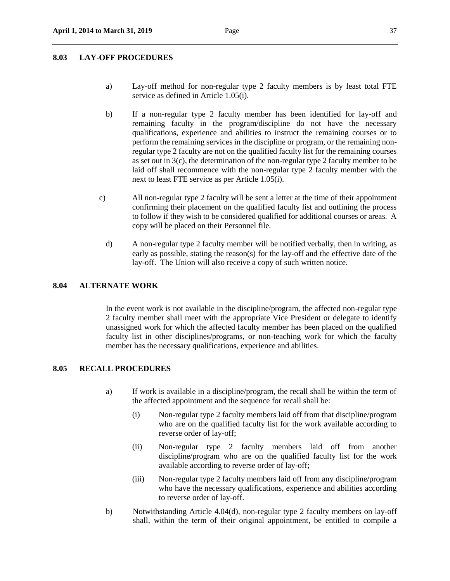## **8.03 LAY-OFF PROCEDURES**

- a) Lay-off method for non-regular type 2 faculty members is by least total FTE service as defined in Article 1.05(i).
- b) If a non-regular type 2 faculty member has been identified for lay-off and remaining faculty in the program/discipline do not have the necessary qualifications, experience and abilities to instruct the remaining courses or to perform the remaining services in the discipline or program, or the remaining nonregular type 2 faculty are not on the qualified faculty list for the remaining courses as set out in 3(c), the determination of the non-regular type 2 faculty member to be laid off shall recommence with the non-regular type 2 faculty member with the next to least FTE service as per Article 1.05(i).
- c) All non-regular type 2 faculty will be sent a letter at the time of their appointment confirming their placement on the qualified faculty list and outlining the process to follow if they wish to be considered qualified for additional courses or areas. A copy will be placed on their Personnel file.
	- d) A non-regular type 2 faculty member will be notified verbally, then in writing, as early as possible, stating the reason(s) for the lay-off and the effective date of the lay-off. The Union will also receive a copy of such written notice.

#### **8.04 ALTERNATE WORK**

In the event work is not available in the discipline/program, the affected non-regular type 2 faculty member shall meet with the appropriate Vice President or delegate to identify unassigned work for which the affected faculty member has been placed on the qualified faculty list in other disciplines/programs, or non-teaching work for which the faculty member has the necessary qualifications, experience and abilities.

## **8.05 RECALL PROCEDURES**

- a) If work is available in a discipline/program, the recall shall be within the term of the affected appointment and the sequence for recall shall be:
	- (i) Non-regular type 2 faculty members laid off from that discipline/program who are on the qualified faculty list for the work available according to reverse order of lay-off;
	- (ii) Non-regular type 2 faculty members laid off from another discipline/program who are on the qualified faculty list for the work available according to reverse order of lay-off;
	- (iii) Non-regular type 2 faculty members laid off from any discipline/program who have the necessary qualifications, experience and abilities according to reverse order of lay-off.
- b) Notwithstanding Article 4.04(d), non-regular type 2 faculty members on lay-off shall, within the term of their original appointment, be entitled to compile a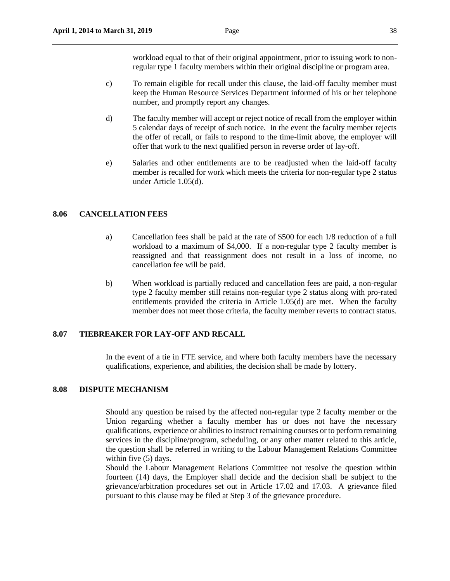workload equal to that of their original appointment, prior to issuing work to nonregular type 1 faculty members within their original discipline or program area.

- c) To remain eligible for recall under this clause, the laid-off faculty member must keep the Human Resource Services Department informed of his or her telephone number, and promptly report any changes.
- d) The faculty member will accept or reject notice of recall from the employer within 5 calendar days of receipt of such notice. In the event the faculty member rejects the offer of recall, or fails to respond to the time-limit above, the employer will offer that work to the next qualified person in reverse order of lay-off.
- e) Salaries and other entitlements are to be readjusted when the laid-off faculty member is recalled for work which meets the criteria for non-regular type 2 status under Article 1.05(d).

## **8.06 CANCELLATION FEES**

- a) Cancellation fees shall be paid at the rate of \$500 for each 1/8 reduction of a full workload to a maximum of \$4,000. If a non-regular type 2 faculty member is reassigned and that reassignment does not result in a loss of income, no cancellation fee will be paid.
- b) When workload is partially reduced and cancellation fees are paid, a non-regular type 2 faculty member still retains non-regular type 2 status along with pro-rated entitlements provided the criteria in Article 1.05(d) are met. When the faculty member does not meet those criteria, the faculty member reverts to contract status.

#### **8.07 TIEBREAKER FOR LAY-OFF AND RECALL**

In the event of a tie in FTE service, and where both faculty members have the necessary qualifications, experience, and abilities, the decision shall be made by lottery.

#### **8.08 DISPUTE MECHANISM**

Should any question be raised by the affected non-regular type 2 faculty member or the Union regarding whether a faculty member has or does not have the necessary qualifications, experience or abilities to instruct remaining courses or to perform remaining services in the discipline/program, scheduling, or any other matter related to this article, the question shall be referred in writing to the Labour Management Relations Committee within five (5) days.

Should the Labour Management Relations Committee not resolve the question within fourteen (14) days, the Employer shall decide and the decision shall be subject to the grievance/arbitration procedures set out in Article 17.02 and 17.03. A grievance filed pursuant to this clause may be filed at Step 3 of the grievance procedure.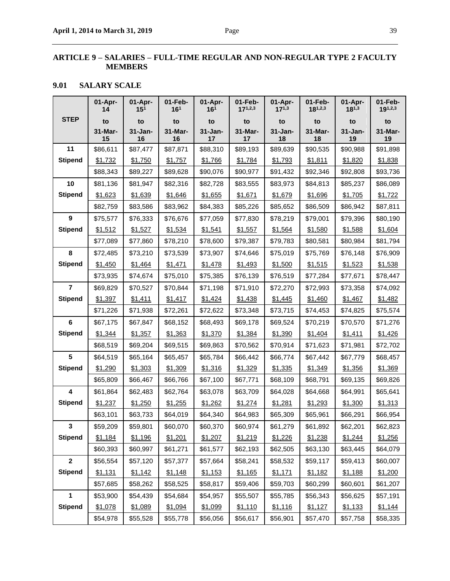## **ARTICLE 9 – SALARIES – FULL-TIME REGULAR AND NON-REGULAR TYPE 2 FACULTY MEMBERS**

## **9.01 SALARY SCALE**

| <b>STEP</b><br>to<br>to<br>to<br>to<br>to<br>to<br>to<br>to<br>to<br>$31 - Jan-$<br>31-Mar-<br>$31 - Jan-$<br>31-Mar-<br>$31 - Jan -$<br>31-Mar-<br>$31 - Jan-$<br>31-Mar-<br>31-Mar-<br>16<br>16<br>18<br>15<br>17<br>17<br>18<br>19<br>19<br>11<br>\$87,477<br>\$89,639<br>\$90,535<br>\$86,611<br>\$87,871<br>\$88,310<br>\$89,193<br>\$90,988<br>\$91,898<br><b>Stipend</b><br>\$1,732<br>\$1,750<br>\$1,757<br>\$1,766<br>\$1,784<br>\$1,793<br>\$1,811<br>\$1,820<br>\$1,838<br>\$88,343<br>\$89,227<br>\$89,628<br>\$90,076<br>\$90,977<br>\$91,432<br>\$92,346<br>\$92,808<br>\$93,736<br>10<br>\$81,136<br>\$81,947<br>\$82,316<br>\$82,728<br>\$83,555<br>\$83,973<br>\$84,813<br>\$85,237<br>\$86,089<br><b>Stipend</b><br>\$1,623<br>\$1,639<br>\$1,646<br>\$1,655<br>\$1,671<br>\$1,679<br>\$1,696<br>\$1,705<br>\$1,722<br>\$83,586<br>\$83,962<br>\$84,383<br>\$85,226<br>\$85,652<br>\$86,509<br>\$86,942<br>\$82,759<br>\$87,811<br>9<br>\$75,577<br>\$76,333<br>\$76,676<br>\$77,059<br>\$77,830<br>\$78,219<br>\$79,001<br>\$79,396<br>\$80,190<br><b>Stipend</b><br>\$1,512<br>\$1,527<br>\$1,534<br>\$1,541<br>\$1,557<br>\$1,564<br>\$1,580<br>\$1,588<br>\$1,604<br>\$77,089<br>\$77,860<br>\$78,210<br>\$78,600<br>\$79,387<br>\$79,783<br>\$80,581<br>\$80,984<br>\$81,794<br>8<br>\$72,485<br>\$73,210<br>\$73,539<br>\$73,907<br>\$74,646<br>\$75,019<br>\$75,769<br>\$76,148<br>\$76,909<br><b>Stipend</b><br>\$1,471<br>\$1,478<br>\$1,450<br>\$1,464<br>\$1,493<br>\$1,500<br>\$1,515<br>\$1,523<br>\$1,538<br>\$73,935<br>\$74,674<br>\$75,010<br>\$75,385<br>\$76,139<br>\$77,284<br>\$76,519<br>\$77,671<br>\$78,447<br>$\overline{7}$<br>\$69,829<br>\$70,527<br>\$70,844<br>\$71,198<br>\$71,910<br>\$72,993<br>\$73,358<br>\$72,270<br>\$74,092<br><b>Stipend</b><br>\$1,397<br>\$1,445<br>\$1,467<br>\$1,411<br>\$1,417<br>\$1,424<br>\$1,438<br>\$1,460<br>\$1,482<br>\$73,348<br>\$71,226<br>\$71,938<br>\$72,261<br>\$72,622<br>\$73,715<br>\$74,453<br>\$74,825<br>\$75,574<br>$6\phantom{a}$<br>\$68,493<br>\$67,175<br>\$67,847<br>\$68,152<br>\$69,178<br>\$69,524<br>\$70,219<br>\$70,570<br>\$71,276<br><b>Stipend</b><br>\$1,344<br>\$1,357<br>\$1,363<br>\$1,370<br>\$1,384<br>\$1,390<br>\$1,404<br>\$1,411<br>\$1,426<br>\$68,519<br>\$69,204<br>\$69,515<br>\$69,863<br>\$70,562<br>\$70,914<br>\$71,623<br>\$71,981<br>\$72,702<br>$5\phantom{a}$<br>\$64,519<br>\$65,164<br>\$65,457<br>\$65,784<br>\$66,442<br>\$66,774<br>\$67,442<br>\$67,779<br>\$68,457<br><b>Stipend</b><br>\$1,290<br>\$1,303<br>\$1,309<br>\$1,316<br>\$1,329<br>\$1,335<br>\$1,349<br>\$1,356<br>\$1,369<br>\$65,809<br>\$66,467<br>\$66,766<br>\$67,100<br>\$67,771<br>\$68,109<br>\$68,791<br>\$69,135<br>\$69,826<br>$\overline{\mathbf{4}}$<br>\$61,864<br>\$62,483<br>\$62,764<br>\$63,078<br>\$63,709<br>\$64,028<br>\$64,668<br>\$64,991<br>\$65,641<br><b>Stipend</b><br>\$1,237<br>\$1,250<br>\$1,255<br>\$1,262<br>\$1,274<br>\$1,281<br>\$1,293<br>\$1,300<br>\$1,313<br>\$63,733<br>\$63,101<br>\$64,019<br>\$64,340<br>\$64,983<br>\$65,309<br>\$65,961<br>\$66,291<br>\$66,954<br>$\mathbf{3}$<br>\$62,201<br>\$59,209<br>\$59,801<br>\$60,070<br>\$60,370<br>\$60,974<br>\$61,279<br>\$61,892<br>\$62,823<br><b>Stipend</b><br>\$1,184<br>\$1,196<br>\$1,201<br>\$1,219<br>\$1,226<br>\$1,256<br>\$1,207<br>\$1,238<br>\$1,244<br>\$60,393<br>\$60,997<br>\$61,271<br>\$61,577<br>\$62,193<br>\$62,505<br>\$63,130<br>\$63,445<br>\$64,079<br>$\overline{2}$<br>\$56,554<br>\$57,120<br>\$57,377<br>\$57,664<br>\$58,241<br>\$58,532<br>\$59,117<br>\$59,413<br>\$60,007<br><b>Stipend</b><br>\$1,131<br>\$1,142<br>\$1,148<br>\$1,153<br>\$1,165<br>\$1,171<br>\$1,182<br>\$1,188<br>\$1,200<br>\$58,262<br>\$58,525<br>\$59,703<br>\$57,685<br>\$58,817<br>\$59,406<br>\$60,299<br>\$60,601<br>\$61,207<br>1<br>\$53,900<br>\$54,439<br>\$54,684<br>\$55,785<br>\$54,957<br>\$55,507<br>\$56,343<br>\$56,625<br>\$57,191<br><b>Stipend</b><br>\$1,078<br>\$1,089<br>\$1,094<br>\$1,099<br>\$1,110<br>\$1,116<br>\$1,127<br>\$1,133<br>\$1,144 | 01-Apr-<br>14 | 01-Apr-<br>15 <sup>1</sup> | 01-Feb-<br>16 <sup>1</sup> | $01-Apr-$<br>16 <sup>1</sup> | 01-Feb-<br>$17^{1,2,3}$ | 01-Apr-<br>$17^{1,3}$ | 01-Feb-<br>$18^{1,2,3}$ | 01-Apr-<br>$18^{1,3}$ | 01-Feb-<br>$19^{1,2,3}$ |
|----------------------------------------------------------------------------------------------------------------------------------------------------------------------------------------------------------------------------------------------------------------------------------------------------------------------------------------------------------------------------------------------------------------------------------------------------------------------------------------------------------------------------------------------------------------------------------------------------------------------------------------------------------------------------------------------------------------------------------------------------------------------------------------------------------------------------------------------------------------------------------------------------------------------------------------------------------------------------------------------------------------------------------------------------------------------------------------------------------------------------------------------------------------------------------------------------------------------------------------------------------------------------------------------------------------------------------------------------------------------------------------------------------------------------------------------------------------------------------------------------------------------------------------------------------------------------------------------------------------------------------------------------------------------------------------------------------------------------------------------------------------------------------------------------------------------------------------------------------------------------------------------------------------------------------------------------------------------------------------------------------------------------------------------------------------------------------------------------------------------------------------------------------------------------------------------------------------------------------------------------------------------------------------------------------------------------------------------------------------------------------------------------------------------------------------------------------------------------------------------------------------------------------------------------------------------------------------------------------------------------------------------------------------------------------------------------------------------------------------------------------------------------------------------------------------------------------------------------------------------------------------------------------------------------------------------------------------------------------------------------------------------------------------------------------------------------------------------------------------------------------------------------------------------------------------------------------------------------------------------------------------------------------------------------------------------------------------------------------------------------------------------------------------------------------------------------------------------------------------------------------------------------------------------------------------------------------------------------------------------------------------------------------------------------------------------------------------------------------------------------------------------------------------------------------------------------------------------------------------------------------------------------------------------------------------------------------------------------------------------------------------------------------------------------------------------------------------------|---------------|----------------------------|----------------------------|------------------------------|-------------------------|-----------------------|-------------------------|-----------------------|-------------------------|
|                                                                                                                                                                                                                                                                                                                                                                                                                                                                                                                                                                                                                                                                                                                                                                                                                                                                                                                                                                                                                                                                                                                                                                                                                                                                                                                                                                                                                                                                                                                                                                                                                                                                                                                                                                                                                                                                                                                                                                                                                                                                                                                                                                                                                                                                                                                                                                                                                                                                                                                                                                                                                                                                                                                                                                                                                                                                                                                                                                                                                                                                                                                                                                                                                                                                                                                                                                                                                                                                                                                                                                                                                                                                                                                                                                                                                                                                                                                                                                                                                                                                                              |               |                            |                            |                              |                         |                       |                         |                       |                         |
|                                                                                                                                                                                                                                                                                                                                                                                                                                                                                                                                                                                                                                                                                                                                                                                                                                                                                                                                                                                                                                                                                                                                                                                                                                                                                                                                                                                                                                                                                                                                                                                                                                                                                                                                                                                                                                                                                                                                                                                                                                                                                                                                                                                                                                                                                                                                                                                                                                                                                                                                                                                                                                                                                                                                                                                                                                                                                                                                                                                                                                                                                                                                                                                                                                                                                                                                                                                                                                                                                                                                                                                                                                                                                                                                                                                                                                                                                                                                                                                                                                                                                              |               |                            |                            |                              |                         |                       |                         |                       |                         |
|                                                                                                                                                                                                                                                                                                                                                                                                                                                                                                                                                                                                                                                                                                                                                                                                                                                                                                                                                                                                                                                                                                                                                                                                                                                                                                                                                                                                                                                                                                                                                                                                                                                                                                                                                                                                                                                                                                                                                                                                                                                                                                                                                                                                                                                                                                                                                                                                                                                                                                                                                                                                                                                                                                                                                                                                                                                                                                                                                                                                                                                                                                                                                                                                                                                                                                                                                                                                                                                                                                                                                                                                                                                                                                                                                                                                                                                                                                                                                                                                                                                                                              |               |                            |                            |                              |                         |                       |                         |                       |                         |
|                                                                                                                                                                                                                                                                                                                                                                                                                                                                                                                                                                                                                                                                                                                                                                                                                                                                                                                                                                                                                                                                                                                                                                                                                                                                                                                                                                                                                                                                                                                                                                                                                                                                                                                                                                                                                                                                                                                                                                                                                                                                                                                                                                                                                                                                                                                                                                                                                                                                                                                                                                                                                                                                                                                                                                                                                                                                                                                                                                                                                                                                                                                                                                                                                                                                                                                                                                                                                                                                                                                                                                                                                                                                                                                                                                                                                                                                                                                                                                                                                                                                                              |               |                            |                            |                              |                         |                       |                         |                       |                         |
|                                                                                                                                                                                                                                                                                                                                                                                                                                                                                                                                                                                                                                                                                                                                                                                                                                                                                                                                                                                                                                                                                                                                                                                                                                                                                                                                                                                                                                                                                                                                                                                                                                                                                                                                                                                                                                                                                                                                                                                                                                                                                                                                                                                                                                                                                                                                                                                                                                                                                                                                                                                                                                                                                                                                                                                                                                                                                                                                                                                                                                                                                                                                                                                                                                                                                                                                                                                                                                                                                                                                                                                                                                                                                                                                                                                                                                                                                                                                                                                                                                                                                              |               |                            |                            |                              |                         |                       |                         |                       |                         |
|                                                                                                                                                                                                                                                                                                                                                                                                                                                                                                                                                                                                                                                                                                                                                                                                                                                                                                                                                                                                                                                                                                                                                                                                                                                                                                                                                                                                                                                                                                                                                                                                                                                                                                                                                                                                                                                                                                                                                                                                                                                                                                                                                                                                                                                                                                                                                                                                                                                                                                                                                                                                                                                                                                                                                                                                                                                                                                                                                                                                                                                                                                                                                                                                                                                                                                                                                                                                                                                                                                                                                                                                                                                                                                                                                                                                                                                                                                                                                                                                                                                                                              |               |                            |                            |                              |                         |                       |                         |                       |                         |
|                                                                                                                                                                                                                                                                                                                                                                                                                                                                                                                                                                                                                                                                                                                                                                                                                                                                                                                                                                                                                                                                                                                                                                                                                                                                                                                                                                                                                                                                                                                                                                                                                                                                                                                                                                                                                                                                                                                                                                                                                                                                                                                                                                                                                                                                                                                                                                                                                                                                                                                                                                                                                                                                                                                                                                                                                                                                                                                                                                                                                                                                                                                                                                                                                                                                                                                                                                                                                                                                                                                                                                                                                                                                                                                                                                                                                                                                                                                                                                                                                                                                                              |               |                            |                            |                              |                         |                       |                         |                       |                         |
|                                                                                                                                                                                                                                                                                                                                                                                                                                                                                                                                                                                                                                                                                                                                                                                                                                                                                                                                                                                                                                                                                                                                                                                                                                                                                                                                                                                                                                                                                                                                                                                                                                                                                                                                                                                                                                                                                                                                                                                                                                                                                                                                                                                                                                                                                                                                                                                                                                                                                                                                                                                                                                                                                                                                                                                                                                                                                                                                                                                                                                                                                                                                                                                                                                                                                                                                                                                                                                                                                                                                                                                                                                                                                                                                                                                                                                                                                                                                                                                                                                                                                              |               |                            |                            |                              |                         |                       |                         |                       |                         |
|                                                                                                                                                                                                                                                                                                                                                                                                                                                                                                                                                                                                                                                                                                                                                                                                                                                                                                                                                                                                                                                                                                                                                                                                                                                                                                                                                                                                                                                                                                                                                                                                                                                                                                                                                                                                                                                                                                                                                                                                                                                                                                                                                                                                                                                                                                                                                                                                                                                                                                                                                                                                                                                                                                                                                                                                                                                                                                                                                                                                                                                                                                                                                                                                                                                                                                                                                                                                                                                                                                                                                                                                                                                                                                                                                                                                                                                                                                                                                                                                                                                                                              |               |                            |                            |                              |                         |                       |                         |                       |                         |
|                                                                                                                                                                                                                                                                                                                                                                                                                                                                                                                                                                                                                                                                                                                                                                                                                                                                                                                                                                                                                                                                                                                                                                                                                                                                                                                                                                                                                                                                                                                                                                                                                                                                                                                                                                                                                                                                                                                                                                                                                                                                                                                                                                                                                                                                                                                                                                                                                                                                                                                                                                                                                                                                                                                                                                                                                                                                                                                                                                                                                                                                                                                                                                                                                                                                                                                                                                                                                                                                                                                                                                                                                                                                                                                                                                                                                                                                                                                                                                                                                                                                                              |               |                            |                            |                              |                         |                       |                         |                       |                         |
|                                                                                                                                                                                                                                                                                                                                                                                                                                                                                                                                                                                                                                                                                                                                                                                                                                                                                                                                                                                                                                                                                                                                                                                                                                                                                                                                                                                                                                                                                                                                                                                                                                                                                                                                                                                                                                                                                                                                                                                                                                                                                                                                                                                                                                                                                                                                                                                                                                                                                                                                                                                                                                                                                                                                                                                                                                                                                                                                                                                                                                                                                                                                                                                                                                                                                                                                                                                                                                                                                                                                                                                                                                                                                                                                                                                                                                                                                                                                                                                                                                                                                              |               |                            |                            |                              |                         |                       |                         |                       |                         |
|                                                                                                                                                                                                                                                                                                                                                                                                                                                                                                                                                                                                                                                                                                                                                                                                                                                                                                                                                                                                                                                                                                                                                                                                                                                                                                                                                                                                                                                                                                                                                                                                                                                                                                                                                                                                                                                                                                                                                                                                                                                                                                                                                                                                                                                                                                                                                                                                                                                                                                                                                                                                                                                                                                                                                                                                                                                                                                                                                                                                                                                                                                                                                                                                                                                                                                                                                                                                                                                                                                                                                                                                                                                                                                                                                                                                                                                                                                                                                                                                                                                                                              |               |                            |                            |                              |                         |                       |                         |                       |                         |
|                                                                                                                                                                                                                                                                                                                                                                                                                                                                                                                                                                                                                                                                                                                                                                                                                                                                                                                                                                                                                                                                                                                                                                                                                                                                                                                                                                                                                                                                                                                                                                                                                                                                                                                                                                                                                                                                                                                                                                                                                                                                                                                                                                                                                                                                                                                                                                                                                                                                                                                                                                                                                                                                                                                                                                                                                                                                                                                                                                                                                                                                                                                                                                                                                                                                                                                                                                                                                                                                                                                                                                                                                                                                                                                                                                                                                                                                                                                                                                                                                                                                                              |               |                            |                            |                              |                         |                       |                         |                       |                         |
|                                                                                                                                                                                                                                                                                                                                                                                                                                                                                                                                                                                                                                                                                                                                                                                                                                                                                                                                                                                                                                                                                                                                                                                                                                                                                                                                                                                                                                                                                                                                                                                                                                                                                                                                                                                                                                                                                                                                                                                                                                                                                                                                                                                                                                                                                                                                                                                                                                                                                                                                                                                                                                                                                                                                                                                                                                                                                                                                                                                                                                                                                                                                                                                                                                                                                                                                                                                                                                                                                                                                                                                                                                                                                                                                                                                                                                                                                                                                                                                                                                                                                              |               |                            |                            |                              |                         |                       |                         |                       |                         |
|                                                                                                                                                                                                                                                                                                                                                                                                                                                                                                                                                                                                                                                                                                                                                                                                                                                                                                                                                                                                                                                                                                                                                                                                                                                                                                                                                                                                                                                                                                                                                                                                                                                                                                                                                                                                                                                                                                                                                                                                                                                                                                                                                                                                                                                                                                                                                                                                                                                                                                                                                                                                                                                                                                                                                                                                                                                                                                                                                                                                                                                                                                                                                                                                                                                                                                                                                                                                                                                                                                                                                                                                                                                                                                                                                                                                                                                                                                                                                                                                                                                                                              |               |                            |                            |                              |                         |                       |                         |                       |                         |
|                                                                                                                                                                                                                                                                                                                                                                                                                                                                                                                                                                                                                                                                                                                                                                                                                                                                                                                                                                                                                                                                                                                                                                                                                                                                                                                                                                                                                                                                                                                                                                                                                                                                                                                                                                                                                                                                                                                                                                                                                                                                                                                                                                                                                                                                                                                                                                                                                                                                                                                                                                                                                                                                                                                                                                                                                                                                                                                                                                                                                                                                                                                                                                                                                                                                                                                                                                                                                                                                                                                                                                                                                                                                                                                                                                                                                                                                                                                                                                                                                                                                                              |               |                            |                            |                              |                         |                       |                         |                       |                         |
|                                                                                                                                                                                                                                                                                                                                                                                                                                                                                                                                                                                                                                                                                                                                                                                                                                                                                                                                                                                                                                                                                                                                                                                                                                                                                                                                                                                                                                                                                                                                                                                                                                                                                                                                                                                                                                                                                                                                                                                                                                                                                                                                                                                                                                                                                                                                                                                                                                                                                                                                                                                                                                                                                                                                                                                                                                                                                                                                                                                                                                                                                                                                                                                                                                                                                                                                                                                                                                                                                                                                                                                                                                                                                                                                                                                                                                                                                                                                                                                                                                                                                              |               |                            |                            |                              |                         |                       |                         |                       |                         |
|                                                                                                                                                                                                                                                                                                                                                                                                                                                                                                                                                                                                                                                                                                                                                                                                                                                                                                                                                                                                                                                                                                                                                                                                                                                                                                                                                                                                                                                                                                                                                                                                                                                                                                                                                                                                                                                                                                                                                                                                                                                                                                                                                                                                                                                                                                                                                                                                                                                                                                                                                                                                                                                                                                                                                                                                                                                                                                                                                                                                                                                                                                                                                                                                                                                                                                                                                                                                                                                                                                                                                                                                                                                                                                                                                                                                                                                                                                                                                                                                                                                                                              |               |                            |                            |                              |                         |                       |                         |                       |                         |
|                                                                                                                                                                                                                                                                                                                                                                                                                                                                                                                                                                                                                                                                                                                                                                                                                                                                                                                                                                                                                                                                                                                                                                                                                                                                                                                                                                                                                                                                                                                                                                                                                                                                                                                                                                                                                                                                                                                                                                                                                                                                                                                                                                                                                                                                                                                                                                                                                                                                                                                                                                                                                                                                                                                                                                                                                                                                                                                                                                                                                                                                                                                                                                                                                                                                                                                                                                                                                                                                                                                                                                                                                                                                                                                                                                                                                                                                                                                                                                                                                                                                                              |               |                            |                            |                              |                         |                       |                         |                       |                         |
|                                                                                                                                                                                                                                                                                                                                                                                                                                                                                                                                                                                                                                                                                                                                                                                                                                                                                                                                                                                                                                                                                                                                                                                                                                                                                                                                                                                                                                                                                                                                                                                                                                                                                                                                                                                                                                                                                                                                                                                                                                                                                                                                                                                                                                                                                                                                                                                                                                                                                                                                                                                                                                                                                                                                                                                                                                                                                                                                                                                                                                                                                                                                                                                                                                                                                                                                                                                                                                                                                                                                                                                                                                                                                                                                                                                                                                                                                                                                                                                                                                                                                              |               |                            |                            |                              |                         |                       |                         |                       |                         |
|                                                                                                                                                                                                                                                                                                                                                                                                                                                                                                                                                                                                                                                                                                                                                                                                                                                                                                                                                                                                                                                                                                                                                                                                                                                                                                                                                                                                                                                                                                                                                                                                                                                                                                                                                                                                                                                                                                                                                                                                                                                                                                                                                                                                                                                                                                                                                                                                                                                                                                                                                                                                                                                                                                                                                                                                                                                                                                                                                                                                                                                                                                                                                                                                                                                                                                                                                                                                                                                                                                                                                                                                                                                                                                                                                                                                                                                                                                                                                                                                                                                                                              |               |                            |                            |                              |                         |                       |                         |                       |                         |
|                                                                                                                                                                                                                                                                                                                                                                                                                                                                                                                                                                                                                                                                                                                                                                                                                                                                                                                                                                                                                                                                                                                                                                                                                                                                                                                                                                                                                                                                                                                                                                                                                                                                                                                                                                                                                                                                                                                                                                                                                                                                                                                                                                                                                                                                                                                                                                                                                                                                                                                                                                                                                                                                                                                                                                                                                                                                                                                                                                                                                                                                                                                                                                                                                                                                                                                                                                                                                                                                                                                                                                                                                                                                                                                                                                                                                                                                                                                                                                                                                                                                                              |               |                            |                            |                              |                         |                       |                         |                       |                         |
|                                                                                                                                                                                                                                                                                                                                                                                                                                                                                                                                                                                                                                                                                                                                                                                                                                                                                                                                                                                                                                                                                                                                                                                                                                                                                                                                                                                                                                                                                                                                                                                                                                                                                                                                                                                                                                                                                                                                                                                                                                                                                                                                                                                                                                                                                                                                                                                                                                                                                                                                                                                                                                                                                                                                                                                                                                                                                                                                                                                                                                                                                                                                                                                                                                                                                                                                                                                                                                                                                                                                                                                                                                                                                                                                                                                                                                                                                                                                                                                                                                                                                              |               |                            |                            |                              |                         |                       |                         |                       |                         |
|                                                                                                                                                                                                                                                                                                                                                                                                                                                                                                                                                                                                                                                                                                                                                                                                                                                                                                                                                                                                                                                                                                                                                                                                                                                                                                                                                                                                                                                                                                                                                                                                                                                                                                                                                                                                                                                                                                                                                                                                                                                                                                                                                                                                                                                                                                                                                                                                                                                                                                                                                                                                                                                                                                                                                                                                                                                                                                                                                                                                                                                                                                                                                                                                                                                                                                                                                                                                                                                                                                                                                                                                                                                                                                                                                                                                                                                                                                                                                                                                                                                                                              |               |                            |                            |                              |                         |                       |                         |                       |                         |
|                                                                                                                                                                                                                                                                                                                                                                                                                                                                                                                                                                                                                                                                                                                                                                                                                                                                                                                                                                                                                                                                                                                                                                                                                                                                                                                                                                                                                                                                                                                                                                                                                                                                                                                                                                                                                                                                                                                                                                                                                                                                                                                                                                                                                                                                                                                                                                                                                                                                                                                                                                                                                                                                                                                                                                                                                                                                                                                                                                                                                                                                                                                                                                                                                                                                                                                                                                                                                                                                                                                                                                                                                                                                                                                                                                                                                                                                                                                                                                                                                                                                                              |               |                            |                            |                              |                         |                       |                         |                       |                         |
|                                                                                                                                                                                                                                                                                                                                                                                                                                                                                                                                                                                                                                                                                                                                                                                                                                                                                                                                                                                                                                                                                                                                                                                                                                                                                                                                                                                                                                                                                                                                                                                                                                                                                                                                                                                                                                                                                                                                                                                                                                                                                                                                                                                                                                                                                                                                                                                                                                                                                                                                                                                                                                                                                                                                                                                                                                                                                                                                                                                                                                                                                                                                                                                                                                                                                                                                                                                                                                                                                                                                                                                                                                                                                                                                                                                                                                                                                                                                                                                                                                                                                              |               |                            |                            |                              |                         |                       |                         |                       |                         |
|                                                                                                                                                                                                                                                                                                                                                                                                                                                                                                                                                                                                                                                                                                                                                                                                                                                                                                                                                                                                                                                                                                                                                                                                                                                                                                                                                                                                                                                                                                                                                                                                                                                                                                                                                                                                                                                                                                                                                                                                                                                                                                                                                                                                                                                                                                                                                                                                                                                                                                                                                                                                                                                                                                                                                                                                                                                                                                                                                                                                                                                                                                                                                                                                                                                                                                                                                                                                                                                                                                                                                                                                                                                                                                                                                                                                                                                                                                                                                                                                                                                                                              |               |                            |                            |                              |                         |                       |                         |                       |                         |
|                                                                                                                                                                                                                                                                                                                                                                                                                                                                                                                                                                                                                                                                                                                                                                                                                                                                                                                                                                                                                                                                                                                                                                                                                                                                                                                                                                                                                                                                                                                                                                                                                                                                                                                                                                                                                                                                                                                                                                                                                                                                                                                                                                                                                                                                                                                                                                                                                                                                                                                                                                                                                                                                                                                                                                                                                                                                                                                                                                                                                                                                                                                                                                                                                                                                                                                                                                                                                                                                                                                                                                                                                                                                                                                                                                                                                                                                                                                                                                                                                                                                                              |               |                            |                            |                              |                         |                       |                         |                       |                         |
|                                                                                                                                                                                                                                                                                                                                                                                                                                                                                                                                                                                                                                                                                                                                                                                                                                                                                                                                                                                                                                                                                                                                                                                                                                                                                                                                                                                                                                                                                                                                                                                                                                                                                                                                                                                                                                                                                                                                                                                                                                                                                                                                                                                                                                                                                                                                                                                                                                                                                                                                                                                                                                                                                                                                                                                                                                                                                                                                                                                                                                                                                                                                                                                                                                                                                                                                                                                                                                                                                                                                                                                                                                                                                                                                                                                                                                                                                                                                                                                                                                                                                              |               |                            |                            |                              |                         |                       |                         |                       |                         |
|                                                                                                                                                                                                                                                                                                                                                                                                                                                                                                                                                                                                                                                                                                                                                                                                                                                                                                                                                                                                                                                                                                                                                                                                                                                                                                                                                                                                                                                                                                                                                                                                                                                                                                                                                                                                                                                                                                                                                                                                                                                                                                                                                                                                                                                                                                                                                                                                                                                                                                                                                                                                                                                                                                                                                                                                                                                                                                                                                                                                                                                                                                                                                                                                                                                                                                                                                                                                                                                                                                                                                                                                                                                                                                                                                                                                                                                                                                                                                                                                                                                                                              |               |                            |                            |                              |                         |                       |                         |                       |                         |
|                                                                                                                                                                                                                                                                                                                                                                                                                                                                                                                                                                                                                                                                                                                                                                                                                                                                                                                                                                                                                                                                                                                                                                                                                                                                                                                                                                                                                                                                                                                                                                                                                                                                                                                                                                                                                                                                                                                                                                                                                                                                                                                                                                                                                                                                                                                                                                                                                                                                                                                                                                                                                                                                                                                                                                                                                                                                                                                                                                                                                                                                                                                                                                                                                                                                                                                                                                                                                                                                                                                                                                                                                                                                                                                                                                                                                                                                                                                                                                                                                                                                                              |               |                            |                            |                              |                         |                       |                         |                       |                         |
|                                                                                                                                                                                                                                                                                                                                                                                                                                                                                                                                                                                                                                                                                                                                                                                                                                                                                                                                                                                                                                                                                                                                                                                                                                                                                                                                                                                                                                                                                                                                                                                                                                                                                                                                                                                                                                                                                                                                                                                                                                                                                                                                                                                                                                                                                                                                                                                                                                                                                                                                                                                                                                                                                                                                                                                                                                                                                                                                                                                                                                                                                                                                                                                                                                                                                                                                                                                                                                                                                                                                                                                                                                                                                                                                                                                                                                                                                                                                                                                                                                                                                              |               |                            |                            |                              |                         |                       |                         |                       |                         |
|                                                                                                                                                                                                                                                                                                                                                                                                                                                                                                                                                                                                                                                                                                                                                                                                                                                                                                                                                                                                                                                                                                                                                                                                                                                                                                                                                                                                                                                                                                                                                                                                                                                                                                                                                                                                                                                                                                                                                                                                                                                                                                                                                                                                                                                                                                                                                                                                                                                                                                                                                                                                                                                                                                                                                                                                                                                                                                                                                                                                                                                                                                                                                                                                                                                                                                                                                                                                                                                                                                                                                                                                                                                                                                                                                                                                                                                                                                                                                                                                                                                                                              |               |                            |                            |                              |                         |                       |                         |                       |                         |
|                                                                                                                                                                                                                                                                                                                                                                                                                                                                                                                                                                                                                                                                                                                                                                                                                                                                                                                                                                                                                                                                                                                                                                                                                                                                                                                                                                                                                                                                                                                                                                                                                                                                                                                                                                                                                                                                                                                                                                                                                                                                                                                                                                                                                                                                                                                                                                                                                                                                                                                                                                                                                                                                                                                                                                                                                                                                                                                                                                                                                                                                                                                                                                                                                                                                                                                                                                                                                                                                                                                                                                                                                                                                                                                                                                                                                                                                                                                                                                                                                                                                                              |               |                            |                            |                              |                         |                       |                         |                       |                         |
|                                                                                                                                                                                                                                                                                                                                                                                                                                                                                                                                                                                                                                                                                                                                                                                                                                                                                                                                                                                                                                                                                                                                                                                                                                                                                                                                                                                                                                                                                                                                                                                                                                                                                                                                                                                                                                                                                                                                                                                                                                                                                                                                                                                                                                                                                                                                                                                                                                                                                                                                                                                                                                                                                                                                                                                                                                                                                                                                                                                                                                                                                                                                                                                                                                                                                                                                                                                                                                                                                                                                                                                                                                                                                                                                                                                                                                                                                                                                                                                                                                                                                              |               |                            |                            |                              |                         |                       |                         |                       |                         |
| \$54,978<br>\$55,528<br>\$55,778<br>\$56,056<br>\$56,617<br>\$56,901<br>\$57,470<br>\$57,758<br>\$58,335                                                                                                                                                                                                                                                                                                                                                                                                                                                                                                                                                                                                                                                                                                                                                                                                                                                                                                                                                                                                                                                                                                                                                                                                                                                                                                                                                                                                                                                                                                                                                                                                                                                                                                                                                                                                                                                                                                                                                                                                                                                                                                                                                                                                                                                                                                                                                                                                                                                                                                                                                                                                                                                                                                                                                                                                                                                                                                                                                                                                                                                                                                                                                                                                                                                                                                                                                                                                                                                                                                                                                                                                                                                                                                                                                                                                                                                                                                                                                                                     |               |                            |                            |                              |                         |                       |                         |                       |                         |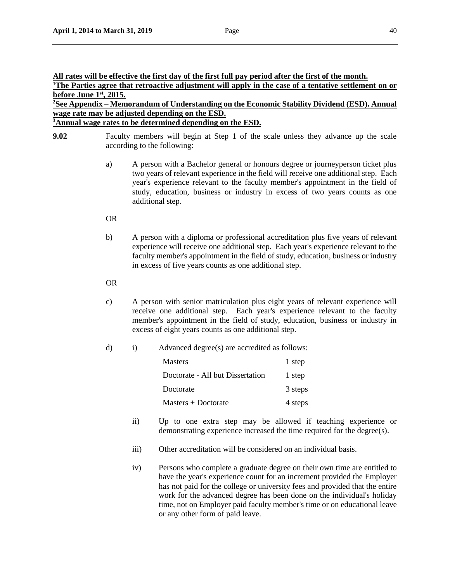# **All rates will be effective the first day of the first full pay period after the first of the month.**

<sup>1</sup>**The Parties agree that retroactive adjustment will apply in the case of a tentative settlement on or before June 1st, 2015.**

**<sup>2</sup>See Appendix – Memorandum of Understanding on the Economic Stability Dividend (ESD). Annual wage rate may be adjusted depending on the ESD.**

**<sup>3</sup>Annual wage rates to be determined depending on the ESD.**

- **9.02** Faculty members will begin at Step 1 of the scale unless they advance up the scale according to the following:
	- a) A person with a Bachelor general or honours degree or journeyperson ticket plus two years of relevant experience in the field will receive one additional step. Each year's experience relevant to the faculty member's appointment in the field of study, education, business or industry in excess of two years counts as one additional step.

## OR

b) A person with a diploma or professional accreditation plus five years of relevant experience will receive one additional step. Each year's experience relevant to the faculty member's appointment in the field of study, education, business or industry in excess of five years counts as one additional step.

## OR

c) A person with senior matriculation plus eight years of relevant experience will receive one additional step. Each year's experience relevant to the faculty member's appointment in the field of study, education, business or industry in excess of eight years counts as one additional step.

## d) i) Advanced degree(s) are accredited as follows:

| <b>Masters</b>                   | 1 step  |
|----------------------------------|---------|
| Doctorate - All but Dissertation | 1 step  |
| Doctorate                        | 3 steps |
| $Masters + Doctorate$            | 4 steps |

- ii) Up to one extra step may be allowed if teaching experience or demonstrating experience increased the time required for the degree(s).
- iii) Other accreditation will be considered on an individual basis.
- iv) Persons who complete a graduate degree on their own time are entitled to have the year's experience count for an increment provided the Employer has not paid for the college or university fees and provided that the entire work for the advanced degree has been done on the individual's holiday time, not on Employer paid faculty member's time or on educational leave or any other form of paid leave.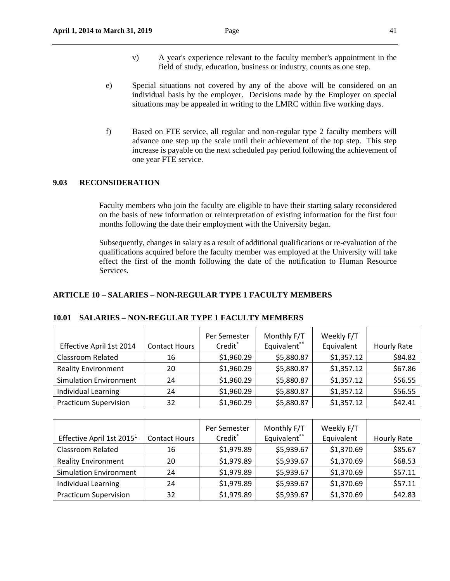- v) A year's experience relevant to the faculty member's appointment in the field of study, education, business or industry, counts as one step.
- e) Special situations not covered by any of the above will be considered on an individual basis by the employer. Decisions made by the Employer on special situations may be appealed in writing to the LMRC within five working days.
- f) Based on FTE service, all regular and non-regular type 2 faculty members will advance one step up the scale until their achievement of the top step. This step increase is payable on the next scheduled pay period following the achievement of one year FTE service.

## **9.03 RECONSIDERATION**

Faculty members who join the faculty are eligible to have their starting salary reconsidered on the basis of new information or reinterpretation of existing information for the first four months following the date their employment with the University began.

Subsequently, changes in salary as a result of additional qualifications or re-evaluation of the qualifications acquired before the faculty member was employed at the University will take effect the first of the month following the date of the notification to Human Resource Services.

## **ARTICLE 10 – SALARIES – NON-REGULAR TYPE 1 FACULTY MEMBERS**

| Effective April 1st 2014      | <b>Contact Hours</b> | Per Semester<br>Credit* | Monthly F/T<br>Equivalent** | Weekly F/T<br>Equivalent | Hourly Rate |
|-------------------------------|----------------------|-------------------------|-----------------------------|--------------------------|-------------|
| <b>Classroom Related</b>      | 16                   | \$1,960.29              | \$5,880.87                  | \$1,357.12               | \$84.82     |
| <b>Reality Environment</b>    | 20                   | \$1,960.29              | \$5,880.87                  | \$1,357.12               | \$67.86     |
| <b>Simulation Environment</b> | 24                   | \$1,960.29              | \$5,880.87                  | \$1,357.12               | \$56.55     |
| Individual Learning           | 24                   | \$1,960.29              | \$5,880.87                  | \$1,357.12               | \$56.55     |
| <b>Practicum Supervision</b>  | 32                   | \$1,960.29              | \$5,880.87                  | \$1,357.12               | \$42.41     |

## **10.01 SALARIES – NON-REGULAR TYPE 1 FACULTY MEMBERS**

| Effective April 1st 2015 <sup>1</sup> | <b>Contact Hours</b> | Per Semester<br>Credit* | Monthly F/T<br>Equivalent** | Weekly F/T<br>Equivalent | Hourly Rate |
|---------------------------------------|----------------------|-------------------------|-----------------------------|--------------------------|-------------|
| <b>Classroom Related</b>              | 16                   | \$1,979.89              | \$5,939.67                  | \$1,370.69               | \$85.67     |
| <b>Reality Environment</b>            | 20                   | \$1,979.89              | \$5,939.67                  | \$1,370.69               | \$68.53     |
| <b>Simulation Environment</b>         | 24                   | \$1,979.89              | \$5,939.67                  | \$1,370.69               | \$57.11     |
| Individual Learning                   | 24                   | \$1,979.89              | \$5,939.67                  | \$1,370.69               | \$57.11     |
| <b>Practicum Supervision</b>          | 32                   | \$1,979.89              | \$5,939.67                  | \$1,370.69               | \$42.83     |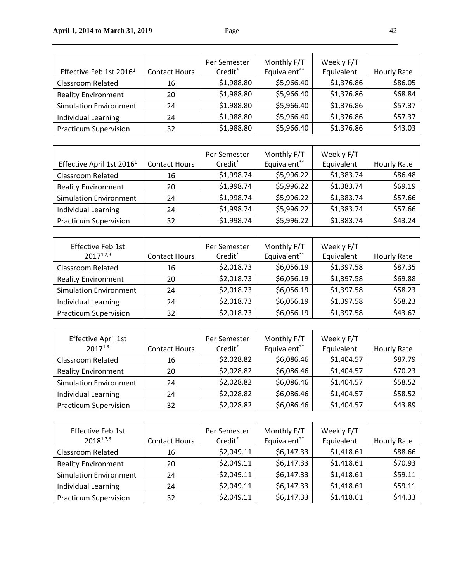|                                     |                      | Per Semester        | Monthly F/T  | Weekly F/T |             |
|-------------------------------------|----------------------|---------------------|--------------|------------|-------------|
| Effective Feb 1st 2016 <sup>1</sup> | <b>Contact Hours</b> | Credit <sup>*</sup> | Equivalent** | Equivalent | Hourly Rate |
| <b>Classroom Related</b>            | 16                   | \$1,988.80          | \$5,966.40   | \$1,376.86 | \$86.05     |
| <b>Reality Environment</b>          | 20                   | \$1,988.80          | \$5,966.40   | \$1,376.86 | \$68.84     |
| <b>Simulation Environment</b>       | 24                   | \$1,988.80          | \$5,966.40   | \$1,376.86 | \$57.37     |
| Individual Learning                 | 24                   | \$1,988.80          | \$5,966.40   | \$1,376.86 | \$57.37     |
| <b>Practicum Supervision</b>        | 32                   | \$1,988.80          | \$5,966.40   | \$1,376.86 | \$43.03     |

| Effective April 1st 2016 <sup>1</sup> | <b>Contact Hours</b> | Per Semester<br>Credit* | Monthly F/T<br>Equivalent** | Weekly F/T<br>Equivalent | Hourly Rate |
|---------------------------------------|----------------------|-------------------------|-----------------------------|--------------------------|-------------|
| <b>Classroom Related</b>              | 16                   | \$1,998.74              | \$5,996.22                  | \$1,383.74               | \$86.48     |
| <b>Reality Environment</b>            | 20                   | \$1,998.74              | \$5,996.22                  | \$1,383.74               | \$69.19     |
| <b>Simulation Environment</b>         | 24                   | \$1,998.74              | \$5,996.22                  | \$1,383.74               | \$57.66     |
| Individual Learning                   | 24                   | \$1,998.74              | \$5,996.22                  | \$1,383.74               | \$57.66     |
| <b>Practicum Supervision</b>          | 32                   | \$1,998.74              | \$5,996.22                  | \$1,383.74               | \$43.24     |

| <b>Effective Feb 1st</b><br>$2017^{1,2,3}$ | <b>Contact Hours</b> | Per Semester<br>Credit* | Monthly F/T<br>Equivalent** | Weekly F/T<br>Equivalent | Hourly Rate |
|--------------------------------------------|----------------------|-------------------------|-----------------------------|--------------------------|-------------|
| <b>Classroom Related</b>                   | 16                   | \$2,018.73              | \$6,056.19                  | \$1,397.58               | \$87.35     |
| <b>Reality Environment</b>                 | 20                   | \$2,018.73              | \$6,056.19                  | \$1,397.58               | \$69.88     |
| <b>Simulation Environment</b>              | 24                   | \$2,018.73              | \$6,056.19                  | \$1,397.58               | \$58.23     |
| Individual Learning                        | 24                   | \$2,018.73              | \$6,056.19                  | \$1,397.58               | \$58.23     |
| <b>Practicum Supervision</b>               | 32                   | \$2,018.73              | \$6,056.19                  | \$1,397.58               | \$43.67     |

| <b>Effective April 1st</b>    |                      | Per Semester | Monthly F/T  | Weekly F/T |             |
|-------------------------------|----------------------|--------------|--------------|------------|-------------|
| $2017^{1,3}$                  | <b>Contact Hours</b> | Credit*      | Equivalent** | Equivalent | Hourly Rate |
| <b>Classroom Related</b>      | 16                   | \$2,028.82   | \$6,086.46   | \$1,404.57 | \$87.79     |
| <b>Reality Environment</b>    | 20                   | \$2,028.82   | \$6,086.46   | \$1,404.57 | \$70.23     |
| <b>Simulation Environment</b> | 24                   | \$2,028.82   | \$6,086.46   | \$1,404.57 | \$58.52     |
| Individual Learning           | 24                   | \$2,028.82   | \$6,086.46   | \$1,404.57 | \$58.52     |
| <b>Practicum Supervision</b>  | 32                   | \$2,028.82   | \$6,086.46   | \$1,404.57 | \$43.89     |

| Effective Feb 1st<br>$2018^{1,2,3}$ | <b>Contact Hours</b> | Per Semester<br>Credit* | Monthly F/T<br>Equivalent** | Weekly F/T<br>Equivalent | <b>Hourly Rate</b> |
|-------------------------------------|----------------------|-------------------------|-----------------------------|--------------------------|--------------------|
| <b>Classroom Related</b>            | 16                   | \$2,049.11              | \$6,147.33                  | \$1,418.61               | \$88.66            |
| <b>Reality Environment</b>          | 20                   | \$2,049.11              | \$6,147.33                  | \$1,418.61               | \$70.93            |
| <b>Simulation Environment</b>       | 24                   | \$2,049.11              | \$6,147.33                  | \$1,418.61               | \$59.11            |
| Individual Learning                 | 24                   | \$2,049.11              | \$6,147.33                  | \$1,418.61               | \$59.11            |
| <b>Practicum Supervision</b>        | 32                   | \$2,049.11              | \$6,147.33                  | \$1,418.61               | \$44.33            |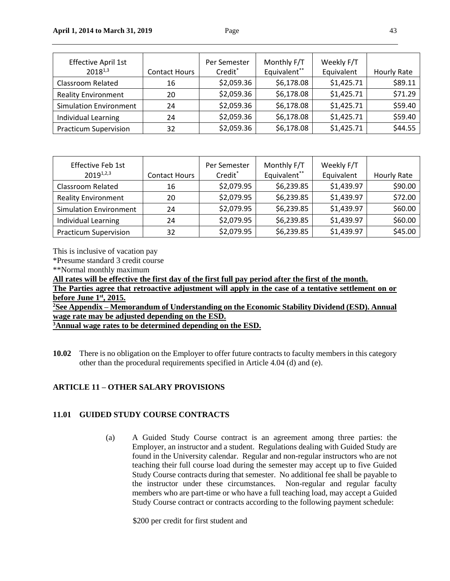| <b>Effective April 1st</b><br>$2018^{1,3}$ | <b>Contact Hours</b> | Per Semester<br>Credit* | Monthly F/T<br>Equivalent** | Weekly F/T<br>Equivalent | Hourly Rate |
|--------------------------------------------|----------------------|-------------------------|-----------------------------|--------------------------|-------------|
| Classroom Related                          | 16                   | \$2,059.36              | \$6,178.08                  | \$1,425.71               | \$89.11     |
| <b>Reality Environment</b>                 | 20                   | \$2,059.36              | \$6,178.08                  | \$1,425.71               | \$71.29     |
| <b>Simulation Environment</b>              | 24                   | \$2,059.36              | \$6,178.08                  | \$1,425.71               | \$59.40     |
| Individual Learning                        | 24                   | \$2,059.36              | \$6,178.08                  | \$1,425.71               | \$59.40     |
| <b>Practicum Supervision</b>               | 32                   | \$2,059.36              | \$6,178.08                  | \$1,425.71               | \$44.55     |

| Effective Feb 1st<br>$2019^{1,2,3}$ | <b>Contact Hours</b> | Per Semester<br>Credit* | Monthly F/T<br>Equivalent** | Weekly F/T<br>Equivalent | Hourly Rate |
|-------------------------------------|----------------------|-------------------------|-----------------------------|--------------------------|-------------|
| <b>Classroom Related</b>            | 16                   | \$2,079.95              | \$6,239.85                  | \$1,439.97               | \$90.00     |
| <b>Reality Environment</b>          | 20                   | \$2,079.95              | \$6,239.85                  | \$1,439.97               | \$72.00     |
| <b>Simulation Environment</b>       | 24                   | \$2,079.95              | \$6,239.85                  | \$1,439.97               | \$60.00     |
| Individual Learning                 | 24                   | \$2,079.95              | \$6,239.85                  | \$1,439.97               | \$60.00     |
| <b>Practicum Supervision</b>        | 32                   | \$2,079.95              | \$6,239.85                  | \$1,439.97               | \$45.00     |

This is inclusive of vacation pay

\*Presume standard 3 credit course

\*\*Normal monthly maximum

**All rates will be effective the first day of the first full pay period after the first of the month.** 

**The Parties agree that retroactive adjustment will apply in the case of a tentative settlement on or before June 1st, 2015.**

**<sup>2</sup>See Appendix – Memorandum of Understanding on the Economic Stability Dividend (ESD). Annual wage rate may be adjusted depending on the ESD.**

**<sup>3</sup>Annual wage rates to be determined depending on the ESD.**

**10.02** There is no obligation on the Employer to offer future contracts to faculty members in this category other than the procedural requirements specified in Article 4.04 (d) and (e).

## **ARTICLE 11 – OTHER SALARY PROVISIONS**

## **11.01 GUIDED STUDY COURSE CONTRACTS**

(a) A Guided Study Course contract is an agreement among three parties: the Employer, an instructor and a student. Regulations dealing with Guided Study are found in the University calendar. Regular and non-regular instructors who are not teaching their full course load during the semester may accept up to five Guided Study Course contracts during that semester. No additional fee shall be payable to the instructor under these circumstances. Non-regular and regular faculty members who are part-time or who have a full teaching load, may accept a Guided Study Course contract or contracts according to the following payment schedule:

\$200 per credit for first student and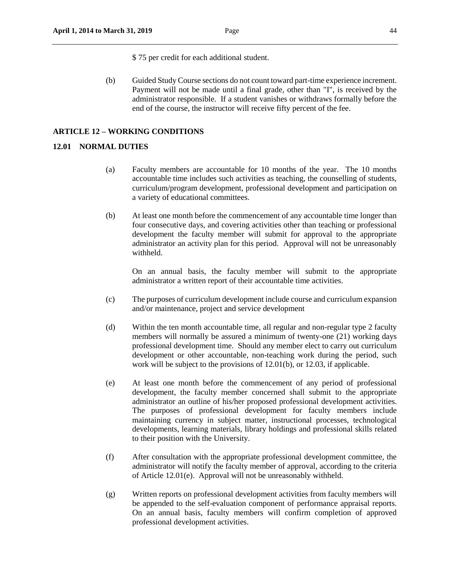\$ 75 per credit for each additional student.

(b) Guided Study Course sections do not count toward part-time experience increment. Payment will not be made until a final grade, other than "I", is received by the administrator responsible. If a student vanishes or withdraws formally before the end of the course, the instructor will receive fifty percent of the fee.

#### **ARTICLE 12** *–* **WORKING CONDITIONS**

## **12.01 NORMAL DUTIES**

- (a) Faculty members are accountable for 10 months of the year. The 10 months accountable time includes such activities as teaching, the counselling of students, curriculum/program development, professional development and participation on a variety of educational committees.
- (b) At least one month before the commencement of any accountable time longer than four consecutive days, and covering activities other than teaching or professional development the faculty member will submit for approval to the appropriate administrator an activity plan for this period. Approval will not be unreasonably withheld.

On an annual basis, the faculty member will submit to the appropriate administrator a written report of their accountable time activities.

- (c) The purposes of curriculum development include course and curriculum expansion and/or maintenance, project and service development
- (d) Within the ten month accountable time, all regular and non-regular type 2 faculty members will normally be assured a minimum of twenty-one (21) working days professional development time. Should any member elect to carry out curriculum development or other accountable, non-teaching work during the period, such work will be subject to the provisions of 12.01(b), or 12.03, if applicable.
- (e) At least one month before the commencement of any period of professional development, the faculty member concerned shall submit to the appropriate administrator an outline of his/her proposed professional development activities. The purposes of professional development for faculty members include maintaining currency in subject matter, instructional processes, technological developments, learning materials, library holdings and professional skills related to their position with the University.
- (f) After consultation with the appropriate professional development committee, the administrator will notify the faculty member of approval, according to the criteria of Article 12.01(e). Approval will not be unreasonably withheld.
- (g) Written reports on professional development activities from faculty members will be appended to the self-evaluation component of performance appraisal reports. On an annual basis, faculty members will confirm completion of approved professional development activities.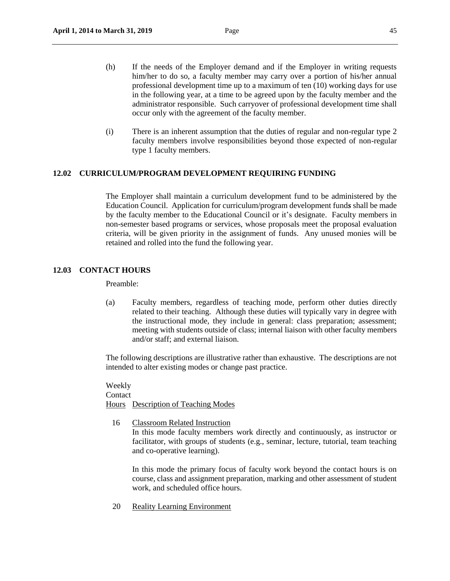- (h) If the needs of the Employer demand and if the Employer in writing requests him/her to do so, a faculty member may carry over a portion of his/her annual professional development time up to a maximum of ten (10) working days for use in the following year, at a time to be agreed upon by the faculty member and the administrator responsible. Such carryover of professional development time shall occur only with the agreement of the faculty member.
- (i) There is an inherent assumption that the duties of regular and non-regular type 2 faculty members involve responsibilities beyond those expected of non-regular type 1 faculty members.

## **12.02 CURRICULUM/PROGRAM DEVELOPMENT REQUIRING FUNDING**

The Employer shall maintain a curriculum development fund to be administered by the Education Council. Application for curriculum/program development fund*s* shall be made by the faculty member to the Educational Council or it's designate. Faculty members in non-semester based programs or services, whose proposals meet the proposal evaluation criteria, will be given priority in the assignment of funds. Any unused monies will be retained and rolled into the fund the following year.

## **12.03 CONTACT HOURS**

Preamble:

(a) Faculty members, regardless of teaching mode, perform other duties directly related to their teaching. Although these duties will typically vary in degree with the instructional mode, they include in general: class preparation; assessment; meeting with students outside of class; internal liaison with other faculty members and/or staff; and external liaison.

The following descriptions are illustrative rather than exhaustive. The descriptions are not intended to alter existing modes or change past practice.

Weekly Contact Hours Description of Teaching Modes

16 Classroom Related Instruction

In this mode faculty members work directly and continuously, as instructor or facilitator, with groups of students (e.g., seminar, lecture, tutorial, team teaching and co-operative learning).

In this mode the primary focus of faculty work beyond the contact hours is on course, class and assignment preparation, marking and other assessment of student work, and scheduled office hours.

20 Reality Learning Environment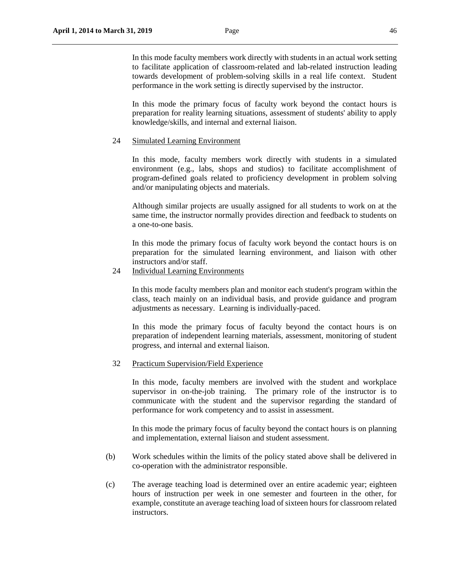In this mode faculty members work directly with students in an actual work setting to facilitate application of classroom-related and lab-related instruction leading towards development of problem-solving skills in a real life context. Student performance in the work setting is directly supervised by the instructor.

In this mode the primary focus of faculty work beyond the contact hours is preparation for reality learning situations, assessment of students' ability to apply knowledge/skills, and internal and external liaison.

#### 24 Simulated Learning Environment

In this mode, faculty members work directly with students in a simulated environment (e.g., labs, shops and studios) to facilitate accomplishment of program-defined goals related to proficiency development in problem solving and/or manipulating objects and materials.

Although similar projects are usually assigned for all students to work on at the same time, the instructor normally provides direction and feedback to students on a one-to-one basis.

In this mode the primary focus of faculty work beyond the contact hours is on preparation for the simulated learning environment, and liaison with other instructors and/or staff.

24 Individual Learning Environments

In this mode faculty members plan and monitor each student's program within the class, teach mainly on an individual basis, and provide guidance and program adjustments as necessary. Learning is individually-paced.

In this mode the primary focus of faculty beyond the contact hours is on preparation of independent learning materials, assessment, monitoring of student progress, and internal and external liaison.

32 Practicum Supervision/Field Experience

In this mode, faculty members are involved with the student and workplace supervisor in on-the-job training. The primary role of the instructor is to communicate with the student and the supervisor regarding the standard of performance for work competency and to assist in assessment.

In this mode the primary focus of faculty beyond the contact hours is on planning and implementation, external liaison and student assessment.

- (b) Work schedules within the limits of the policy stated above shall be delivered in co-operation with the administrator responsible.
- (c) The average teaching load is determined over an entire academic year; eighteen hours of instruction per week in one semester and fourteen in the other, for example, constitute an average teaching load of sixteen hours for classroom related instructors.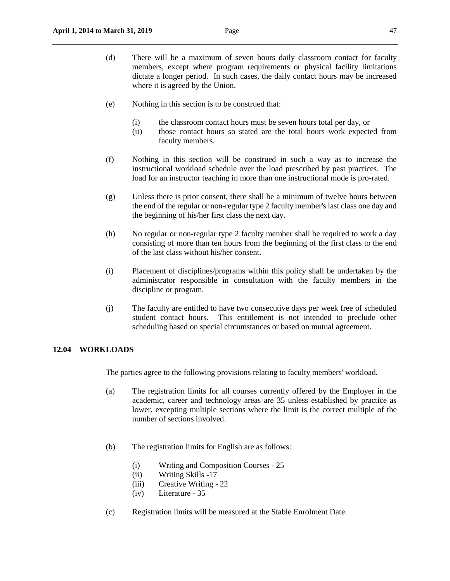- (d) There will be a maximum of seven hours daily classroom contact for faculty members, except where program requirements or physical facility limitations dictate a longer period. In such cases, the daily contact hours may be increased where it is agreed by the Union.
- (e) Nothing in this section is to be construed that:
	- (i) the classroom contact hours must be seven hours total per day, or
	- (ii) those contact hours so stated are the total hours work expected from faculty members.
- (f) Nothing in this section will be construed in such a way as to increase the instructional workload schedule over the load prescribed by past practices. The load for an instructor teaching in more than one instructional mode is pro-rated.
- (g) Unless there is prior consent, there shall be a minimum of twelve hours between the end of the regular or non-regular type 2 faculty member's last class one day and the beginning of his/her first class the next day.
- (h) No regular or non-regular type 2 faculty member shall be required to work a day consisting of more than ten hours from the beginning of the first class to the end of the last class without his/her consent.
- (i) Placement of disciplines/programs within this policy shall be undertaken by the administrator responsible in consultation with the faculty members in the discipline or program.
- (j) The faculty are entitled to have two consecutive days per week free of scheduled student contact hours. This entitlement is not intended to preclude other scheduling based on special circumstances or based on mutual agreement.

#### **12.04 WORKLOADS**

The parties agree to the following provisions relating to faculty members' workload.

- (a) The registration limits for all courses currently offered by the Employer in the academic, career and technology areas are 35 unless established by practice as lower, excepting multiple sections where the limit is the correct multiple of the number of sections involved.
- (b) The registration limits for English are as follows:
	- (i) Writing and Composition Courses 25
	- (ii) Writing Skills -17
	- (iii) Creative Writing 22
	- (iv) Literature 35
- (c) Registration limits will be measured at the Stable Enrolment Date.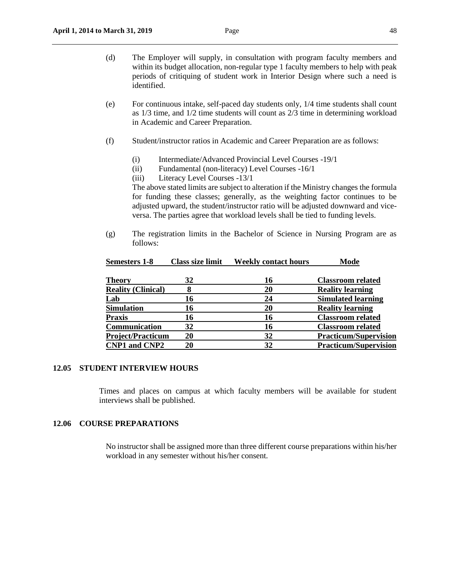- (d) The Employer will supply, in consultation with program faculty members and within its budget allocation, non-regular type 1 faculty members to help with peak periods of critiquing of student work in Interior Design where such a need is identified.
- (e) For continuous intake, self-paced day students only, 1/4 time students shall count as 1/3 time, and 1/2 time students will count as 2/3 time in determining workload in Academic and Career Preparation.
- (f) Student/instructor ratios in Academic and Career Preparation are as follows:
	- (i) Intermediate/Advanced Provincial Level Courses -19/1
	- (ii) Fundamental (non-literacy) Level Courses -16/1
	- (iii) Literacy Level Courses -13/1

The above stated limits are subject to alteration if the Ministry changes the formula for funding these classes; generally, as the weighting factor continues to be adjusted upward, the student/instructor ratio will be adjusted downward and viceversa. The parties agree that workload levels shall be tied to funding levels.

(g) The registration limits in the Bachelor of Science in Nursing Program are as follows:

| <b>Semesters 1-8</b>      | <b>Class size limit</b> | <b>Weekly contact hours</b> | Mode                         |
|---------------------------|-------------------------|-----------------------------|------------------------------|
| <b>Theory</b>             | 32                      | 16                          | <b>Classroom related</b>     |
| <b>Reality (Clinical)</b> |                         | 20                          | <b>Reality learning</b>      |
| Lab                       | 16                      | 24                          | <b>Simulated learning</b>    |
| <b>Simulation</b>         | 16                      | 20                          | <b>Reality learning</b>      |
| <b>Praxis</b>             | 16                      | 16                          | <b>Classroom related</b>     |
| Communication             | 32                      | 16                          | <b>Classroom related</b>     |
| <b>Project/Practicum</b>  | 20                      | 32                          | <b>Practicum/Supervision</b> |
| <b>CNP1 and CNP2</b>      | 20                      | 32                          | <b>Practicum/Supervision</b> |

#### **12.05 STUDENT INTERVIEW HOURS**

Times and places on campus at which faculty members will be available for student interviews shall be published.

## **12.06 COURSE PREPARATIONS**

No instructor shall be assigned more than three different course preparations within his/her workload in any semester without his/her consent.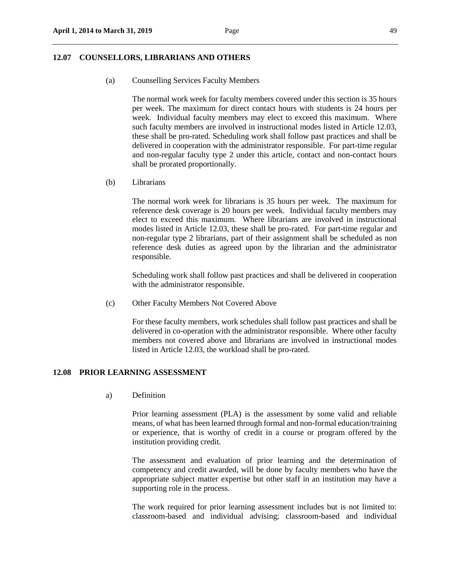#### **12.07 COUNSELLORS, LIBRARIANS AND OTHERS**

(a) Counselling Services Faculty Members

The normal work week for faculty members covered under this section is 35 hours per week. The maximum for direct contact hours with students is 24 hours per week. Individual faculty members may elect to exceed this maximum. Where such faculty members are involved in instructional modes listed in Article 12.03, these shall be pro-rated. Scheduling work shall follow past practices and shall be delivered in cooperation with the administrator responsible. For part-time regular and non-regular faculty type 2 under this article, contact and non-contact hours shall be prorated proportionally.

(b) Librarians

The normal work week for librarians is 35 hours per week. The maximum for reference desk coverage is 20 hours per week. Individual faculty members may elect to exceed this maximum. Where librarians are involved in instructional modes listed in Article 12.03, these shall be pro-rated. For part-time regular and non-regular type 2 librarians, part of their assignment shall be scheduled as non reference desk duties as agreed upon by the librarian and the administrator responsible.

Scheduling work shall follow past practices and shall be delivered in cooperation with the administrator responsible.

(c) Other Faculty Members Not Covered Above

For these faculty members, work schedules shall follow past practices and shall be delivered in co-operation with the administrator responsible. Where other faculty members not covered above and librarians are involved in instructional modes listed in Article 12.03, the workload shall be pro-rated.

## **12.08 PRIOR LEARNING ASSESSMENT**

a) Definition

Prior learning assessment (PLA) is the assessment by some valid and reliable means, of what has been learned through formal and non-formal education/training or experience, that is worthy of credit in a course or program offered by the institution providing credit.

The assessment and evaluation of prior learning and the determination of competency and credit awarded, will be done by faculty members who have the appropriate subject matter expertise but other staff in an institution may have a supporting role in the process.

The work required for prior learning assessment includes but is not limited to: classroom-based and individual advising; classroom-based and individual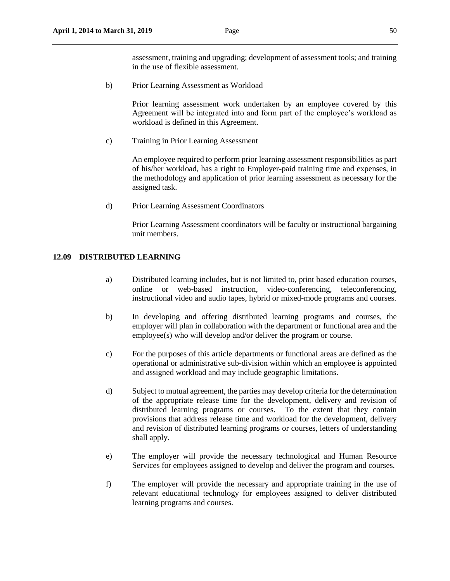assessment, training and upgrading; development of assessment tools; and training in the use of flexible assessment.

b) Prior Learning Assessment as Workload

Prior learning assessment work undertaken by an employee covered by this Agreement will be integrated into and form part of the employee's workload as workload is defined in this Agreement.

c) Training in Prior Learning Assessment

An employee required to perform prior learning assessment responsibilities as part of his/her workload, has a right to Employer-paid training time and expenses, in the methodology and application of prior learning assessment as necessary for the assigned task.

d) Prior Learning Assessment Coordinators

Prior Learning Assessment coordinators will be faculty or instructional bargaining unit members.

## **12.09 DISTRIBUTED LEARNING**

- a) Distributed learning includes, but is not limited to, print based education courses, online or web-based instruction, video-conferencing, teleconferencing, instructional video and audio tapes, hybrid or mixed-mode programs and courses.
- b) In developing and offering distributed learning programs and courses, the employer will plan in collaboration with the department or functional area and the employee(s) who will develop and/or deliver the program or course.
- c) For the purposes of this article departments or functional areas are defined as the operational or administrative sub-division within which an employee is appointed and assigned workload and may include geographic limitations.
- d) Subject to mutual agreement, the parties may develop criteria for the determination of the appropriate release time for the development, delivery and revision of distributed learning programs or courses. To the extent that they contain provisions that address release time and workload for the development, delivery and revision of distributed learning programs or courses, letters of understanding shall apply.
- e) The employer will provide the necessary technological and Human Resource Services for employees assigned to develop and deliver the program and courses.
- f) The employer will provide the necessary and appropriate training in the use of relevant educational technology for employees assigned to deliver distributed learning programs and courses.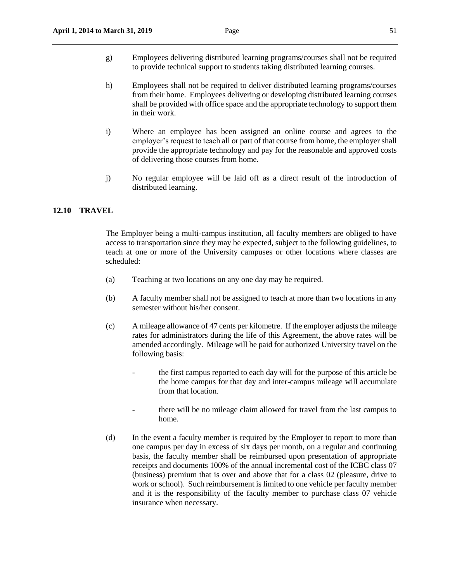- g) Employees delivering distributed learning programs/courses shall not be required to provide technical support to students taking distributed learning courses.
- h) Employees shall not be required to deliver distributed learning programs/courses from their home. Employees delivering or developing distributed learning courses shall be provided with office space and the appropriate technology to support them in their work.
- i) Where an employee has been assigned an online course and agrees to the employer's request to teach all or part of that course from home, the employer shall provide the appropriate technology and pay for the reasonable and approved costs of delivering those courses from home.
- j) No regular employee will be laid off as a direct result of the introduction of distributed learning.

#### **12.10 TRAVEL**

The Employer being a multi-campus institution, all faculty members are obliged to have access to transportation since they may be expected, subject to the following guidelines, to teach at one or more of the University campuses or other locations where classes are scheduled:

- (a) Teaching at two locations on any one day may be required.
- (b) A faculty member shall not be assigned to teach at more than two locations in any semester without his/her consent.
- (c) A mileage allowance of 47 cents per kilometre. If the employer adjusts the mileage rates for administrators during the life of this Agreement, the above rates will be amended accordingly. Mileage will be paid for authorized University travel on the following basis:
	- the first campus reported to each day will for the purpose of this article be the home campus for that day and inter-campus mileage will accumulate from that location.
	- there will be no mileage claim allowed for travel from the last campus to home.
- (d) In the event a faculty member is required by the Employer to report to more than one campus per day in excess of six days per month, on a regular and continuing basis, the faculty member shall be reimbursed upon presentation of appropriate receipts and documents 100% of the annual incremental cost of the ICBC class 07 (business) premium that is over and above that for a class 02 (pleasure, drive to work or school). Such reimbursement is limited to one vehicle per faculty member and it is the responsibility of the faculty member to purchase class 07 vehicle insurance when necessary.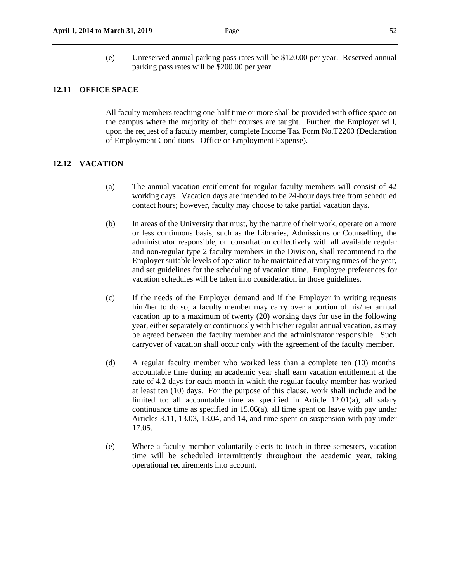(e) Unreserved annual parking pass rates will be \$120.00 per year. Reserved annual parking pass rates will be \$200.00 per year.

#### **12.11 OFFICE SPACE**

All faculty members teaching one-half time or more shall be provided with office space on the campus where the majority of their courses are taught. Further, the Employer will, upon the request of a faculty member, complete Income Tax Form No.T2200 (Declaration of Employment Conditions - Office or Employment Expense).

### **12.12 VACATION**

- (a) The annual vacation entitlement for regular faculty members will consist of 42 working days. Vacation days are intended to be 24-hour days free from scheduled contact hours; however, faculty may choose to take partial vacation days.
- (b) In areas of the University that must, by the nature of their work, operate on a more or less continuous basis, such as the Libraries, Admissions or Counselling, the administrator responsible, on consultation collectively with all available regular and non-regular type 2 faculty members in the Division, shall recommend to the Employer suitable levels of operation to be maintained at varying times of the year, and set guidelines for the scheduling of vacation time. Employee preferences for vacation schedules will be taken into consideration in those guidelines.
- (c) If the needs of the Employer demand and if the Employer in writing requests him/her to do so, a faculty member may carry over a portion of his/her annual vacation up to a maximum of twenty (20) working days for use in the following year, either separately or continuously with his/her regular annual vacation, as may be agreed between the faculty member and the administrator responsible. Such carryover of vacation shall occur only with the agreement of the faculty member.
- (d) A regular faculty member who worked less than a complete ten (10) months' accountable time during an academic year shall earn vacation entitlement at the rate of 4.2 days for each month in which the regular faculty member has worked at least ten (10) days. For the purpose of this clause, work shall include and be limited to: all accountable time as specified in Article 12.01(a), all salary continuance time as specified in 15.06(a), all time spent on leave with pay under Articles 3.11, 13.03, 13.04, and 14, and time spent on suspension with pay under 17.05.
- (e) Where a faculty member voluntarily elects to teach in three semesters, vacation time will be scheduled intermittently throughout the academic year, taking operational requirements into account.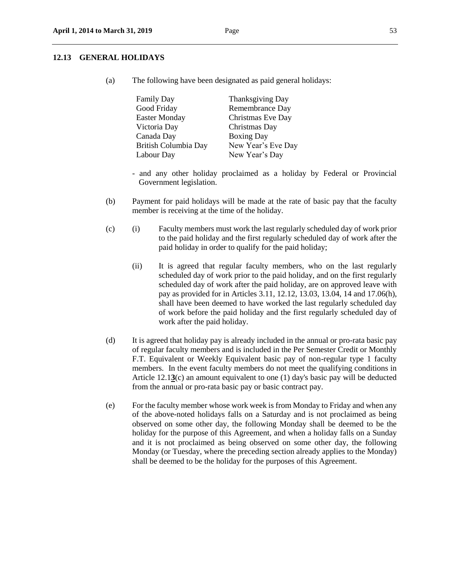#### **12.13 GENERAL HOLIDAYS**

(a) The following have been designated as paid general holidays:

| <b>Family Day</b>    | Thanksgiving Day   |
|----------------------|--------------------|
| Good Friday          | Remembrance Day    |
| <b>Easter Monday</b> | Christmas Eve Day  |
| Victoria Day         | Christmas Day      |
| Canada Day           | <b>Boxing Day</b>  |
| British Columbia Day | New Year's Eve Day |
| Labour Day           | New Year's Day     |

- and any other holiday proclaimed as a holiday by Federal or Provincial Government legislation.
- (b) Payment for paid holidays will be made at the rate of basic pay that the faculty member is receiving at the time of the holiday.
- (c) (i) Faculty members must work the last regularly scheduled day of work prior to the paid holiday and the first regularly scheduled day of work after the paid holiday in order to qualify for the paid holiday;
	- (ii) It is agreed that regular faculty members, who on the last regularly scheduled day of work prior to the paid holiday, and on the first regularly scheduled day of work after the paid holiday, are on approved leave with pay as provided for in Articles 3.11, 12.12, 13.03, 13.04, 14 and 17.06(h), shall have been deemed to have worked the last regularly scheduled day of work before the paid holiday and the first regularly scheduled day of work after the paid holiday.
- (d) It is agreed that holiday pay is already included in the annual or pro-rata basic pay of regular faculty members and is included in the Per Semester Credit or Monthly F.T. Equivalent or Weekly Equivalent basic pay of non-regular type 1 faculty members. In the event faculty members do not meet the qualifying conditions in Article 12.1**3**(c) an amount equivalent to one (1) day's basic pay will be deducted from the annual or pro-rata basic pay or basic contract pay.
- (e) For the faculty member whose work week is from Monday to Friday and when any of the above-noted holidays falls on a Saturday and is not proclaimed as being observed on some other day, the following Monday shall be deemed to be the holiday for the purpose of this Agreement, and when a holiday falls on a Sunday and it is not proclaimed as being observed on some other day, the following Monday (or Tuesday, where the preceding section already applies to the Monday) shall be deemed to be the holiday for the purposes of this Agreement.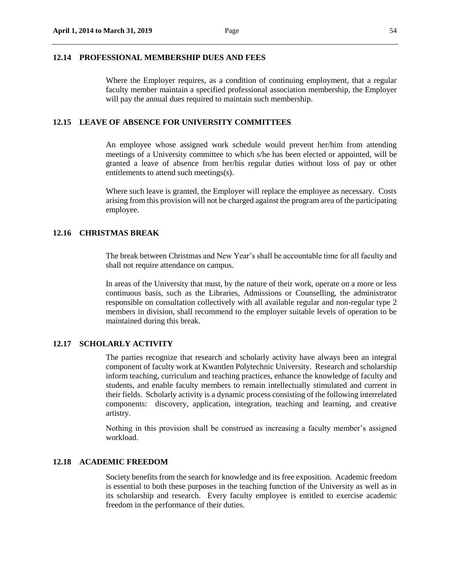#### **12.14 PROFESSIONAL MEMBERSHIP DUES AND FEES**

Where the Employer requires, as a condition of continuing employment, that a regular faculty member maintain a specified professional association membership, the Employer will pay the annual dues required to maintain such membership.

#### **12.15 LEAVE OF ABSENCE FOR UNIVERSITY COMMITTEES**

An employee whose assigned work schedule would prevent her/him from attending meetings of a University committee to which s/he has been elected or appointed, will be granted a leave of absence from her/his regular duties without loss of pay or other entitlements to attend such meetings(s).

Where such leave is granted, the Employer will replace the employee as necessary. Costs arising from this provision will not be charged against the program area of the participating employee.

#### **12.16 CHRISTMAS BREAK**

The break between Christmas and New Year's shall be accountable time for all faculty and shall not require attendance on campus.

In areas of the University that must, by the nature of their work, operate on a more or less continuous basis, such as the Libraries, Admissions or Counselling, the administrator responsible on consultation collectively with all available regular and non-regular type 2 members in division, shall recommend to the employer suitable levels of operation to be maintained during this break.

## **12.17 SCHOLARLY ACTIVITY**

The parties recognize that research and scholarly activity have always been an integral component of faculty work at Kwantlen Polytechnic University. Research and scholarship inform teaching, curriculum and teaching practices, enhance the knowledge of faculty and students, and enable faculty members to remain intellectually stimulated and current in their fields. Scholarly activity is a dynamic process consisting of the following interrelated components: discovery, application, integration, teaching and learning, and creative artistry.

Nothing in this provision shall be construed as increasing a faculty member's assigned workload.

#### **12.18 ACADEMIC FREEDOM**

Society benefits from the search for knowledge and its free exposition. Academic freedom is essential to both these purposes in the teaching function of the University as well as in its scholarship and research. Every faculty employee is entitled to exercise academic freedom in the performance of their duties.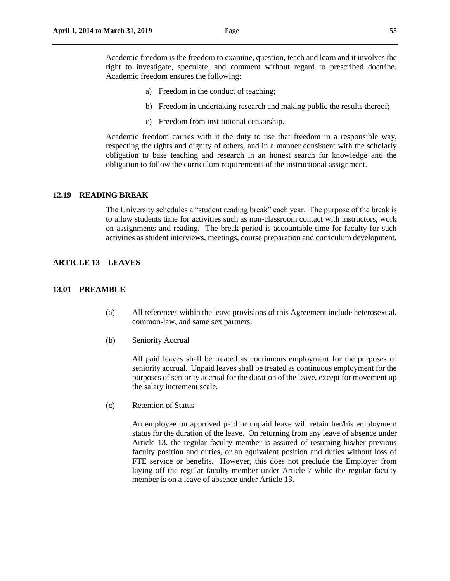- a) Freedom in the conduct of teaching;
- b) Freedom in undertaking research and making public the results thereof;
- c) Freedom from institutional censorship.

Academic freedom carries with it the duty to use that freedom in a responsible way, respecting the rights and dignity of others, and in a manner consistent with the scholarly obligation to base teaching and research in an honest search for knowledge and the obligation to follow the curriculum requirements of the instructional assignment.

#### **12.19 READING BREAK**

The University schedules a "student reading break" each year. The purpose of the break is to allow students time for activities such as non-classroom contact with instructors, work on assignments and reading. The break period is accountable time for faculty for such activities as student interviews, meetings, course preparation and curriculum development.

## **ARTICLE 13 – LEAVES**

#### **13.01 PREAMBLE**

- (a) All references within the leave provisions of this Agreement include heterosexual, common-law, and same sex partners.
- (b) Seniority Accrual

All paid leaves shall be treated as continuous employment for the purposes of seniority accrual. Unpaid leaves shall be treated as continuous employment for the purposes of seniority accrual for the duration of the leave, except for movement up the salary increment scale.

(c) Retention of Status

An employee on approved paid or unpaid leave will retain her/his employment status for the duration of the leave. On returning from any leave of absence under Article 13, the regular faculty member is assured of resuming his/her previous faculty position and duties, or an equivalent position and duties without loss of FTE service or benefits. However, this does not preclude the Employer from laying off the regular faculty member under Article 7 while the regular faculty member is on a leave of absence under Article 13.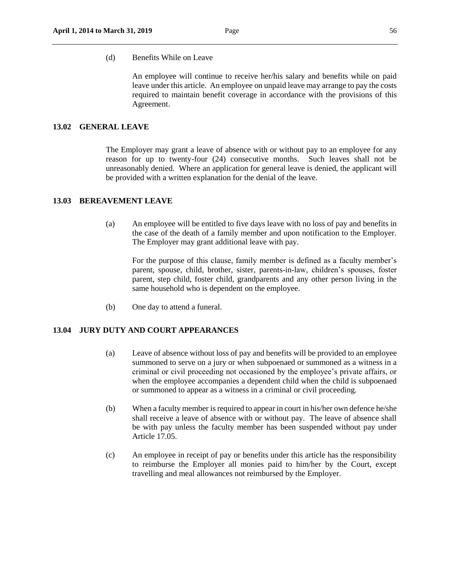(d) Benefits While on Leave

An employee will continue to receive her/his salary and benefits while on paid leave under this article. An employee on unpaid leave may arrange to pay the costs required to maintain benefit coverage in accordance with the provisions of this Agreement.

## **13.02 GENERAL LEAVE**

The Employer may grant a leave of absence with or without pay to an employee for any reason for up to twenty-four (24) consecutive months. Such leaves shall not be unreasonably denied. Where an application for general leave is denied, the applicant will be provided with a written explanation for the denial of the leave.

#### **13.03 BEREAVEMENT LEAVE**

(a) An employee will be entitled to five days leave with no loss of pay and benefits in the case of the death of a family member and upon notification to the Employer. The Employer may grant additional leave with pay.

For the purpose of this clause, family member is defined as a faculty member's parent, spouse, child, brother, sister, parents-in-law, children's spouses, foster parent, step child, foster child, grandparents and any other person living in the same household who is dependent on the employee.

(b) One day to attend a funeral.

## **13.04 JURY DUTY AND COURT APPEARANCES**

- (a) Leave of absence without loss of pay and benefits will be provided to an employee summoned to serve on a jury or when subpoenaed or summoned as a witness in a criminal or civil proceeding not occasioned by the employee's private affairs, or when the employee accompanies a dependent child when the child is subpoenaed or summoned to appear as a witness in a criminal or civil proceeding.
- (b) When a faculty member is required to appear in court in his/her own defence he/she shall receive a leave of absence with or without pay. The leave of absence shall be with pay unless the faculty member has been suspended without pay under Article 17.05.
- (c) An employee in receipt of pay or benefits under this article has the responsibility to reimburse the Employer all monies paid to him/her by the Court, except travelling and meal allowances not reimbursed by the Employer.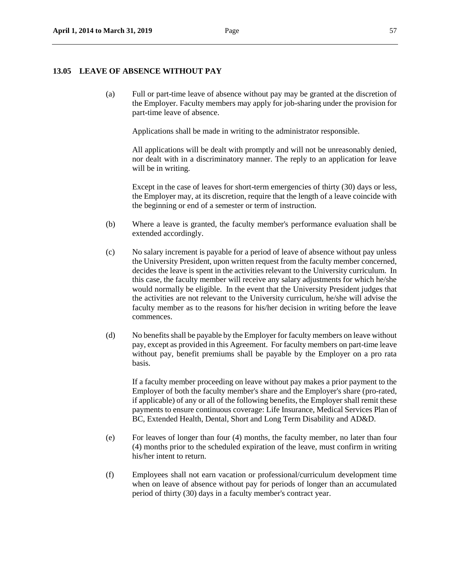#### **13.05 LEAVE OF ABSENCE WITHOUT PAY**

(a) Full or part-time leave of absence without pay may be granted at the discretion of the Employer. Faculty members may apply for job-sharing under the provision for part-time leave of absence.

Applications shall be made in writing to the administrator responsible.

All applications will be dealt with promptly and will not be unreasonably denied, nor dealt with in a discriminatory manner. The reply to an application for leave will be in writing.

Except in the case of leaves for short-term emergencies of thirty (30) days or less, the Employer may, at its discretion, require that the length of a leave coincide with the beginning or end of a semester or term of instruction.

- (b) Where a leave is granted, the faculty member's performance evaluation shall be extended accordingly.
- (c) No salary increment is payable for a period of leave of absence without pay unless the University President, upon written request from the faculty member concerned, decides the leave is spent in the activities relevant to the University curriculum. In this case, the faculty member will receive any salary adjustments for which he/she would normally be eligible. In the event that the University President judges that the activities are not relevant to the University curriculum, he/she will advise the faculty member as to the reasons for his/her decision in writing before the leave commences.
- (d) No benefits shall be payable by the Employer for faculty members on leave without pay, except as provided in this Agreement. For faculty members on part-time leave without pay, benefit premiums shall be payable by the Employer on a pro rata basis.

If a faculty member proceeding on leave without pay makes a prior payment to the Employer of both the faculty member's share and the Employer's share (pro-rated, if applicable) of any or all of the following benefits, the Employer shall remit these payments to ensure continuous coverage: Life Insurance, Medical Services Plan of BC, Extended Health, Dental, Short and Long Term Disability and AD&D.

- (e) For leaves of longer than four (4) months, the faculty member, no later than four (4) months prior to the scheduled expiration of the leave, must confirm in writing his/her intent to return.
- (f) Employees shall not earn vacation or professional/curriculum development time when on leave of absence without pay for periods of longer than an accumulated period of thirty (30) days in a faculty member's contract year.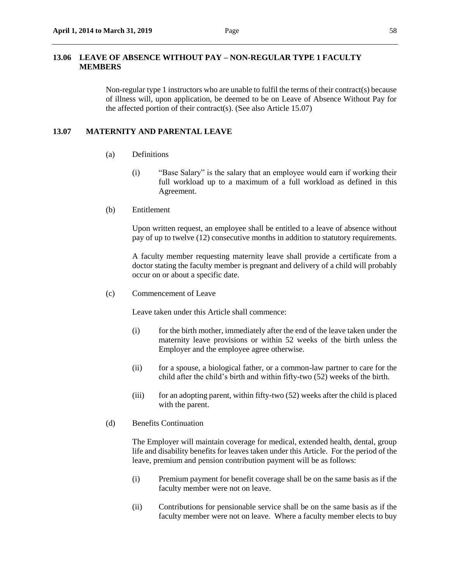#### **13.06 LEAVE OF ABSENCE WITHOUT PAY – NON-REGULAR TYPE 1 FACULTY MEMBERS**

Non-regular type 1 instructors who are unable to fulfil the terms of their contract(s) because of illness will, upon application, be deemed to be on Leave of Absence Without Pay for the affected portion of their contract(s). (See also Article 15.07)

#### **13.07 MATERNITY AND PARENTAL LEAVE**

- (a) Definitions
	- (i) "Base Salary" is the salary that an employee would earn if working their full workload up to a maximum of a full workload as defined in this Agreement.
- (b) Entitlement

Upon written request, an employee shall be entitled to a leave of absence without pay of up to twelve (12) consecutive months in addition to statutory requirements.

A faculty member requesting maternity leave shall provide a certificate from a doctor stating the faculty member is pregnant and delivery of a child will probably occur on or about a specific date.

(c) Commencement of Leave

Leave taken under this Article shall commence:

- (i) for the birth mother, immediately after the end of the leave taken under the maternity leave provisions or within 52 weeks of the birth unless the Employer and the employee agree otherwise.
- (ii) for a spouse, a biological father, or a common-law partner to care for the child after the child's birth and within fifty-two (52) weeks of the birth.
- (iii) for an adopting parent, within fifty-two (52) weeks after the child is placed with the parent.
- (d) Benefits Continuation

The Employer will maintain coverage for medical, extended health, dental, group life and disability benefits for leaves taken under this Article. For the period of the leave, premium and pension contribution payment will be as follows:

- (i) Premium payment for benefit coverage shall be on the same basis as if the faculty member were not on leave.
- (ii) Contributions for pensionable service shall be on the same basis as if the faculty member were not on leave. Where a faculty member elects to buy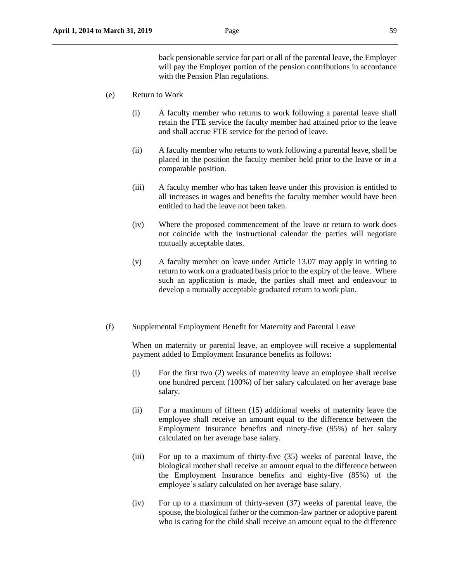back pensionable service for part or all of the parental leave, the Employer will pay the Employer portion of the pension contributions in accordance with the Pension Plan regulations.

- (e) Return to Work
	- (i) A faculty member who returns to work following a parental leave shall retain the FTE service the faculty member had attained prior to the leave and shall accrue FTE service for the period of leave.
	- (ii) A faculty member who returns to work following a parental leave, shall be placed in the position the faculty member held prior to the leave or in a comparable position.
	- (iii) A faculty member who has taken leave under this provision is entitled to all increases in wages and benefits the faculty member would have been entitled to had the leave not been taken.
	- (iv) Where the proposed commencement of the leave or return to work does not coincide with the instructional calendar the parties will negotiate mutually acceptable dates.
	- (v) A faculty member on leave under Article 13.07 may apply in writing to return to work on a graduated basis prior to the expiry of the leave. Where such an application is made, the parties shall meet and endeavour to develop a mutually acceptable graduated return to work plan.
- (f) Supplemental Employment Benefit for Maternity and Parental Leave

When on maternity or parental leave, an employee will receive a supplemental payment added to Employment Insurance benefits as follows:

- (i) For the first two (2) weeks of maternity leave an employee shall receive one hundred percent (100%) of her salary calculated on her average base salary.
- (ii) For a maximum of fifteen (15) additional weeks of maternity leave the employee shall receive an amount equal to the difference between the Employment Insurance benefits and ninety-five (95%) of her salary calculated on her average base salary.
- (iii) For up to a maximum of thirty-five (35) weeks of parental leave, the biological mother shall receive an amount equal to the difference between the Employment Insurance benefits and eighty-five (85%) of the employee's salary calculated on her average base salary.
- (iv) For up to a maximum of thirty-seven (37) weeks of parental leave, the spouse, the biological father or the common-law partner or adoptive parent who is caring for the child shall receive an amount equal to the difference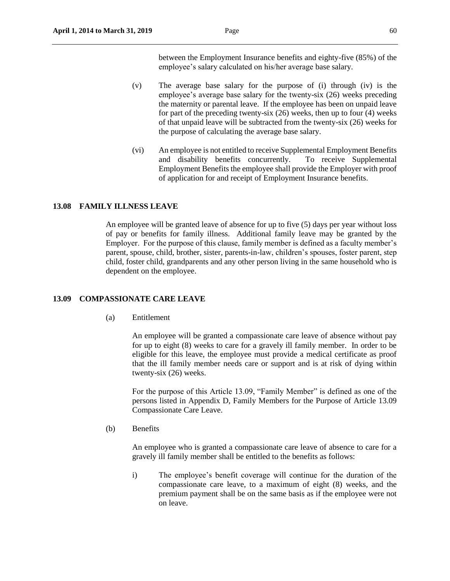between the Employment Insurance benefits and eighty-five (85%) of the employee's salary calculated on his/her average base salary.

- (v) The average base salary for the purpose of (i) through (iv) is the employee's average base salary for the twenty-six (26) weeks preceding the maternity or parental leave. If the employee has been on unpaid leave for part of the preceding twenty-six (26) weeks, then up to four (4) weeks of that unpaid leave will be subtracted from the twenty-six (26) weeks for the purpose of calculating the average base salary.
- (vi) An employee is not entitled to receive Supplemental Employment Benefits and disability benefits concurrently. To receive Supplemental Employment Benefits the employee shall provide the Employer with proof of application for and receipt of Employment Insurance benefits.

#### **13.08 FAMILY ILLNESS LEAVE**

An employee will be granted leave of absence for up to five (5) days per year without loss of pay or benefits for family illness. Additional family leave may be granted by the Employer. For the purpose of this clause, family member is defined as a faculty member's parent, spouse, child, brother, sister, parents-in-law, children's spouses, foster parent, step child, foster child, grandparents and any other person living in the same household who is dependent on the employee.

## **13.09 COMPASSIONATE CARE LEAVE**

(a) Entitlement

An employee will be granted a compassionate care leave of absence without pay for up to eight (8) weeks to care for a gravely ill family member. In order to be eligible for this leave, the employee must provide a medical certificate as proof that the ill family member needs care or support and is at risk of dying within twenty-six (26) weeks.

For the purpose of this Article 13.09, "Family Member" is defined as one of the persons listed in Appendix D, Family Members for the Purpose of Article 13.09 Compassionate Care Leave.

(b) Benefits

An employee who is granted a compassionate care leave of absence to care for a gravely ill family member shall be entitled to the benefits as follows:

i) The employee's benefit coverage will continue for the duration of the compassionate care leave, to a maximum of eight (8) weeks, and the premium payment shall be on the same basis as if the employee were not on leave.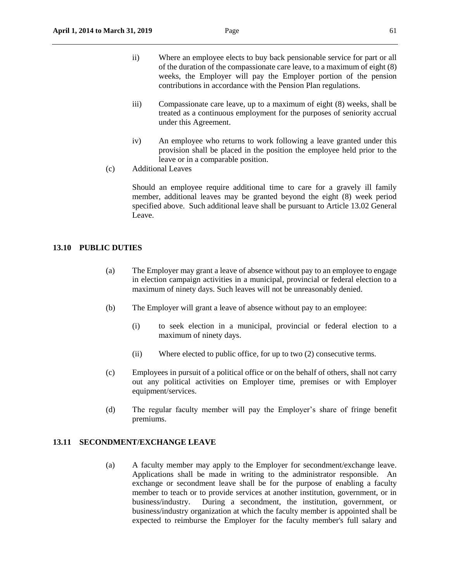- ii) Where an employee elects to buy back pensionable service for part or all of the duration of the compassionate care leave, to a maximum of eight (8) weeks, the Employer will pay the Employer portion of the pension contributions in accordance with the Pension Plan regulations.
- iii) Compassionate care leave, up to a maximum of eight (8) weeks, shall be treated as a continuous employment for the purposes of seniority accrual under this Agreement.
- iv) An employee who returns to work following a leave granted under this provision shall be placed in the position the employee held prior to the leave or in a comparable position.
- (c) Additional Leaves

Should an employee require additional time to care for a gravely ill family member, additional leaves may be granted beyond the eight (8) week period specified above. Such additional leave shall be pursuant to Article 13.02 General Leave.

#### **13.10 PUBLIC DUTIES**

- (a) The Employer may grant a leave of absence without pay to an employee to engage in election campaign activities in a municipal, provincial or federal election to a maximum of ninety days. Such leaves will not be unreasonably denied.
- (b) The Employer will grant a leave of absence without pay to an employee:
	- (i) to seek election in a municipal, provincial or federal election to a maximum of ninety days.
	- (ii) Where elected to public office, for up to two (2) consecutive terms.
- (c) Employees in pursuit of a political office or on the behalf of others, shall not carry out any political activities on Employer time, premises or with Employer equipment/services.
- (d) The regular faculty member will pay the Employer's share of fringe benefit premiums.

#### **13.11 SECONDMENT/EXCHANGE LEAVE**

(a) A faculty member may apply to the Employer for secondment/exchange leave. Applications shall be made in writing to the administrator responsible. An exchange or secondment leave shall be for the purpose of enabling a faculty member to teach or to provide services at another institution, government, or in business/industry. During a secondment, the institution, government, or business/industry organization at which the faculty member is appointed shall be expected to reimburse the Employer for the faculty member's full salary and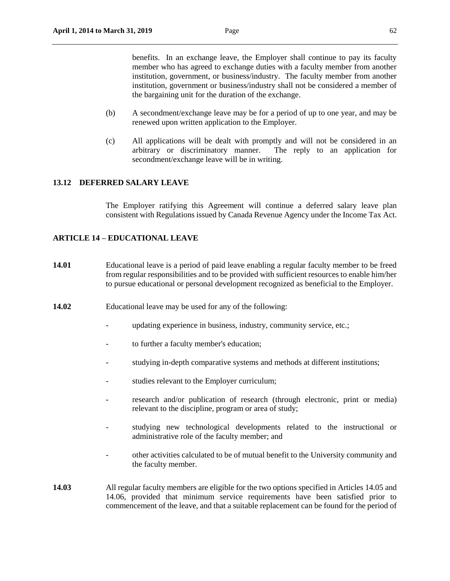benefits. In an exchange leave, the Employer shall continue to pay its faculty member who has agreed to exchange duties with a faculty member from another institution, government, or business/industry. The faculty member from another institution, government or business/industry shall not be considered a member of the bargaining unit for the duration of the exchange.

- (b) A secondment/exchange leave may be for a period of up to one year, and may be renewed upon written application to the Employer.
- (c) All applications will be dealt with promptly and will not be considered in an arbitrary or discriminatory manner. The reply to an application for secondment/exchange leave will be in writing.

## **13.12 DEFERRED SALARY LEAVE**

The Employer ratifying this Agreement will continue a deferred salary leave plan consistent with Regulations issued by Canada Revenue Agency under the Income Tax Act.

## **ARTICLE 14 – EDUCATIONAL LEAVE**

- **14.01** Educational leave is a period of paid leave enabling a regular faculty member to be freed from regular responsibilities and to be provided with sufficient resources to enable him/her to pursue educational or personal development recognized as beneficial to the Employer.
- **14.02** Educational leave may be used for any of the following:
	- updating experience in business, industry, community service, etc.;
	- to further a faculty member's education;
	- studying in-depth comparative systems and methods at different institutions;
	- studies relevant to the Employer curriculum;
	- research and/or publication of research (through electronic, print or media) relevant to the discipline, program or area of study;
	- studying new technological developments related to the instructional or administrative role of the faculty member; and
	- other activities calculated to be of mutual benefit to the University community and the faculty member.
- **14.03** All regular faculty members are eligible for the two options specified in Articles 14.05 and 14.06, provided that minimum service requirements have been satisfied prior to commencement of the leave, and that a suitable replacement can be found for the period of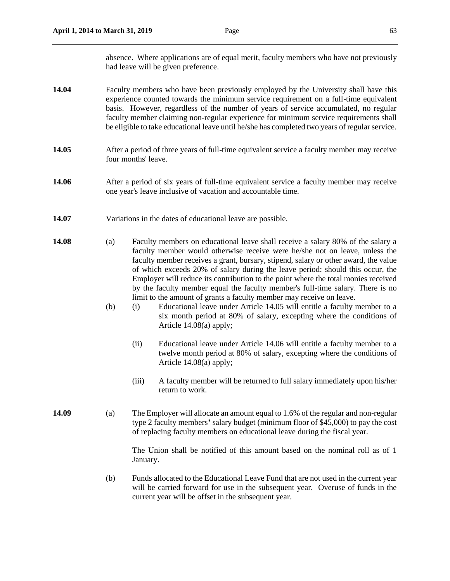- **14.04** Faculty members who have been previously employed by the University shall have this experience counted towards the minimum service requirement on a full-time equivalent basis. However, regardless of the number of years of service accumulated, no regular faculty member claiming non-regular experience for minimum service requirements shall be eligible to take educational leave until he/she has completed two years of regular service.
- **14.05** After a period of three years of full-time equivalent service a faculty member may receive four months' leave.
- **14.06** After a period of six years of full-time equivalent service a faculty member may receive one year's leave inclusive of vacation and accountable time.
- **14.07** Variations in the dates of educational leave are possible.
- **14.08** (a) Faculty members on educational leave shall receive a salary 80% of the salary a faculty member would otherwise receive were he/she not on leave, unless the faculty member receives a grant, bursary, stipend, salary or other award, the value of which exceeds 20% of salary during the leave period: should this occur, the Employer will reduce its contribution to the point where the total monies received by the faculty member equal the faculty member's full-time salary. There is no limit to the amount of grants a faculty member may receive on leave.
	- (b) (i) Educational leave under Article 14.05 will entitle a faculty member to a six month period at 80% of salary, excepting where the conditions of Article 14.08(a) apply;
		- (ii) Educational leave under Article 14.06 will entitle a faculty member to a twelve month period at 80% of salary, excepting where the conditions of Article 14.08(a) apply;
		- (iii) A faculty member will be returned to full salary immediately upon his/her return to work.
- **14.09** (a) The Employer will allocate an amount equal to 1.6% of the regular and non-regular type 2 faculty members**'** salary budget (minimum floor of \$45,000) to pay the cost of replacing faculty members on educational leave during the fiscal year.

The Union shall be notified of this amount based on the nominal roll as of 1 January.

(b) Funds allocated to the Educational Leave Fund that are not used in the current year will be carried forward for use in the subsequent year. Overuse of funds in the current year will be offset in the subsequent year.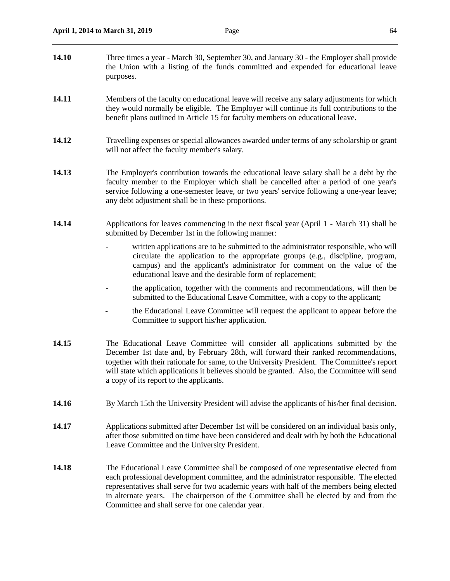| 14.10 | Three times a year - March 30, September 30, and January 30 - the Employer shall provide<br>the Union with a listing of the funds committed and expended for educational leave<br>purposes.                                                                                                                                                                                                                               |
|-------|---------------------------------------------------------------------------------------------------------------------------------------------------------------------------------------------------------------------------------------------------------------------------------------------------------------------------------------------------------------------------------------------------------------------------|
| 14.11 | Members of the faculty on educational leave will receive any salary adjustments for which<br>they would normally be eligible. The Employer will continue its full contributions to the<br>benefit plans outlined in Article 15 for faculty members on educational leave.                                                                                                                                                  |
| 14.12 | Travelling expenses or special allowances awarded under terms of any scholarship or grant<br>will not affect the faculty member's salary.                                                                                                                                                                                                                                                                                 |
| 14.13 | The Employer's contribution towards the educational leave salary shall be a debt by the<br>faculty member to the Employer which shall be cancelled after a period of one year's<br>service following a one-semester leave, or two years' service following a one-year leave;<br>any debt adjustment shall be in these proportions.                                                                                        |
| 14.14 | Applications for leaves commencing in the next fiscal year (April 1 - March 31) shall be<br>submitted by December 1st in the following manner:                                                                                                                                                                                                                                                                            |
|       | written applications are to be submitted to the administrator responsible, who will<br>circulate the application to the appropriate groups (e.g., discipline, program,<br>campus) and the applicant's administrator for comment on the value of the<br>educational leave and the desirable form of replacement;                                                                                                           |
|       | the application, together with the comments and recommendations, will then be<br>submitted to the Educational Leave Committee, with a copy to the applicant;                                                                                                                                                                                                                                                              |
|       | the Educational Leave Committee will request the applicant to appear before the<br>Committee to support his/her application.                                                                                                                                                                                                                                                                                              |
| 14.15 | The Educational Leave Committee will consider all applications submitted by the<br>December 1st date and, by February 28th, will forward their ranked recommendations,<br>together with their rationale for same, to the University President. The Committee's report<br>will state which applications it believes should be granted. Also, the Committee will send<br>a copy of its report to the applicants.            |
| 14.16 | By March 15th the University President will advise the applicants of his/her final decision.                                                                                                                                                                                                                                                                                                                              |
| 14.17 | Applications submitted after December 1st will be considered on an individual basis only,<br>after those submitted on time have been considered and dealt with by both the Educational<br>Leave Committee and the University President.                                                                                                                                                                                   |
| 14.18 | The Educational Leave Committee shall be composed of one representative elected from<br>each professional development committee, and the administrator responsible. The elected<br>representatives shall serve for two academic years with half of the members being elected<br>in alternate years. The chairperson of the Committee shall be elected by and from the<br>Committee and shall serve for one calendar year. |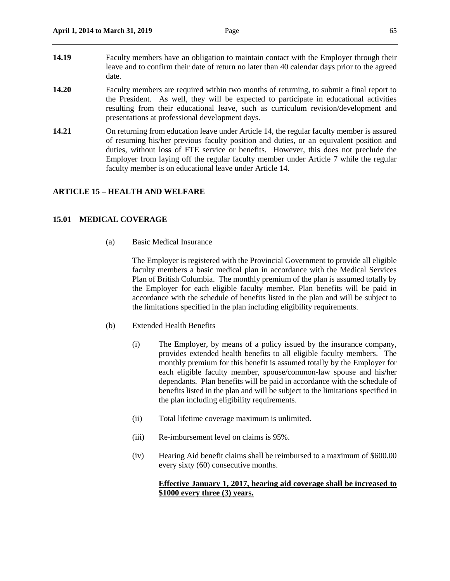- **14.19** Faculty members have an obligation to maintain contact with the Employer through their leave and to confirm their date of return no later than 40 calendar days prior to the agreed date.
- **14.20** Faculty members are required within two months of returning, to submit a final report to the President. As well, they will be expected to participate in educational activities resulting from their educational leave, such as curriculum revision/development and presentations at professional development days.
- **14.21** On returning from education leave under Article 14, the regular faculty member is assured of resuming his/her previous faculty position and duties, or an equivalent position and duties, without loss of FTE service or benefits. However, this does not preclude the Employer from laying off the regular faculty member under Article 7 while the regular faculty member is on educational leave under Article 14.

## **ARTICLE 15 – HEALTH AND WELFARE**

## **15.01 MEDICAL COVERAGE**

(a) Basic Medical Insurance

 The Employer is registered with the Provincial Government to provide all eligible faculty members a basic medical plan in accordance with the Medical Services Plan of British Columbia. The monthly premium of the plan is assumed totally by the Employer for each eligible faculty member. Plan benefits will be paid in accordance with the schedule of benefits listed in the plan and will be subject to the limitations specified in the plan including eligibility requirements.

- (b) Extended Health Benefits
	- (i) The Employer, by means of a policy issued by the insurance company, provides extended health benefits to all eligible faculty members. The monthly premium for this benefit is assumed totally by the Employer for each eligible faculty member, spouse/common-law spouse and his/her dependants. Plan benefits will be paid in accordance with the schedule of benefits listed in the plan and will be subject to the limitations specified in the plan including eligibility requirements.
	- (ii) Total lifetime coverage maximum is unlimited.
	- (iii) Re-imbursement level on claims is 95%.
	- (iv) Hearing Aid benefit claims shall be reimbursed to a maximum of \$600.00 every sixty (60) consecutive months.

## **Effective January 1, 2017, hearing aid coverage shall be increased to \$1000 every three (3) years.**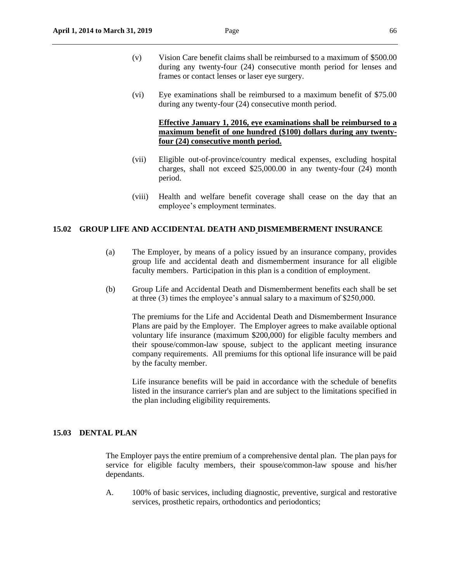- (v) Vision Care benefit claims shall be reimbursed to a maximum of \$500.00 during any twenty-four (24) consecutive month period for lenses and frames or contact lenses or laser eye surgery.
- (vi) Eye examinations shall be reimbursed to a maximum benefit of \$75.00 during any twenty-four (24) consecutive month period.

## **Effective January 1, 2016, eye examinations shall be reimbursed to a maximum benefit of one hundred (\$100) dollars during any twentyfour (24) consecutive month period.**

- (vii) Eligible out-of-province/country medical expenses, excluding hospital charges, shall not exceed \$25,000.00 in any twenty-four (24) month period.
- (viii) Health and welfare benefit coverage shall cease on the day that an employee's employment terminates.

#### **15.02 GROUP LIFE AND ACCIDENTAL DEATH AND DISMEMBERMENT INSURANCE**

- (a) The Employer, by means of a policy issued by an insurance company, provides group life and accidental death and dismemberment insurance for all eligible faculty members. Participation in this plan is a condition of employment.
- (b) Group Life and Accidental Death and Dismemberment benefits each shall be set at three (3) times the employee's annual salary to a maximum of \$250,000.

The premiums for the Life and Accidental Death and Dismemberment Insurance Plans are paid by the Employer. The Employer agrees to make available optional voluntary life insurance (maximum \$200,000) for eligible faculty members and their spouse/common-law spouse, subject to the applicant meeting insurance company requirements. All premiums for this optional life insurance will be paid by the faculty member.

Life insurance benefits will be paid in accordance with the schedule of benefits listed in the insurance carrier's plan and are subject to the limitations specified in the plan including eligibility requirements.

## **15.03 DENTAL PLAN**

The Employer pays the entire premium of a comprehensive dental plan. The plan pays for service for eligible faculty members, their spouse/common-law spouse and his/her dependants.

A. 100% of basic services, including diagnostic, preventive, surgical and restorative services, prosthetic repairs, orthodontics and periodontics;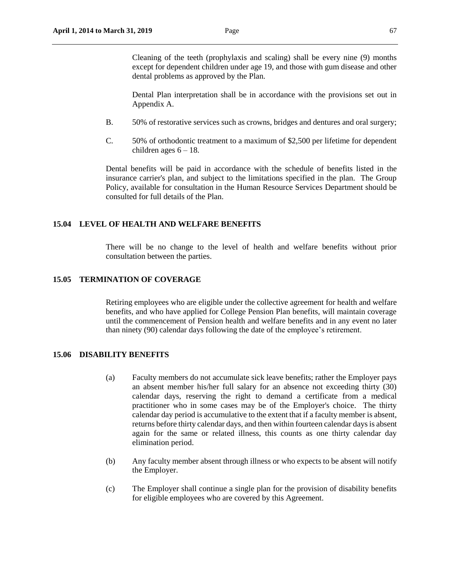Cleaning of the teeth (prophylaxis and scaling) shall be every nine (9) months except for dependent children under age 19, and those with gum disease and other dental problems as approved by the Plan.

Dental Plan interpretation shall be in accordance with the provisions set out in Appendix A.

- B. 50% of restorative services such as crowns, bridges and dentures and oral surgery;
- C. 50% of orthodontic treatment to a maximum of \$2,500 per lifetime for dependent children ages  $6 - 18$ .

Dental benefits will be paid in accordance with the schedule of benefits listed in the insurance carrier's plan, and subject to the limitations specified in the plan. The Group Policy, available for consultation in the Human Resource Services Department should be consulted for full details of the Plan.

#### **15.04 LEVEL OF HEALTH AND WELFARE BENEFITS**

There will be no change to the level of health and welfare benefits without prior consultation between the parties.

## **15.05 TERMINATION OF COVERAGE**

Retiring employees who are eligible under the collective agreement for health and welfare benefits, and who have applied for College Pension Plan benefits, will maintain coverage until the commencement of Pension health and welfare benefits and in any event no later than ninety (90) calendar days following the date of the employee's retirement.

#### **15.06 DISABILITY BENEFITS**

- (a) Faculty members do not accumulate sick leave benefits; rather the Employer pays an absent member his/her full salary for an absence not exceeding thirty (30) calendar days, reserving the right to demand a certificate from a medical practitioner who in some cases may be of the Employer's choice. The thirty calendar day period is accumulative to the extent that if a faculty member is absent, returns before thirty calendar days, and then within fourteen calendar days is absent again for the same or related illness, this counts as one thirty calendar day elimination period.
- (b) Any faculty member absent through illness or who expects to be absent will notify the Employer.
- (c) The Employer shall continue a single plan for the provision of disability benefits for eligible employees who are covered by this Agreement.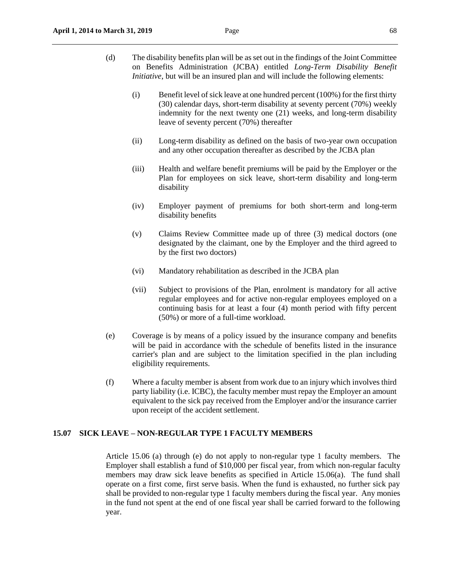- (d) The disability benefits plan will be as set out in the findings of the Joint Committee on Benefits Administration (JCBA) entitled *Long-Term Disability Benefit Initiative*, but will be an insured plan and will include the following elements:
	- (i) Benefit level of sick leave at one hundred percent (100%) for the first thirty (30) calendar days, short-term disability at seventy percent (70%) weekly indemnity for the next twenty one (21) weeks, and long-term disability leave of seventy percent (70%) thereafter
	- (ii) Long-term disability as defined on the basis of two-year own occupation and any other occupation thereafter as described by the JCBA plan
	- (iii) Health and welfare benefit premiums will be paid by the Employer or the Plan for employees on sick leave, short-term disability and long-term disability
	- (iv) Employer payment of premiums for both short-term and long-term disability benefits
	- (v) Claims Review Committee made up of three (3) medical doctors (one designated by the claimant, one by the Employer and the third agreed to by the first two doctors)
	- (vi) Mandatory rehabilitation as described in the JCBA plan
	- (vii) Subject to provisions of the Plan, enrolment is mandatory for all active regular employees and for active non-regular employees employed on a continuing basis for at least a four (4) month period with fifty percent (50%) or more of a full-time workload.
- (e) Coverage is by means of a policy issued by the insurance company and benefits will be paid in accordance with the schedule of benefits listed in the insurance carrier's plan and are subject to the limitation specified in the plan including eligibility requirements.
- (f) Where a faculty member is absent from work due to an injury which involves third party liability (i.e. ICBC), the faculty member must repay the Employer an amount equivalent to the sick pay received from the Employer and/or the insurance carrier upon receipt of the accident settlement.

## **15.07 SICK LEAVE – NON-REGULAR TYPE 1 FACULTY MEMBERS**

Article 15.06 (a) through (e) do not apply to non-regular type 1 faculty members. The Employer shall establish a fund of \$10,000 per fiscal year, from which non-regular faculty members may draw sick leave benefits as specified in Article 15.06(a). The fund shall operate on a first come, first serve basis. When the fund is exhausted, no further sick pay shall be provided to non-regular type 1 faculty members during the fiscal year. Any monies in the fund not spent at the end of one fiscal year shall be carried forward to the following year.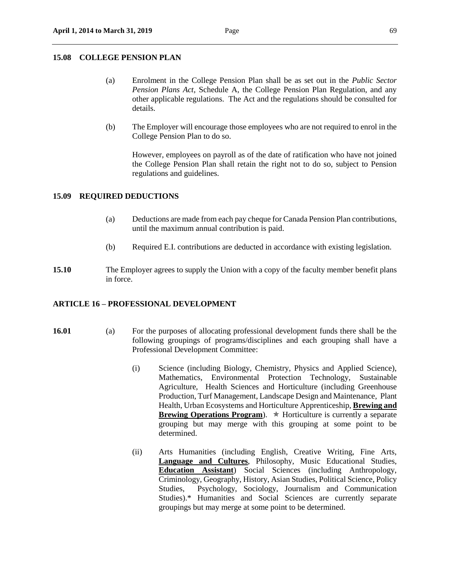#### **15.08 COLLEGE PENSION PLAN**

- (a) Enrolment in the College Pension Plan shall be as set out in the *Public Sector Pension Plans Act*, Schedule A, the College Pension Plan Regulation, and any other applicable regulations. The Act and the regulations should be consulted for details.
- (b) The Employer will encourage those employees who are not required to enrol in the College Pension Plan to do so.

However, employees on payroll as of the date of ratification who have not joined the College Pension Plan shall retain the right not to do so, subject to Pension regulations and guidelines.

#### **15.09 REQUIRED DEDUCTIONS**

- (a) Deductions are made from each pay cheque for Canada Pension Plan contributions, until the maximum annual contribution is paid.
- (b) Required E.I. contributions are deducted in accordance with existing legislation.
- **15.10** The Employer agrees to supply the Union with a copy of the faculty member benefit plans in force.

#### **ARTICLE 16 – PROFESSIONAL DEVELOPMENT**

- 
- **16.01** (a) For the purposes of allocating professional development funds there shall be the following groupings of programs/disciplines and each grouping shall have a Professional Development Committee:
	- (i) Science (including Biology, Chemistry, Physics and Applied Science), Mathematics, Environmental Protection Technology, Sustainable Agriculture, Health Sciences and Horticulture (including Greenhouse Production, Turf Management, Landscape Design and Maintenance, Plant Health, Urban Ecosystems and Horticulture Apprenticeship, **Brewing and Brewing Operations Program**).  $\star$  Horticulture is currently a separate grouping but may merge with this grouping at some point to be determined.
	- (ii) Arts Humanities (including English, Creative Writing, Fine Arts, **Language and Cultures**, Philosophy, Music Educational Studies, **Education Assistant**) Social Sciences (including Anthropology, Criminology, Geography, History, Asian Studies, Political Science, Policy Studies, Psychology, Sociology, Journalism and Communication Studies).\* Humanities and Social Sciences are currently separate groupings but may merge at some point to be determined.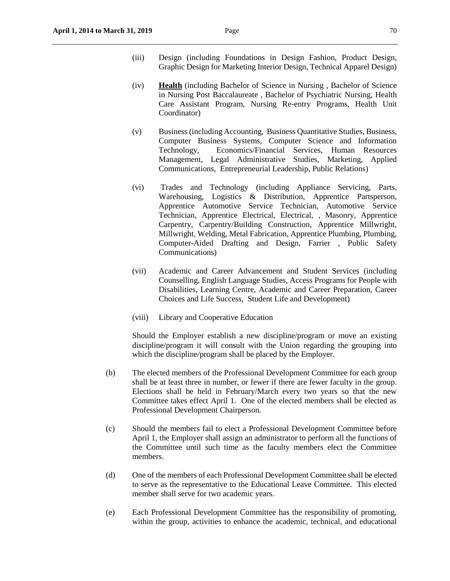- (iii) Design (including Foundations in Design Fashion, Product Design, Graphic Design for Marketing Interior Design, Technical Apparel Design)
- (iv) **Health** (including Bachelor of Science in Nursing , Bachelor of Science in Nursing Post Baccalaureate , Bachelor of Psychiatric Nursing, Health Care Assistant Program, Nursing Re-entry Programs, Health Unit Coordinator)
- (v) Business (including Accounting, Business Quantitative Studies, Business, Computer Business Systems, Computer Science and Information Technology, Economics/Financial Services, Human Resources Management, Legal Administrative Studies, Marketing, Applied Communications, Entrepreneurial Leadership, Public Relations)
- (vi) Trades and Technology (including Appliance Servicing, Parts, Warehousing, Logistics & Distribution, Apprentice Partsperson, Apprentice Automotive Service Technician, Automotive Service Technician, Apprentice Electrical, Electrical, , Masonry, Apprentice Carpentry, Carpentry/Building Construction, Apprentice Millwright, Millwright, Welding, Metal Fabrication, Apprentice Plumbing, Plumbing, Computer-Aided Drafting and Design, Farrier , Public Safety Communications)
- (vii) Academic and Career Advancement and Student Services (including Counselling, English Language Studies, Access Programs for People with Disabilities, Learning Centre, Academic and Career Preparation, Career Choices and Life Success, Student Life and Development)
- (viii) Library and Cooperative Education

Should the Employer establish a new discipline/program or move an existing discipline/program it will consult with the Union regarding the grouping into which the discipline*/*program shall be placed by the Employer.

- (b) The elected members of the Professional Development Committee for each group shall be at least three in number, or fewer if there are fewer faculty in the group. Elections shall be held in February/March every two years so that the new Committee takes effect April 1. One of the elected members shall be elected as Professional Development Chairperson.
- (c) Should the members fail to elect a Professional Development Committee before April 1, the Employer shall assign an administrator to perform all the functions of the Committee until such time as the faculty members elect the Committee members.
- (d) One of the members of each Professional Development Committee shall be elected to serve as the representative to the Educational Leave Committee. This elected member shall serve for two academic years.
- (e) Each Professional Development Committee has the responsibility of promoting, within the group, activities to enhance the academic, technical, and educational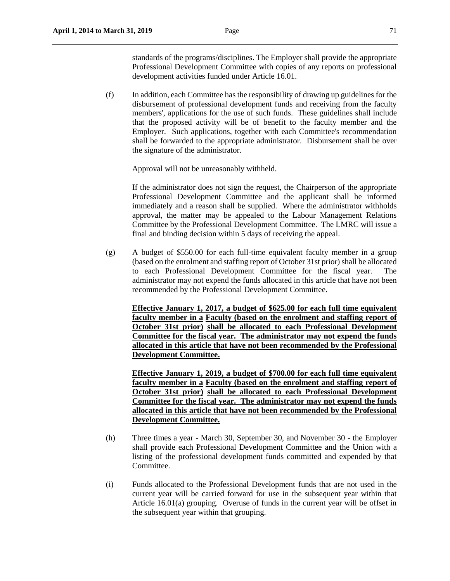standards of the programs/disciplines. The Employer shall provide the appropriate Professional Development Committee with copies of any reports on professional development activities funded under Article 16.01.

(f) In addition, each Committee has the responsibility of drawing up guidelines for the disbursement of professional development funds and receiving from the faculty members', applications for the use of such funds. These guidelines shall include that the proposed activity will be of benefit to the faculty member and the Employer. Such applications, together with each Committee's recommendation shall be forwarded to the appropriate administrator. Disbursement shall be over the signature of the administrator.

Approval will not be unreasonably withheld.

If the administrator does not sign the request, the Chairperson of the appropriate Professional Development Committee and the applicant shall be informed immediately and a reason shall be supplied. Where the administrator withholds approval, the matter may be appealed to the Labour Management Relations Committee by the Professional Development Committee. The LMRC will issue a final and binding decision within 5 days of receiving the appeal.

(g) A budget of \$550.00 for each full-time equivalent faculty member in a group (based on the enrolment and staffing report of October 31st prior) shall be allocated to each Professional Development Committee for the fiscal year. The administrator may not expend the funds allocated in this article that have not been recommended by the Professional Development Committee.

**Effective January 1, 2017, a budget of \$625.00 for each full time equivalent faculty member in a Faculty (based on the enrolment and staffing report of October 31st prior) shall be allocated to each Professional Development Committee for the fiscal year. The administrator may not expend the funds allocated in this article that have not been recommended by the Professional Development Committee.**

**Effective January 1, 2019, a budget of \$700.00 for each full time equivalent faculty member in a Faculty (based on the enrolment and staffing report of October 31st prior) shall be allocated to each Professional Development Committee for the fiscal year. The administrator may not expend the funds allocated in this article that have not been recommended by the Professional Development Committee.**

- (h) Three times a year March 30, September 30, and November 30 the Employer shall provide each Professional Development Committee and the Union with a listing of the professional development funds committed and expended by that Committee.
- (i) Funds allocated to the Professional Development funds that are not used in the current year will be carried forward for use in the subsequent year within that Article 16.01(a) grouping. Overuse of funds in the current year will be offset in the subsequent year within that grouping.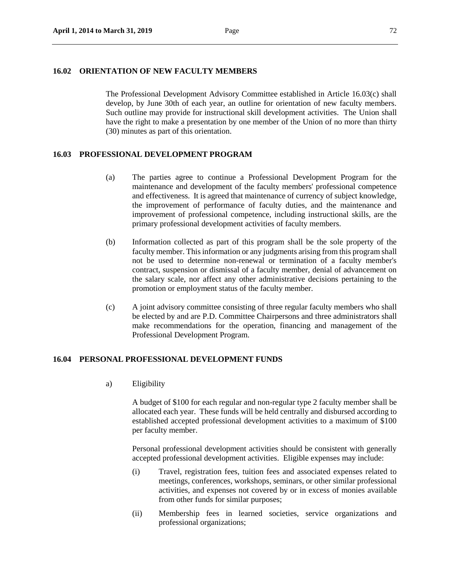#### **16.02 ORIENTATION OF NEW FACULTY MEMBERS**

The Professional Development Advisory Committee established in Article 16.03(c) shall develop, by June 30th of each year, an outline for orientation of new faculty members. Such outline may provide for instructional skill development activities. The Union shall have the right to make a presentation by one member of the Union of no more than thirty (30) minutes as part of this orientation.

## **16.03 PROFESSIONAL DEVELOPMENT PROGRAM**

- (a) The parties agree to continue a Professional Development Program for the maintenance and development of the faculty members' professional competence and effectiveness. It is agreed that maintenance of currency of subject knowledge, the improvement of performance of faculty duties, and the maintenance and improvement of professional competence, including instructional skills, are the primary professional development activities of faculty members.
- (b) Information collected as part of this program shall be the sole property of the faculty member. This information or any judgments arising from this program shall not be used to determine non-renewal or termination of a faculty member's contract, suspension or dismissal of a faculty member, denial of advancement on the salary scale, nor affect any other administrative decisions pertaining to the promotion or employment status of the faculty member.
- (c) A joint advisory committee consisting of three regular faculty members who shall be elected by and are P.D. Committee Chairpersons and three administrators shall make recommendations for the operation, financing and management of the Professional Development Program.

## **16.04 PERSONAL PROFESSIONAL DEVELOPMENT FUNDS**

a) Eligibility

A budget of \$100 for each regular and non-regular type 2 faculty member shall be allocated each year. These funds will be held centrally and disbursed according to established accepted professional development activities to a maximum of \$100 per faculty member.

Personal professional development activities should be consistent with generally accepted professional development activities. Eligible expenses may include:

- (i) Travel, registration fees, tuition fees and associated expenses related to meetings, conferences, workshops, seminars, or other similar professional activities, and expenses not covered by or in excess of monies available from other funds for similar purposes;
- (ii) Membership fees in learned societies, service organizations and professional organizations;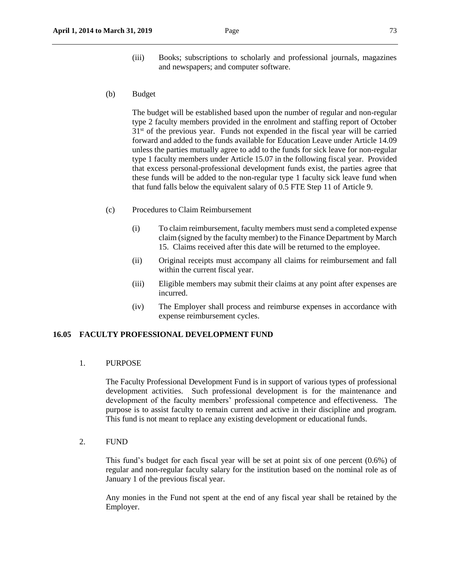- (iii) Books; subscriptions to scholarly and professional journals, magazines and newspapers; and computer software.
- (b) Budget

The budget will be established based upon the number of regular and non-regular type 2 faculty members provided in the enrolment and staffing report of October  $31<sup>st</sup>$  of the previous year. Funds not expended in the fiscal year will be carried forward and added to the funds available for Education Leave under Article 14.09 unless the parties mutually agree to add to the funds for sick leave for non-regular type 1 faculty members under Article 15.07 in the following fiscal year. Provided that excess personal-professional development funds exist, the parties agree that these funds will be added to the non-regular type 1 faculty sick leave fund when that fund falls below the equivalent salary of 0.5 FTE Step 11 of Article 9.

- (c) Procedures to Claim Reimbursement
	- (i) To claim reimbursement, faculty members must send a completed expense claim (signed by the faculty member) to the Finance Department by March 15. Claims received after this date will be returned to the employee.
	- (ii) Original receipts must accompany all claims for reimbursement and fall within the current fiscal year.
	- (iii) Eligible members may submit their claims at any point after expenses are incurred.
	- (iv) The Employer shall process and reimburse expenses in accordance with expense reimbursement cycles.

## **16.05 FACULTY PROFESSIONAL DEVELOPMENT FUND**

1. PURPOSE

The Faculty Professional Development Fund is in support of various types of professional development activities. Such professional development is for the maintenance and development of the faculty members' professional competence and effectiveness. The purpose is to assist faculty to remain current and active in their discipline and program. This fund is not meant to replace any existing development or educational funds.

2. FUND

This fund's budget for each fiscal year will be set at point six of one percent (0.6%) of regular and non-regular faculty salary for the institution based on the nominal role as of January 1 of the previous fiscal year.

Any monies in the Fund not spent at the end of any fiscal year shall be retained by the Employer.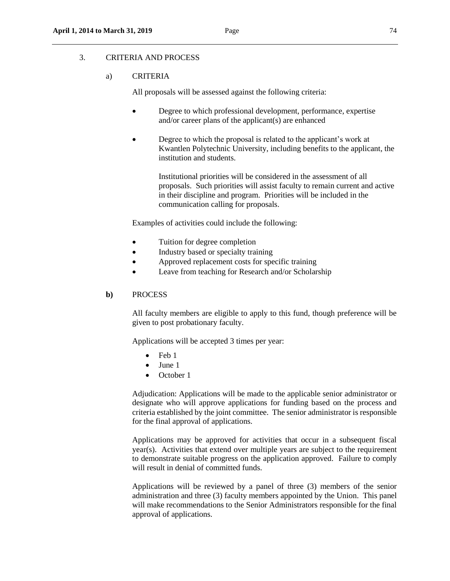# 3. CRITERIA AND PROCESS

## a) CRITERIA

All proposals will be assessed against the following criteria:

- Degree to which professional development, performance, expertise and/or career plans of the applicant(s) are enhanced
- Degree to which the proposal is related to the applicant's work at Kwantlen Polytechnic University, including benefits to the applicant, the institution and students.

Institutional priorities will be considered in the assessment of all proposals. Such priorities will assist faculty to remain current and active in their discipline and program. Priorities will be included in the communication calling for proposals.

Examples of activities could include the following:

- Tuition for degree completion
- Industry based or specialty training
- Approved replacement costs for specific training
- Leave from teaching for Research and/or Scholarship

#### **b)** PROCESS

All faculty members are eligible to apply to this fund, though preference will be given to post probationary faculty.

Applications will be accepted 3 times per year:

- $\bullet$  Feb 1
- $\bullet$  June 1
- October 1

Adjudication: Applications will be made to the applicable senior administrator or designate who will approve applications for funding based on the process and criteria established by the joint committee. The senior administrator is responsible for the final approval of applications.

Applications may be approved for activities that occur in a subsequent fiscal  $\text{year}(s)$ . Activities that extend over multiple years are subject to the requirement to demonstrate suitable progress on the application approved. Failure to comply will result in denial of committed funds.

Applications will be reviewed by a panel of three (3) members of the senior administration and three (3) faculty members appointed by the Union. This panel will make recommendations to the Senior Administrators responsible for the final approval of applications.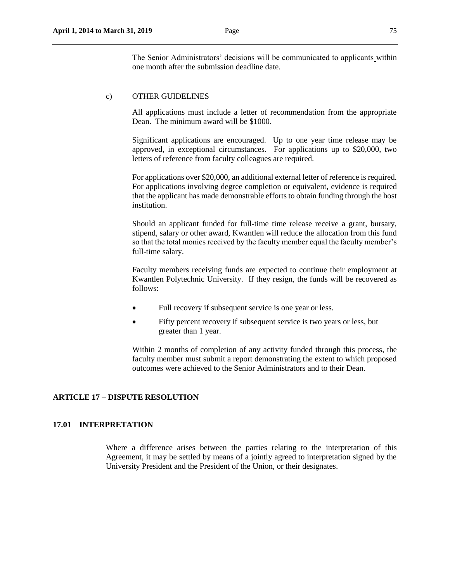The Senior Administrators' decisions will be communicated to applicants within one month after the submission deadline date.

# c) OTHER GUIDELINES

All applications must include a letter of recommendation from the appropriate Dean. The minimum award will be \$1000.

Significant applications are encouraged. Up to one year time release may be approved, in exceptional circumstances. For applications up to \$20,000, two letters of reference from faculty colleagues are required.

For applications over \$20,000, an additional external letter of reference is required. For applications involving degree completion or equivalent, evidence is required that the applicant has made demonstrable efforts to obtain funding through the host institution.

Should an applicant funded for full-time time release receive a grant, bursary, stipend, salary or other award, Kwantlen will reduce the allocation from this fund so that the total monies received by the faculty member equal the faculty member's full-time salary.

Faculty members receiving funds are expected to continue their employment at Kwantlen Polytechnic University. If they resign, the funds will be recovered as follows:

- Full recovery if subsequent service is one year or less.
- Fifty percent recovery if subsequent service is two years or less, but greater than 1 year.

Within 2 months of completion of any activity funded through this process, the faculty member must submit a report demonstrating the extent to which proposed outcomes were achieved to the Senior Administrators and to their Dean.

# **ARTICLE 17 – DISPUTE RESOLUTION**

## **17.01 INTERPRETATION**

Where a difference arises between the parties relating to the interpretation of this Agreement, it may be settled by means of a jointly agreed to interpretation signed by the University President and the President of the Union, or their designates.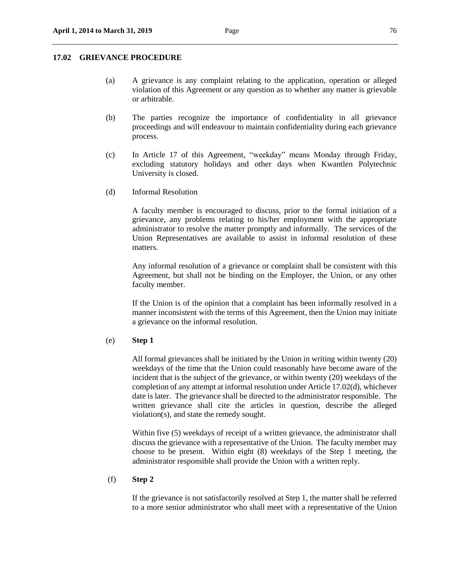### **17.02 GRIEVANCE PROCEDURE**

- (a) A grievance is any complaint relating to the application, operation or alleged violation of this Agreement or any question as to whether any matter is grievable or arbitrable.
- (b) The parties recognize the importance of confidentiality in all grievance proceedings and will endeavour to maintain confidentiality during each grievance process.
- (c) In Article 17 of this Agreement, "weekday" means Monday through Friday, excluding statutory holidays and other days when Kwantlen Polytechnic University is closed.
- (d) Informal Resolution

A faculty member is encouraged to discuss, prior to the formal initiation of a grievance, any problems relating to his/her employment with the appropriate administrator to resolve the matter promptly and informally. The services of the Union Representatives are available to assist in informal resolution of these matters.

Any informal resolution of a grievance or complaint shall be consistent with this Agreement, but shall not be binding on the Employer, the Union, or any other faculty member.

If the Union is of the opinion that a complaint has been informally resolved in a manner inconsistent with the terms of this Agreement, then the Union may initiate a grievance on the informal resolution.

#### (e) **Step 1**

All formal grievances shall be initiated by the Union in writing within twenty (20) weekdays of the time that the Union could reasonably have become aware of the incident that is the subject of the grievance, or within twenty (20) weekdays of the completion of any attempt at informal resolution under Article 17.02(d), whichever date is later. The grievance shall be directed to the administrator responsible. The written grievance shall cite the articles in question, describe the alleged violation(s), and state the remedy sought.

Within five (5) weekdays of receipt of a written grievance, the administrator shall discuss the grievance with a representative of the Union. The faculty member may choose to be present. Within eight (8) weekdays of the Step 1 meeting, the administrator responsible shall provide the Union with a written reply.

## (f) **Step 2**

If the grievance is not satisfactorily resolved at Step 1, the matter shall be referred to a more senior administrator who shall meet with a representative of the Union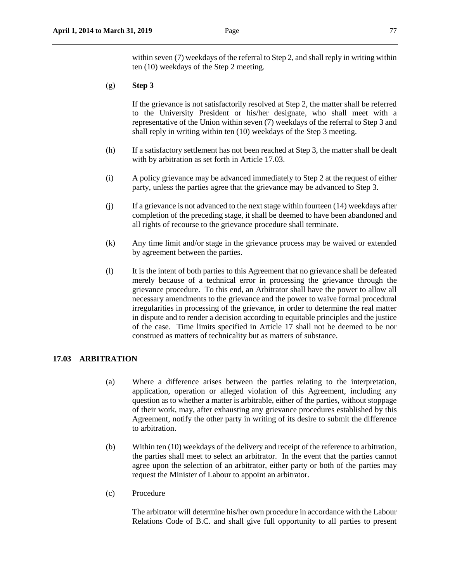within seven (7) weekdays of the referral to Step 2, and shall reply in writing within ten (10) weekdays of the Step 2 meeting.

# (g) **Step 3**

If the grievance is not satisfactorily resolved at Step 2, the matter shall be referred to the University President or his/her designate, who shall meet with a representative of the Union within seven (7) weekdays of the referral to Step 3 and shall reply in writing within ten (10) weekdays of the Step 3 meeting.

- (h) If a satisfactory settlement has not been reached at Step 3, the matter shall be dealt with by arbitration as set forth in Article 17.03.
- (i) A policy grievance may be advanced immediately to Step 2 at the request of either party, unless the parties agree that the grievance may be advanced to Step 3.
- (j) If a grievance is not advanced to the next stage within fourteen (14) weekdays after completion of the preceding stage, it shall be deemed to have been abandoned and all rights of recourse to the grievance procedure shall terminate.
- (k) Any time limit and/or stage in the grievance process may be waived or extended by agreement between the parties.
- (l) It is the intent of both parties to this Agreement that no grievance shall be defeated merely because of a technical error in processing the grievance through the grievance procedure. To this end, an Arbitrator shall have the power to allow all necessary amendments to the grievance and the power to waive formal procedural irregularities in processing of the grievance, in order to determine the real matter in dispute and to render a decision according to equitable principles and the justice of the case. Time limits specified in Article 17 shall not be deemed to be nor construed as matters of technicality but as matters of substance.

# **17.03 ARBITRATION**

- (a) Where a difference arises between the parties relating to the interpretation, application, operation or alleged violation of this Agreement, including any question as to whether a matter is arbitrable, either of the parties, without stoppage of their work, may, after exhausting any grievance procedures established by this Agreement, notify the other party in writing of its desire to submit the difference to arbitration.
- (b) Within ten (10) weekdays of the delivery and receipt of the reference to arbitration, the parties shall meet to select an arbitrator. In the event that the parties cannot agree upon the selection of an arbitrator, either party or both of the parties may request the Minister of Labour to appoint an arbitrator.
- (c) Procedure

The arbitrator will determine his/her own procedure in accordance with the Labour Relations Code of B.C. and shall give full opportunity to all parties to present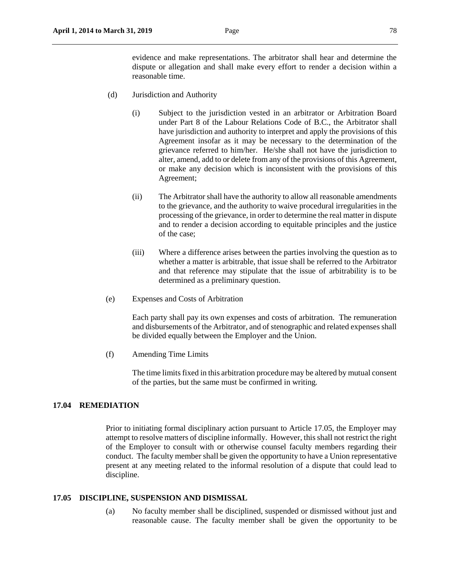- (d) Jurisdiction and Authority
	- (i) Subject to the jurisdiction vested in an arbitrator or Arbitration Board under Part 8 of the Labour Relations Code of B.C., the Arbitrator shall have jurisdiction and authority to interpret and apply the provisions of this Agreement insofar as it may be necessary to the determination of the grievance referred to him/her. He/she shall not have the jurisdiction to alter, amend, add to or delete from any of the provisions of this Agreement, or make any decision which is inconsistent with the provisions of this Agreement;
	- (ii) The Arbitrator shall have the authority to allow all reasonable amendments to the grievance, and the authority to waive procedural irregularities in the processing of the grievance, in order to determine the real matter in dispute and to render a decision according to equitable principles and the justice of the case;
	- (iii) Where a difference arises between the parties involving the question as to whether a matter is arbitrable, that issue shall be referred to the Arbitrator and that reference may stipulate that the issue of arbitrability is to be determined as a preliminary question.
- (e) Expenses and Costs of Arbitration

Each party shall pay its own expenses and costs of arbitration. The remuneration and disbursements of the Arbitrator, and of stenographic and related expenses shall be divided equally between the Employer and the Union.

(f) Amending Time Limits

The time limits fixed in this arbitration procedure may be altered by mutual consent of the parties, but the same must be confirmed in writing.

## **17.04 REMEDIATION**

Prior to initiating formal disciplinary action pursuant to Article 17.05, the Employer may attempt to resolve matters of discipline informally. However, this shall not restrict the right of the Employer to consult with or otherwise counsel faculty members regarding their conduct. The faculty member shall be given the opportunity to have a Union representative present at any meeting related to the informal resolution of a dispute that could lead to discipline.

### **17.05 DISCIPLINE, SUSPENSION AND DISMISSAL**

(a) No faculty member shall be disciplined, suspended or dismissed without just and reasonable cause. The faculty member shall be given the opportunity to be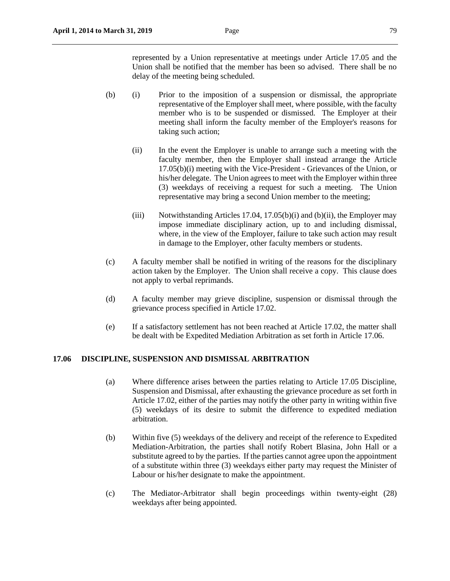represented by a Union representative at meetings under Article 17.05 and the Union shall be notified that the member has been so advised. There shall be no delay of the meeting being scheduled.

- (b) (i) Prior to the imposition of a suspension or dismissal, the appropriate representative of the Employer shall meet, where possible, with the faculty member who is to be suspended or dismissed. The Employer at their meeting shall inform the faculty member of the Employer's reasons for taking such action;
	- (ii) In the event the Employer is unable to arrange such a meeting with the faculty member, then the Employer shall instead arrange the Article 17.05(b)(i) meeting with the Vice-President - Grievances of the Union, or his/her delegate. The Union agrees to meet with the Employer within three (3) weekdays of receiving a request for such a meeting. The Union representative may bring a second Union member to the meeting;
	- (iii) Notwithstanding Articles 17.04, 17.05(b)(i) and (b)(ii), the Employer may impose immediate disciplinary action, up to and including dismissal, where, in the view of the Employer, failure to take such action may result in damage to the Employer, other faculty members or students.
- (c) A faculty member shall be notified in writing of the reasons for the disciplinary action taken by the Employer. The Union shall receive a copy. This clause does not apply to verbal reprimands.
- (d) A faculty member may grieve discipline, suspension or dismissal through the grievance process specified in Article 17.02.
- (e) If a satisfactory settlement has not been reached at Article 17.02, the matter shall be dealt with be Expedited Mediation Arbitration as set forth in Article 17.06.

# **17.06 DISCIPLINE, SUSPENSION AND DISMISSAL ARBITRATION**

- (a) Where difference arises between the parties relating to Article 17.05 Discipline, Suspension and Dismissal, after exhausting the grievance procedure as set forth in Article 17.02, either of the parties may notify the other party in writing within five (5) weekdays of its desire to submit the difference to expedited mediation arbitration.
- (b) Within five (5) weekdays of the delivery and receipt of the reference to Expedited Mediation-Arbitration, the parties shall notify Robert Blasina, John Hall or a substitute agreed to by the parties. If the parties cannot agree upon the appointment of a substitute within three (3) weekdays either party may request the Minister of Labour or his/her designate to make the appointment.
- (c) The Mediator-Arbitrator shall begin proceedings within twenty-eight (28) weekdays after being appointed.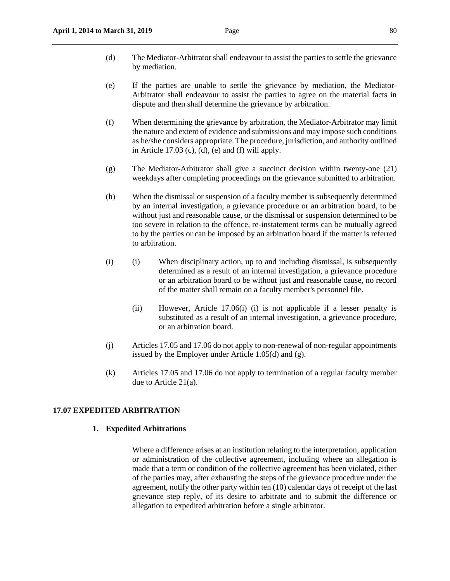- (d) The Mediator-Arbitrator shall endeavour to assist the parties to settle the grievance by mediation.
- (e) If the parties are unable to settle the grievance by mediation, the Mediator-Arbitrator shall endeavour to assist the parties to agree on the material facts in dispute and then shall determine the grievance by arbitration.
- (f) When determining the grievance by arbitration, the Mediator-Arbitrator may limit the nature and extent of evidence and submissions and may impose such conditions as he/she considers appropriate. The procedure, jurisdiction, and authority outlined in Article 17.03 (c), (d), (e) and (f) will apply.
- (g) The Mediator-Arbitrator shall give a succinct decision within twenty-one (21) weekdays after completing proceedings on the grievance submitted to arbitration.
- (h) When the dismissal or suspension of a faculty member is subsequently determined by an internal investigation, a grievance procedure or an arbitration board, to be without just and reasonable cause, or the dismissal or suspension determined to be too severe in relation to the offence, re-instatement terms can be mutually agreed to by the parties or can be imposed by an arbitration board if the matter is referred to arbitration.
- (i) (i) When disciplinary action, up to and including dismissal, is subsequently determined as a result of an internal investigation, a grievance procedure or an arbitration board to be without just and reasonable cause, no record of the matter shall remain on a faculty member's personnel file.
	- (ii) However, Article 17.06(i) (i) is not applicable if a lesser penalty is substituted as a result of an internal investigation, a grievance procedure, or an arbitration board.
- (j) Articles 17.05 and 17.06 do not apply to non-renewal of non-regular appointments issued by the Employer under Article 1.05(d) and (g).
- (k) Articles 17.05 and 17.06 do not apply to termination of a regular faculty member due to Article 21(a).

#### **17.07 EXPEDITED ARBITRATION**

## **1. Expedited Arbitrations**

Where a difference arises at an institution relating to the interpretation, application or administration of the collective agreement, including where an allegation is made that a term or condition of the collective agreement has been violated, either of the parties may, after exhausting the steps of the grievance procedure under the agreement, notify the other party within ten (10) calendar days of receipt of the last grievance step reply, of its desire to arbitrate and to submit the difference or allegation to expedited arbitration before a single arbitrator.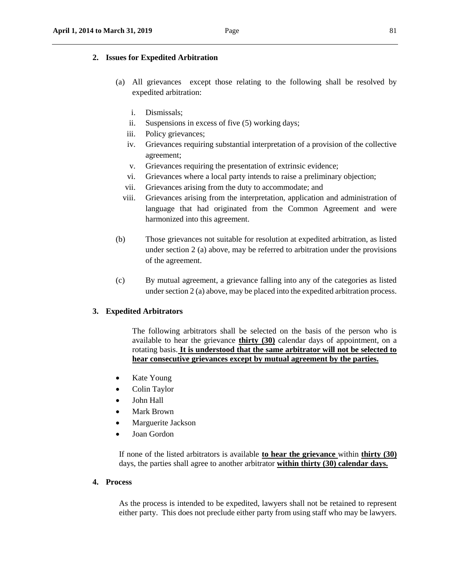## **2. Issues for Expedited Arbitration**

- (a) All grievances except those relating to the following shall be resolved by expedited arbitration:
	- i. Dismissals;
	- ii. Suspensions in excess of five (5) working days;
	- iii. Policy grievances;
	- iv. Grievances requiring substantial interpretation of a provision of the collective agreement;
	- v. Grievances requiring the presentation of extrinsic evidence;
	- vi. Grievances where a local party intends to raise a preliminary objection;
	- vii. Grievances arising from the duty to accommodate; and
	- viii. Grievances arising from the interpretation, application and administration of language that had originated from the Common Agreement and were harmonized into this agreement.
- (b) Those grievances not suitable for resolution at expedited arbitration, as listed under section 2 (a) above, may be referred to arbitration under the provisions of the agreement.
- (c) By mutual agreement, a grievance falling into any of the categories as listed under section 2 (a) above, may be placed into the expedited arbitration process.

## **3. Expedited Arbitrators**

The following arbitrators shall be selected on the basis of the person who is available to hear the grievance **thirty (30)** calendar days of appointment, on a rotating basis. **It is understood that the same arbitrator will not be selected to hear consecutive grievances except by mutual agreement by the parties.**

- Kate Young
- Colin Taylor
- John Hall
- Mark Brown
- Marguerite Jackson
- Joan Gordon

If none of the listed arbitrators is available **to hear the grievance** within **thirty (30)**  days, the parties shall agree to another arbitrator **within thirty (30) calendar days.** 

# **4. Process**

As the process is intended to be expedited, lawyers shall not be retained to represent either party. This does not preclude either party from using staff who may be lawyers.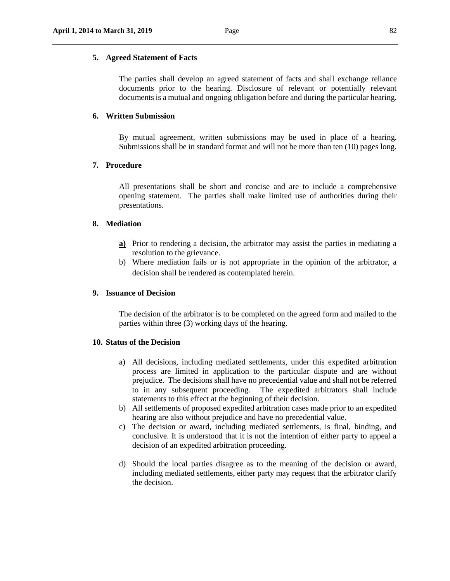## **5. Agreed Statement of Facts**

The parties shall develop an agreed statement of facts and shall exchange reliance documents prior to the hearing. Disclosure of relevant or potentially relevant documents is a mutual and ongoing obligation before and during the particular hearing.

## **6. Written Submission**

By mutual agreement, written submissions may be used in place of a hearing. Submissions shall be in standard format and will not be more than ten (10) pages long.

# **7. Procedure**

All presentations shall be short and concise and are to include a comprehensive opening statement. The parties shall make limited use of authorities during their presentations.

#### **8. Mediation**

- **a)** Prior to rendering a decision, the arbitrator may assist the parties in mediating a resolution to the grievance.
- b) Where mediation fails or is not appropriate in the opinion of the arbitrator, a decision shall be rendered as contemplated herein.

#### **9. Issuance of Decision**

The decision of the arbitrator is to be completed on the agreed form and mailed to the parties within three (3) working days of the hearing.

#### **10. Status of the Decision**

- a) All decisions, including mediated settlements, under this expedited arbitration process are limited in application to the particular dispute and are without prejudice. The decisions shall have no precedential value and shall not be referred to in any subsequent proceeding. The expedited arbitrators shall include statements to this effect at the beginning of their decision.
- b) All settlements of proposed expedited arbitration cases made prior to an expedited hearing are also without prejudice and have no precedential value.
- c) The decision or award, including mediated settlements, is final, binding, and conclusive. It is understood that it is not the intention of either party to appeal a decision of an expedited arbitration proceeding.
- d) Should the local parties disagree as to the meaning of the decision or award, including mediated settlements, either party may request that the arbitrator clarify the decision.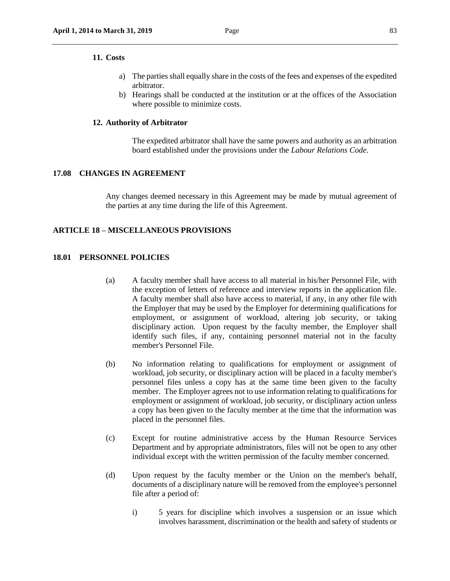#### **11. Costs**

- a) The parties shall equally share in the costs of the fees and expenses of the expedited arbitrator.
- b) Hearings shall be conducted at the institution or at the offices of the Association where possible to minimize costs.

## **12. Authority of Arbitrator**

The expedited arbitrator shall have the same powers and authority as an arbitration board established under the provisions under the *Labour Relations Code.*

# **17.08 CHANGES IN AGREEMENT**

Any changes deemed necessary in this Agreement may be made by mutual agreement of the parties at any time during the life of this Agreement.

## **ARTICLE 18 – MISCELLANEOUS PROVISIONS**

#### **18.01 PERSONNEL POLICIES**

- (a) A faculty member shall have access to all material in his/her Personnel File, with the exception of letters of reference and interview reports in the application file. A faculty member shall also have access to material, if any, in any other file with the Employer that may be used by the Employer for determining qualifications for employment, or assignment of workload, altering job security, or taking disciplinary action. Upon request by the faculty member, the Employer shall identify such files, if any, containing personnel material not in the faculty member's Personnel File.
- (b) No information relating to qualifications for employment or assignment of workload, job security, or disciplinary action will be placed in a faculty member's personnel files unless a copy has at the same time been given to the faculty member. The Employer agrees not to use information relating to qualifications for employment or assignment of workload, job security, or disciplinary action unless a copy has been given to the faculty member at the time that the information was placed in the personnel files.
- (c) Except for routine administrative access by the Human Resource Services Department and by appropriate administrators, files will not be open to any other individual except with the written permission of the faculty member concerned.
- (d) Upon request by the faculty member or the Union on the member's behalf, documents of a disciplinary nature will be removed from the employee's personnel file after a period of:
	- i) 5 years for discipline which involves a suspension or an issue which involves harassment, discrimination or the health and safety of students or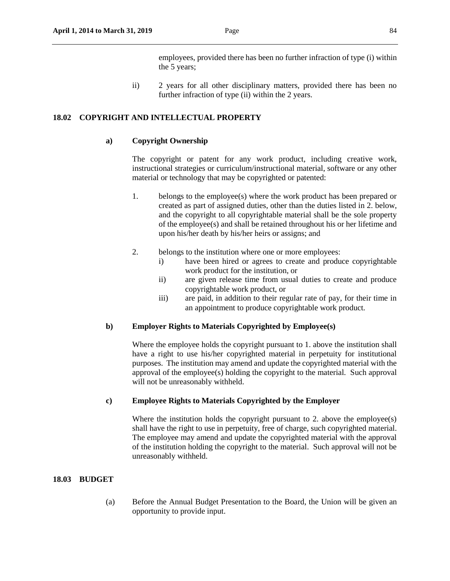employees, provided there has been no further infraction of type (i) within the 5 years;

 ii) 2 years for all other disciplinary matters, provided there has been no further infraction of type (ii) within the 2 years.

# **18.02 COPYRIGHT AND INTELLECTUAL PROPERTY**

## **a) Copyright Ownership**

The copyright or patent for any work product, including creative work, instructional strategies or curriculum/instructional material, software or any other material or technology that may be copyrighted or patented:

- 1. belongs to the employee(s) where the work product has been prepared or created as part of assigned duties, other than the duties listed in 2. below, and the copyright to all copyrightable material shall be the sole property of the employee(s) and shall be retained throughout his or her lifetime and upon his/her death by his/her heirs or assigns; and
- 2. belongs to the institution where one or more employees:
	- i) have been hired or agrees to create and produce copyrightable work product for the institution, or
	- ii) are given release time from usual duties to create and produce copyrightable work product, or
	- iii) are paid, in addition to their regular rate of pay, for their time in an appointment to produce copyrightable work product.

## **b) Employer Rights to Materials Copyrighted by Employee(s)**

Where the employee holds the copyright pursuant to 1. above the institution shall have a right to use his/her copyrighted material in perpetuity for institutional purposes. The institution may amend and update the copyrighted material with the approval of the employee(s) holding the copyright to the material. Such approval will not be unreasonably withheld.

## **c) Employee Rights to Materials Copyrighted by the Employer**

Where the institution holds the copyright pursuant to 2. above the employee(s) shall have the right to use in perpetuity, free of charge, such copyrighted material. The employee may amend and update the copyrighted material with the approval of the institution holding the copyright to the material. Such approval will not be unreasonably withheld.

## **18.03 BUDGET**

(a) Before the Annual Budget Presentation to the Board, the Union will be given an opportunity to provide input.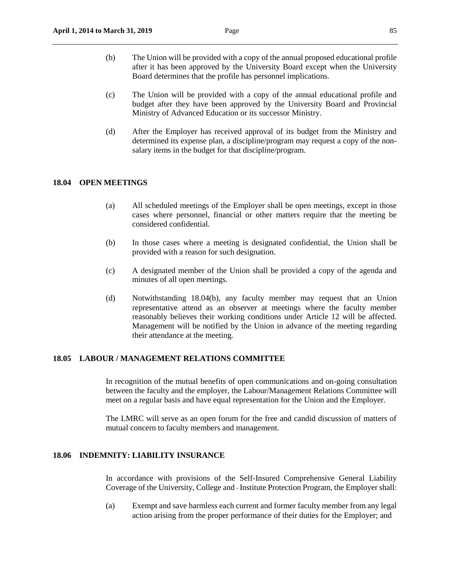- (b) The Union will be provided with a copy of the annual proposed educational profile after it has been approved by the University Board except when the University Board determines that the profile has personnel implications.
- (c) The Union will be provided with a copy of the annual educational profile and budget after they have been approved by the University Board and Provincial Ministry of Advanced Education or its successor Ministry.
- (d) After the Employer has received approval of its budget from the Ministry and determined its expense plan, a discipline/program may request a copy of the nonsalary items in the budget for that discipline/program.

# **18.04 OPEN MEETINGS**

- (a) All scheduled meetings of the Employer shall be open meetings, except in those cases where personnel, financial or other matters require that the meeting be considered confidential.
- (b) In those cases where a meeting is designated confidential, the Union shall be provided with a reason for such designation.
- (c) A designated member of the Union shall be provided a copy of the agenda and minutes of all open meetings.
- (d) Notwithstanding 18.04(b), any faculty member may request that an Union representative attend as an observer at meetings where the faculty member reasonably believes their working conditions under Article 12 will be affected. Management will be notified by the Union in advance of the meeting regarding their attendance at the meeting.

# **18.05 LABOUR / MANAGEMENT RELATIONS COMMITTEE**

In recognition of the mutual benefits of open communications and on-going consultation between the faculty and the employer, the Labour/Management Relations Committee will meet on a regular basis and have equal representation for the Union and the Employer.

The LMRC will serve as an open forum for the free and candid discussion of matters of mutual concern to faculty members and management.

## **18.06 INDEMNITY: LIABILITY INSURANCE**

In accordance with provisions of the Self-Insured Comprehensive General Liability Coverage of the University, College and - Institute Protection Program, the Employer shall:

(a) Exempt and save harmless each current and former faculty member from any legal action arising from the proper performance of their duties for the Employer; and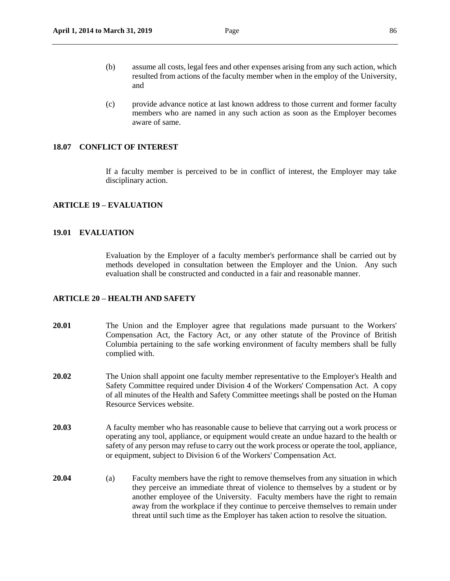- (b) assume all costs, legal fees and other expenses arising from any such action, which resulted from actions of the faculty member when in the employ of the University, and
- (c) provide advance notice at last known address to those current and former faculty members who are named in any such action as soon as the Employer becomes aware of same.

## **18.07 CONFLICT OF INTEREST**

If a faculty member is perceived to be in conflict of interest, the Employer may take disciplinary action.

# **ARTICLE 19 – EVALUATION**

## **19.01 EVALUATION**

Evaluation by the Employer of a faculty member's performance shall be carried out by methods developed in consultation between the Employer and the Union. Any such evaluation shall be constructed and conducted in a fair and reasonable manner.

# **ARTICLE 20 – HEALTH AND SAFETY**

- **20.01** The Union and the Employer agree that regulations made pursuant to the Workers' Compensation Act, the Factory Act, or any other statute of the Province of British Columbia pertaining to the safe working environment of faculty members shall be fully complied with.
- **20.02** The Union shall appoint one faculty member representative to the Employer's Health and Safety Committee required under Division 4 of the Workers' Compensation Act. A copy of all minutes of the Health and Safety Committee meetings shall be posted on the Human Resource Services website.
- **20.03** A faculty member who has reasonable cause to believe that carrying out a work process or operating any tool, appliance, or equipment would create an undue hazard to the health or safety of any person may refuse to carry out the work process or operate the tool, appliance, or equipment, subject to Division 6 of the Workers' Compensation Act.
- **20.04** (a) Faculty members have the right to remove themselves from any situation in which they perceive an immediate threat of violence to themselves by a student or by another employee of the University. Faculty members have the right to remain away from the workplace if they continue to perceive themselves to remain under threat until such time as the Employer has taken action to resolve the situation.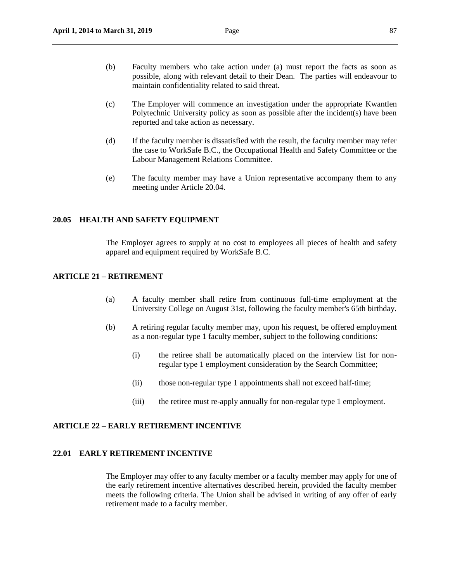- (b) Faculty members who take action under (a) must report the facts as soon as possible, along with relevant detail to their Dean. The parties will endeavour to maintain confidentiality related to said threat.
- (c) The Employer will commence an investigation under the appropriate Kwantlen Polytechnic University policy as soon as possible after the incident(s) have been reported and take action as necessary.
- (d) If the faculty member is dissatisfied with the result, the faculty member may refer the case to WorkSafe B.C., the Occupational Health and Safety Committee or the Labour Management Relations Committee.
- (e) The faculty member may have a Union representative accompany them to any meeting under Article 20.04.

#### **20.05 HEALTH AND SAFETY EQUIPMENT**

The Employer agrees to supply at no cost to employees all pieces of health and safety apparel and equipment required by WorkSafe B.C.

# **ARTICLE 21** *–* **RETIREMENT**

- (a) A faculty member shall retire from continuous full-time employment at the University College on August 31st, following the faculty member's 65th birthday.
- (b) A retiring regular faculty member may, upon his request, be offered employment as a non-regular type 1 faculty member, subject to the following conditions:
	- (i) the retiree shall be automatically placed on the interview list for nonregular type 1 employment consideration by the Search Committee;
	- (ii) those non-regular type 1 appointments shall not exceed half-time;
	- (iii) the retiree must re-apply annually for non-regular type 1 employment.

### **ARTICLE 22** *–* **EARLY RETIREMENT INCENTIVE**

## **22.01 EARLY RETIREMENT INCENTIVE**

The Employer may offer to any faculty member or a faculty member may apply for one of the early retirement incentive alternatives described herein, provided the faculty member meets the following criteria. The Union shall be advised in writing of any offer of early retirement made to a faculty member.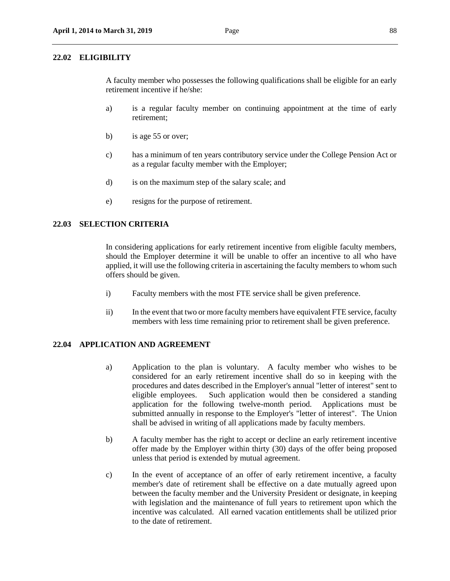#### **22.02 ELIGIBILITY**

A faculty member who possesses the following qualifications shall be eligible for an early retirement incentive if he/she:

- a) is a regular faculty member on continuing appointment at the time of early retirement;
- b) is age 55 or over;
- c) has a minimum of ten years contributory service under the College Pension Act or as a regular faculty member with the Employer;
- d) is on the maximum step of the salary scale; and
- e) resigns for the purpose of retirement.

# **22.03 SELECTION CRITERIA**

In considering applications for early retirement incentive from eligible faculty members, should the Employer determine it will be unable to offer an incentive to all who have applied, it will use the following criteria in ascertaining the faculty members to whom such offers should be given.

- i) Faculty members with the most FTE service shall be given preference.
- ii) In the event that two or more faculty members have equivalent FTE service, faculty members with less time remaining prior to retirement shall be given preference.

# **22.04 APPLICATION AND AGREEMENT**

- a) Application to the plan is voluntary. A faculty member who wishes to be considered for an early retirement incentive shall do so in keeping with the procedures and dates described in the Employer's annual "letter of interest" sent to eligible employees. Such application would then be considered a standing application for the following twelve-month period. Applications must be submitted annually in response to the Employer's "letter of interest". The Union shall be advised in writing of all applications made by faculty members.
- b) A faculty member has the right to accept or decline an early retirement incentive offer made by the Employer within thirty (30) days of the offer being proposed unless that period is extended by mutual agreement.
- c) In the event of acceptance of an offer of early retirement incentive, a faculty member's date of retirement shall be effective on a date mutually agreed upon between the faculty member and the University President or designate, in keeping with legislation and the maintenance of full years to retirement upon which the incentive was calculated. All earned vacation entitlements shall be utilized prior to the date of retirement.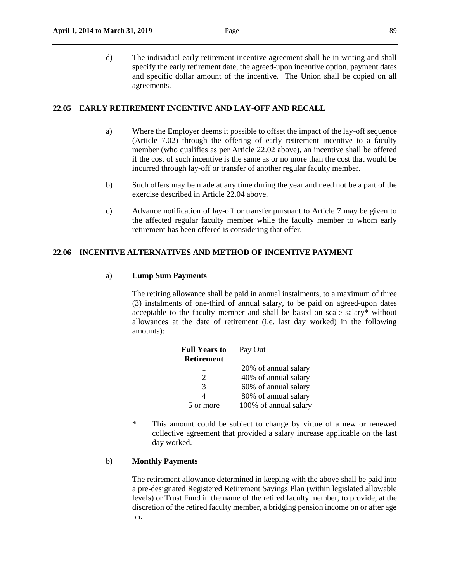d) The individual early retirement incentive agreement shall be in writing and shall specify the early retirement date, the agreed-upon incentive option, payment dates and specific dollar amount of the incentive. The Union shall be copied on all agreements.

# **22.05 EARLY RETIREMENT INCENTIVE AND LAY-OFF AND RECALL**

- a) Where the Employer deems it possible to offset the impact of the lay-off sequence (Article 7.02) through the offering of early retirement incentive to a faculty member (who qualifies as per Article 22.02 above), an incentive shall be offered if the cost of such incentive is the same as or no more than the cost that would be incurred through lay-off or transfer of another regular faculty member.
- b) Such offers may be made at any time during the year and need not be a part of the exercise described in Article 22.04 above.
- c) Advance notification of lay-off or transfer pursuant to Article 7 may be given to the affected regular faculty member while the faculty member to whom early retirement has been offered is considering that offer.

## **22.06 INCENTIVE ALTERNATIVES AND METHOD OF INCENTIVE PAYMENT**

#### a) **Lump Sum Payments**

The retiring allowance shall be paid in annual instalments, to a maximum of three (3) instalments of one-third of annual salary, to be paid on agreed-upon dates acceptable to the faculty member and shall be based on scale salary\* without allowances at the date of retirement (i.e. last day worked) in the following amounts):

| <b>Full Years to</b>        | Pay Out               |
|-----------------------------|-----------------------|
| <b>Retirement</b>           |                       |
|                             | 20% of annual salary  |
| $\mathcal{D}_{\mathcal{L}}$ | 40% of annual salary  |
| 3                           | 60% of annual salary  |
| 4                           | 80% of annual salary  |
| 5 or more                   | 100% of annual salary |

\* This amount could be subject to change by virtue of a new or renewed collective agreement that provided a salary increase applicable on the last day worked.

## b) **Monthly Payments**

The retirement allowance determined in keeping with the above shall be paid into a pre-designated Registered Retirement Savings Plan (within legislated allowable levels) or Trust Fund in the name of the retired faculty member, to provide, at the discretion of the retired faculty member, a bridging pension income on or after age 55.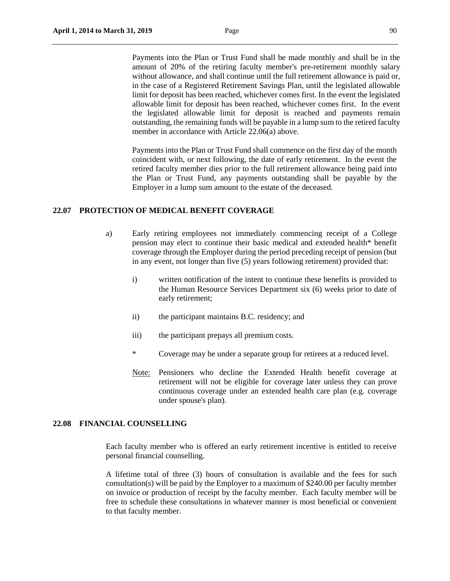Payments into the Plan or Trust Fund shall be made monthly and shall be in the amount of 20% of the retiring faculty member's pre-retirement monthly salary without allowance, and shall continue until the full retirement allowance is paid or, in the case of a Registered Retirement Savings Plan, until the legislated allowable limit for deposit has been reached, whichever comes first. In the event the legislated allowable limit for deposit has been reached, whichever comes first. In the event the legislated allowable limit for deposit is reached and payments remain outstanding, the remaining funds will be payable in a lump sum to the retired faculty member in accordance with Article 22.06(a) above.

Payments into the Plan or Trust Fund shall commence on the first day of the month coincident with, or next following, the date of early retirement. In the event the retired faculty member dies prior to the full retirement allowance being paid into the Plan or Trust Fund, any payments outstanding shall be payable by the Employer in a lump sum amount to the estate of the deceased.

## **22.07 PROTECTION OF MEDICAL BENEFIT COVERAGE**

- a) Early retiring employees not immediately commencing receipt of a College pension may elect to continue their basic medical and extended health\* benefit coverage through the Employer during the period preceding receipt of pension (but in any event, not longer than five (5) years following retirement) provided that:
	- i) written notification of the intent to continue these benefits is provided to the Human Resource Services Department six (6) weeks prior to date of early retirement;
	- ii) the participant maintains B.C. residency; and
	- iii) the participant prepays all premium costs.
	- \* Coverage may be under a separate group for retirees at a reduced level.
	- Note: Pensioners who decline the Extended Health benefit coverage at retirement will not be eligible for coverage later unless they can prove continuous coverage under an extended health care plan (e.g. coverage under spouse's plan).

# **22.08 FINANCIAL COUNSELLING**

Each faculty member who is offered an early retirement incentive is entitled to receive personal financial counselling.

A lifetime total of three (3) hours of consultation is available and the fees for such consultation(s) will be paid by the Employer to a maximum of \$240.00 per faculty member on invoice or production of receipt by the faculty member. Each faculty member will be free to schedule these consultations in whatever manner is most beneficial or convenient to that faculty member.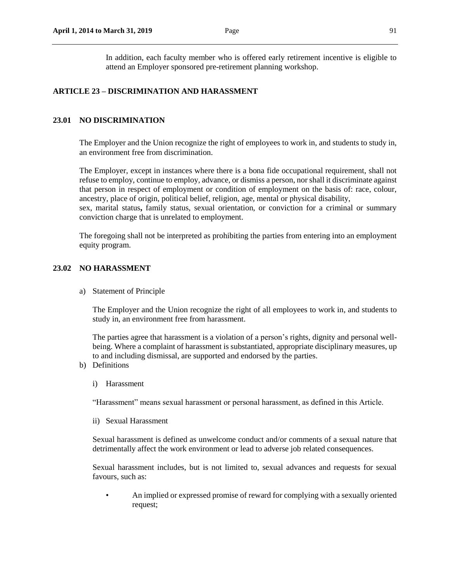In addition, each faculty member who is offered early retirement incentive is eligible to attend an Employer sponsored pre-retirement planning workshop.

## **ARTICLE 23 – DISCRIMINATION AND HARASSMENT**

## **23.01 NO DISCRIMINATION**

The Employer and the Union recognize the right of employees to work in, and students to study in, an environment free from discrimination.

The Employer, except in instances where there is a bona fide occupational requirement, shall not refuse to employ, continue to employ, advance, or dismiss a person, nor shall it discriminate against that person in respect of employment or condition of employment on the basis of: race, colour, ancestry, place of origin, political belief, religion, age, mental or physical disability,

sex, marital status**,** family status, sexual orientation, or conviction for a criminal or summary conviction charge that is unrelated to employment.

The foregoing shall not be interpreted as prohibiting the parties from entering into an employment equity program.

## **23.02 NO HARASSMENT**

a) Statement of Principle

The Employer and the Union recognize the right of all employees to work in, and students to study in, an environment free from harassment.

The parties agree that harassment is a violation of a person's rights, dignity and personal wellbeing. Where a complaint of harassment is substantiated, appropriate disciplinary measures, up to and including dismissal, are supported and endorsed by the parties.

- b) Definitions
	- i) Harassment

"Harassment" means sexual harassment or personal harassment, as defined in this Article.

ii) Sexual Harassment

Sexual harassment is defined as unwelcome conduct and/or comments of a sexual nature that detrimentally affect the work environment or lead to adverse job related consequences.

Sexual harassment includes, but is not limited to, sexual advances and requests for sexual favours, such as:

• An implied or expressed promise of reward for complying with a sexually oriented request;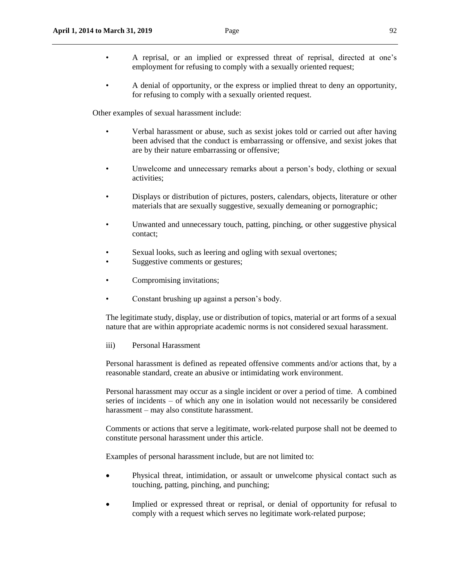- A reprisal, or an implied or expressed threat of reprisal, directed at one's employment for refusing to comply with a sexually oriented request;
- A denial of opportunity, or the express or implied threat to deny an opportunity, for refusing to comply with a sexually oriented request.

Other examples of sexual harassment include:

- Verbal harassment or abuse, such as sexist jokes told or carried out after having been advised that the conduct is embarrassing or offensive, and sexist jokes that are by their nature embarrassing or offensive;
- Unwelcome and unnecessary remarks about a person's body, clothing or sexual activities;
- Displays or distribution of pictures, posters, calendars, objects, literature or other materials that are sexually suggestive, sexually demeaning or pornographic;
- Unwanted and unnecessary touch, patting, pinching, or other suggestive physical contact;
- Sexual looks, such as leering and ogling with sexual overtones;
- Suggestive comments or gestures;
- Compromising invitations;
- Constant brushing up against a person's body.

The legitimate study, display, use or distribution of topics, material or art forms of a sexual nature that are within appropriate academic norms is not considered sexual harassment.

## iii) Personal Harassment

Personal harassment is defined as repeated offensive comments and/or actions that, by a reasonable standard, create an abusive or intimidating work environment.

Personal harassment may occur as a single incident or over a period of time. A combined series of incidents – of which any one in isolation would not necessarily be considered harassment – may also constitute harassment.

Comments or actions that serve a legitimate, work-related purpose shall not be deemed to constitute personal harassment under this article.

Examples of personal harassment include, but are not limited to:

- Physical threat, intimidation, or assault or unwelcome physical contact such as touching, patting, pinching, and punching;
- Implied or expressed threat or reprisal, or denial of opportunity for refusal to comply with a request which serves no legitimate work-related purpose;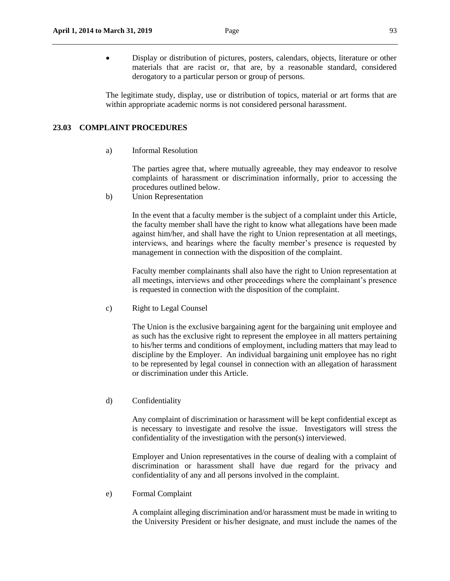Display or distribution of pictures, posters, calendars, objects, literature or other materials that are racist or, that are, by a reasonable standard, considered derogatory to a particular person or group of persons.

The legitimate study, display, use or distribution of topics, material or art forms that are within appropriate academic norms is not considered personal harassment.

### **23.03 COMPLAINT PROCEDURES**

a) Informal Resolution

The parties agree that, where mutually agreeable, they may endeavor to resolve complaints of harassment or discrimination informally, prior to accessing the procedures outlined below.

b) Union Representation

In the event that a faculty member is the subject of a complaint under this Article, the faculty member shall have the right to know what allegations have been made against him/her, and shall have the right to Union representation at all meetings, interviews, and hearings where the faculty member's presence is requested by management in connection with the disposition of the complaint.

Faculty member complainants shall also have the right to Union representation at all meetings, interviews and other proceedings where the complainant's presence is requested in connection with the disposition of the complaint.

c) Right to Legal Counsel

The Union is the exclusive bargaining agent for the bargaining unit employee and as such has the exclusive right to represent the employee in all matters pertaining to his/her terms and conditions of employment, including matters that may lead to discipline by the Employer. An individual bargaining unit employee has no right to be represented by legal counsel in connection with an allegation of harassment or discrimination under this Article.

d) Confidentiality

Any complaint of discrimination or harassment will be kept confidential except as is necessary to investigate and resolve the issue. Investigators will stress the confidentiality of the investigation with the person(s) interviewed.

Employer and Union representatives in the course of dealing with a complaint of discrimination or harassment shall have due regard for the privacy and confidentiality of any and all persons involved in the complaint.

e) Formal Complaint

A complaint alleging discrimination and/or harassment must be made in writing to the University President or his/her designate, and must include the names of the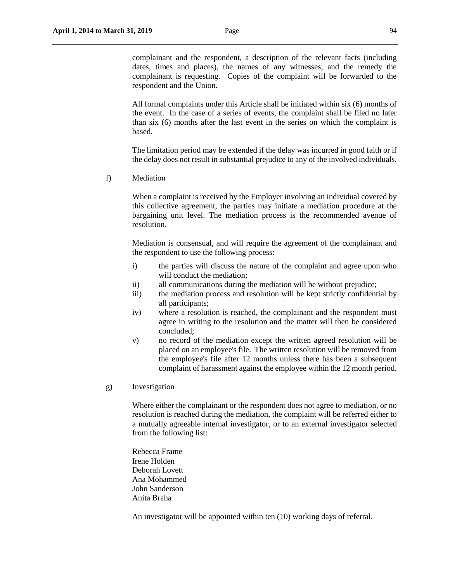complainant and the respondent, a description of the relevant facts (including dates, times and places), the names of any witnesses, and the remedy the complainant is requesting. Copies of the complaint will be forwarded to the respondent and the Union.

All formal complaints under this Article shall be initiated within six (6) months of the event. In the case of a series of events, the complaint shall be filed no later than six (6) months after the last event in the series on which the complaint is based.

The limitation period may be extended if the delay was incurred in good faith or if the delay does not result in substantial prejudice to any of the involved individuals.

f) Mediation

When a complaint is received by the Employer involving an individual covered by this collective agreement, the parties may initiate a mediation procedure at the bargaining unit level. The mediation process is the recommended avenue of resolution.

Mediation is consensual, and will require the agreement of the complainant and the respondent to use the following process:

- i) the parties will discuss the nature of the complaint and agree upon who will conduct the mediation;
- ii) all communications during the mediation will be without prejudice;
- iii) the mediation process and resolution will be kept strictly confidential by all participants;
- iv) where a resolution is reached, the complainant and the respondent must agree in writing to the resolution and the matter will then be considered concluded;
- v) no record of the mediation except the written agreed resolution will be placed on an employee's file. The written resolution will be removed from the employee's file after 12 months unless there has been a subsequent complaint of harassment against the employee within the 12 month period.
- g) Investigation

Where either the complainant or the respondent does not agree to mediation, or no resolution is reached during the mediation, the complaint will be referred either to a mutually agreeable internal investigator, or to an external investigator selected from the following list:

Rebecca Frame Irene Holden Deborah Lovett Ana Mohammed John Sanderson Anita Braha

An investigator will be appointed within ten (10) working days of referral.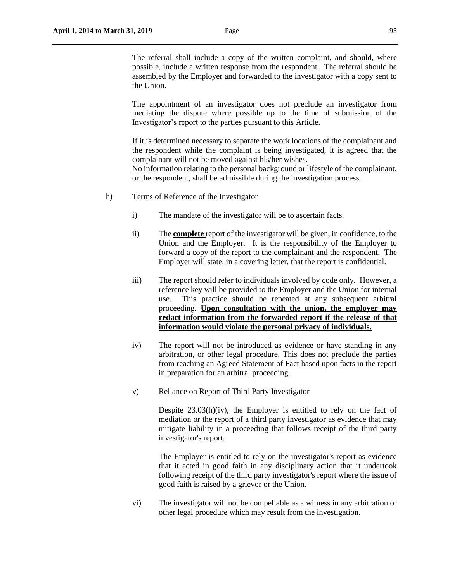The referral shall include a copy of the written complaint, and should, where possible, include a written response from the respondent. The referral should be assembled by the Employer and forwarded to the investigator with a copy sent to the Union.

The appointment of an investigator does not preclude an investigator from mediating the dispute where possible up to the time of submission of the Investigator's report to the parties pursuant to this Article.

If it is determined necessary to separate the work locations of the complainant and the respondent while the complaint is being investigated, it is agreed that the complainant will not be moved against his/her wishes.

No information relating to the personal background or lifestyle of the complainant, or the respondent, shall be admissible during the investigation process.

- h) Terms of Reference of the Investigator
	- i) The mandate of the investigator will be to ascertain facts.
	- ii) The **complete** report of the investigator will be given, in confidence, to the Union and the Employer. It is the responsibility of the Employer to forward a copy of the report to the complainant and the respondent. The Employer will state, in a covering letter, that the report is confidential.
	- iii) The report should refer to individuals involved by code only. However, a reference key will be provided to the Employer and the Union for internal use. This practice should be repeated at any subsequent arbitral proceeding. **Upon consultation with the union, the employer may redact information from the forwarded report if the release of that information would violate the personal privacy of individuals.**
	- iv) The report will not be introduced as evidence or have standing in any arbitration, or other legal procedure. This does not preclude the parties from reaching an Agreed Statement of Fact based upon facts in the report in preparation for an arbitral proceeding.
	- v) Reliance on Report of Third Party Investigator

Despite 23.03(h)(iv), the Employer is entitled to rely on the fact of mediation or the report of a third party investigator as evidence that may mitigate liability in a proceeding that follows receipt of the third party investigator's report.

The Employer is entitled to rely on the investigator's report as evidence that it acted in good faith in any disciplinary action that it undertook following receipt of the third party investigator's report where the issue of good faith is raised by a grievor or the Union.

vi) The investigator will not be compellable as a witness in any arbitration or other legal procedure which may result from the investigation.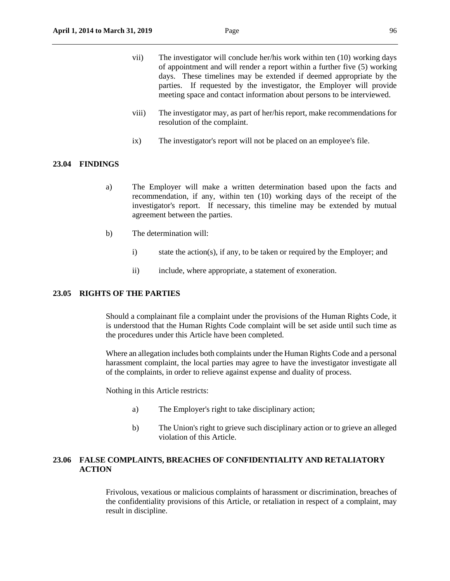- vii) The investigator will conclude her/his work within ten (10) working days of appointment and will render a report within a further five (5) working days. These timelines may be extended if deemed appropriate by the parties. If requested by the investigator, the Employer will provide meeting space and contact information about persons to be interviewed.
- viii) The investigator may, as part of her/his report, make recommendations for resolution of the complaint.
- ix) The investigator's report will not be placed on an employee's file.

#### **23.04 FINDINGS**

- a) The Employer will make a written determination based upon the facts and recommendation, if any, within ten (10) working days of the receipt of the investigator's report. If necessary, this timeline may be extended by mutual agreement between the parties.
- b) The determination will:
	- i) state the action(s), if any, to be taken or required by the Employer; and
	- ii) include, where appropriate, a statement of exoneration.

## **23.05 RIGHTS OF THE PARTIES**

Should a complainant file a complaint under the provisions of the Human Rights Code, it is understood that the Human Rights Code complaint will be set aside until such time as the procedures under this Article have been completed.

Where an allegation includes both complaints under the Human Rights Code and a personal harassment complaint, the local parties may agree to have the investigator investigate all of the complaints, in order to relieve against expense and duality of process.

Nothing in this Article restricts:

- a) The Employer's right to take disciplinary action;
- b) The Union's right to grieve such disciplinary action or to grieve an alleged violation of this Article.

# **23.06 FALSE COMPLAINTS, BREACHES OF CONFIDENTIALITY AND RETALIATORY ACTION**

Frivolous, vexatious or malicious complaints of harassment or discrimination, breaches of the confidentiality provisions of this Article, or retaliation in respect of a complaint, may result in discipline.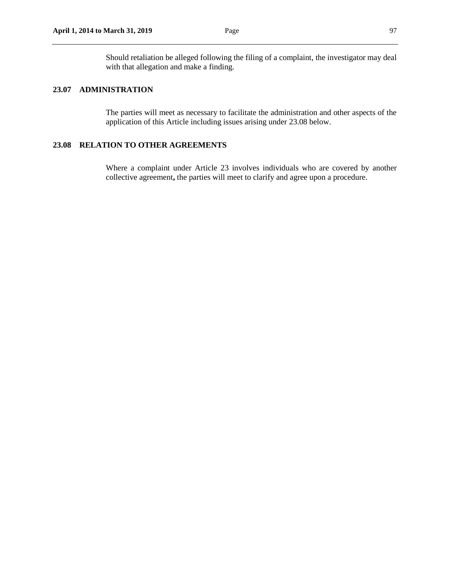Should retaliation be alleged following the filing of a complaint, the investigator may deal with that allegation and make a finding.

# **23.07 ADMINISTRATION**

The parties will meet as necessary to facilitate the administration and other aspects of the application of this Article including issues arising under 23.08 below.

# **23.08 RELATION TO OTHER AGREEMENTS**

Where a complaint under Article 23 involves individuals who are covered by another collective agreement**,** the parties will meet to clarify and agree upon a procedure.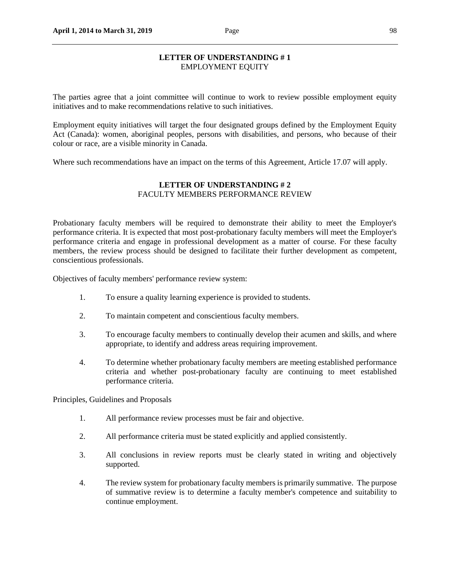## **LETTER OF UNDERSTANDING # 1** EMPLOYMENT EQUITY

The parties agree that a joint committee will continue to work to review possible employment equity initiatives and to make recommendations relative to such initiatives.

Employment equity initiatives will target the four designated groups defined by the Employment Equity Act (Canada): women, aboriginal peoples, persons with disabilities, and persons, who because of their colour or race, are a visible minority in Canada.

Where such recommendations have an impact on the terms of this Agreement, Article 17.07 will apply.

# **LETTER OF UNDERSTANDING # 2** FACULTY MEMBERS PERFORMANCE REVIEW

Probationary faculty members will be required to demonstrate their ability to meet the Employer's performance criteria. It is expected that most post-probationary faculty members will meet the Employer's performance criteria and engage in professional development as a matter of course. For these faculty members, the review process should be designed to facilitate their further development as competent, conscientious professionals.

Objectives of faculty members' performance review system:

- 1. To ensure a quality learning experience is provided to students.
- 2. To maintain competent and conscientious faculty members.
- 3. To encourage faculty members to continually develop their acumen and skills, and where appropriate, to identify and address areas requiring improvement.
- 4. To determine whether probationary faculty members are meeting established performance criteria and whether post-probationary faculty are continuing to meet established performance criteria.

Principles, Guidelines and Proposals

- 1. All performance review processes must be fair and objective.
- 2. All performance criteria must be stated explicitly and applied consistently.
- 3. All conclusions in review reports must be clearly stated in writing and objectively supported.
- 4. The review system for probationary faculty members is primarily summative. The purpose of summative review is to determine a faculty member's competence and suitability to continue employment.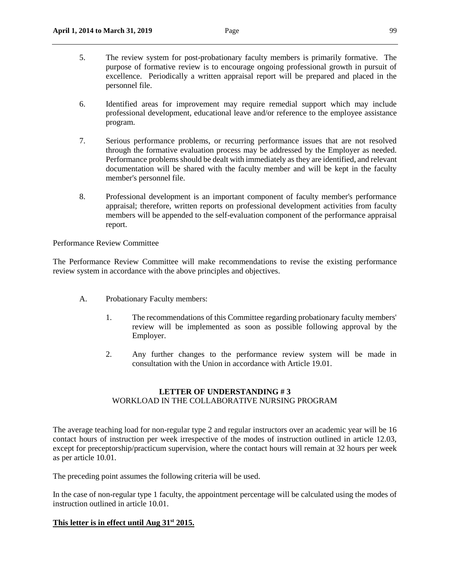- 5. The review system for post-probationary faculty members is primarily formative. The purpose of formative review is to encourage ongoing professional growth in pursuit of excellence. Periodically a written appraisal report will be prepared and placed in the personnel file.
- 6. Identified areas for improvement may require remedial support which may include professional development, educational leave and/or reference to the employee assistance program.
- 7. Serious performance problems, or recurring performance issues that are not resolved through the formative evaluation process may be addressed by the Employer as needed. Performance problems should be dealt with immediately as they are identified, and relevant documentation will be shared with the faculty member and will be kept in the faculty member's personnel file.
- 8. Professional development is an important component of faculty member's performance appraisal; therefore, written reports on professional development activities from faculty members will be appended to the self-evaluation component of the performance appraisal report.

Performance Review Committee

The Performance Review Committee will make recommendations to revise the existing performance review system in accordance with the above principles and objectives.

- A. Probationary Faculty members:
	- 1. The recommendations of this Committee regarding probationary faculty members' review will be implemented as soon as possible following approval by the Employer.
	- 2. Any further changes to the performance review system will be made in consultation with the Union in accordance with Article 19.01.

# **LETTER OF UNDERSTANDING # 3** WORKLOAD IN THE COLLABORATIVE NURSING PROGRAM

The average teaching load for non-regular type 2 and regular instructors over an academic year will be 16 contact hours of instruction per week irrespective of the modes of instruction outlined in article 12.03, except for preceptorship/practicum supervision, where the contact hours will remain at 32 hours per week as per article 10.01.

The preceding point assumes the following criteria will be used.

In the case of non-regular type 1 faculty, the appointment percentage will be calculated using the modes of instruction outlined in article 10.01.

## **This letter is in effect until Aug 31st 2015.**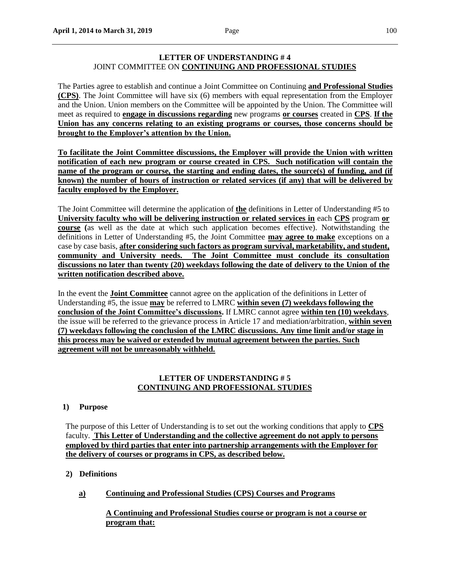# **LETTER OF UNDERSTANDING # 4** JOINT COMMITTEE ON **CONTINUING AND PROFESSIONAL STUDIES**

The Parties agree to establish and continue a Joint Committee on Continuing **and Professional Studies (CPS)**. The Joint Committee will have six (6) members with equal representation from the Employer and the Union. Union members on the Committee will be appointed by the Union. The Committee will meet as required to **engage in discussions regarding** new programs **or courses** created in **CPS**. **If the Union has any concerns relating to an existing programs or courses, those concerns should be brought to the Employer's attention by the Union.**

**To facilitate the Joint Committee discussions, the Employer will provide the Union with written notification of each new program or course created in CPS. Such notification will contain the name of the program or course, the starting and ending dates, the source(s) of funding, and (if known) the number of hours of instruction or related services (if any) that will be delivered by faculty employed by the Employer.**

The Joint Committee will determine the application of **the** definitions in Letter of Understanding #5 to **University faculty who will be delivering instruction or related services in** each **CPS** program **or course (**as well as the date at which such application becomes effective). Notwithstanding the definitions in Letter of Understanding #5, the Joint Committee **may agree to make** exceptions on a case by case basis, **after considering such factors as program survival, marketability, and student, community and University needs. The Joint Committee must conclude its consultation discussions no later than twenty (20) weekdays following the date of delivery to the Union of the written notification described above.**

In the event the **Joint Committee** cannot agree on the application of the definitions in Letter of Understanding #5, the issue **may** be referred to LMRC **within seven (7) weekdays following the conclusion of the Joint Committee's discussions.** If LMRC cannot agree **within ten (10) weekdays**, the issue will be referred to the grievance process in Article 17 and mediation/arbitration, **within seven (7) weekdays following the conclusion of the LMRC discussions. Any time limit and/or stage in this process may be waived or extended by mutual agreement between the parties. Such agreement will not be unreasonably withheld.** 

# **LETTER OF UNDERSTANDING # 5 CONTINUING AND PROFESSIONAL STUDIES**

# **1) Purpose**

The purpose of this Letter of Understanding is to set out the working conditions that apply to **CPS** faculty. **This Letter of Understanding and the collective agreement do not apply to persons employed by third parties that enter into partnership arrangements with the Employer for the delivery of courses or programs in CPS, as described below.**

# **2) Definitions**

**a) Continuing and Professional Studies (CPS) Courses and Programs**

**A Continuing and Professional Studies course or program is not a course or program that:**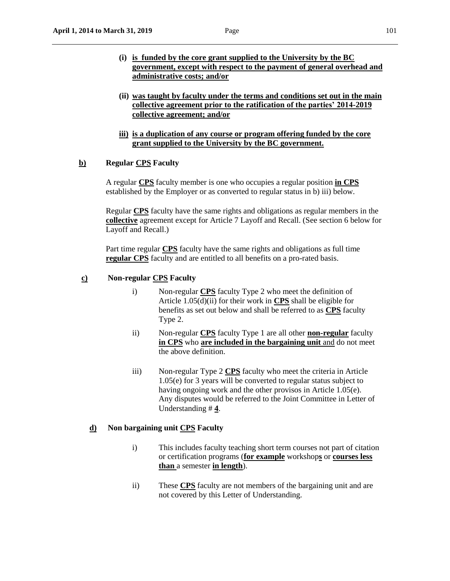- **(i) is funded by the core grant supplied to the University by the BC government, except with respect to the payment of general overhead and administrative costs; and/or**
- **(ii) was taught by faculty under the terms and conditions set out in the main collective agreement prior to the ratification of the parties' 2014-2019 collective agreement; and/or**
- **iii) is a duplication of any course or program offering funded by the core grant supplied to the University by the BC government.**

#### **b) Regular CPS Faculty**

A regular **CPS** faculty member is one who occupies a regular position **in CPS** established by the Employer or as converted to regular status in b) iii) below.

Regular **CPS** faculty have the same rights and obligations as regular members in the **collective** agreement except for Article 7 Layoff and Recall. (See section 6 below for Layoff and Recall.)

Part time regular **CPS** faculty have the same rights and obligations as full time **regular CPS** faculty and are entitled to all benefits on a pro-rated basis.

## **c) Non-regular CPS Faculty**

- i) Non-regular **CPS** faculty Type 2 who meet the definition of Article 1.05(d)(ii) for their work in **CPS** shall be eligible for benefits as set out below and shall be referred to as **CPS** faculty Type 2.
- ii) Non-regular **CPS** faculty Type 1 are all other **non-regular** faculty **in CPS** who **are included in the bargaining unit** and do not meet the above definition.
- iii) Non-regular Type 2 **CPS** faculty who meet the criteria in Article 1.05(e) for 3 years will be converted to regular status subject to having ongoing work and the other provisos in Article 1.05(e). Any disputes would be referred to the Joint Committee in Letter of Understanding # **4**.

## **d) Non bargaining unit CPS Faculty**

- i) This includes faculty teaching short term courses not part of citation or certification programs (**for example** workshop**s** or **courses less than** a semester **in length**).
- ii) These **CPS** faculty are not members of the bargaining unit and are not covered by this Letter of Understanding.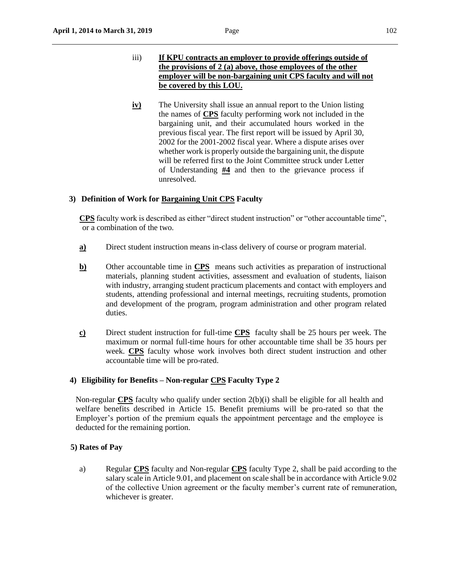- iii) **If KPU contracts an employer to provide offerings outside of the provisions of 2 (a) above, those employees of the other employer will be non-bargaining unit CPS faculty and will not be covered by this LOU.**
- **iv**) The University shall issue an annual report to the Union listing the names of **CPS** faculty performing work not included in the bargaining unit, and their accumulated hours worked in the previous fiscal year. The first report will be issued by April 30, 2002 for the 2001-2002 fiscal year. Where a dispute arises over whether work is properly outside the bargaining unit, the dispute will be referred first to the Joint Committee struck under Letter of Understanding **#4** and then to the grievance process if unresolved.

# **3) Definition of Work for Bargaining Unit CPS Faculty**

**CPS** faculty work is described as either "direct student instruction" or "other accountable time", or a combination of the two.

- **a)** Direct student instruction means in-class delivery of course or program material.
- **b)** Other accountable time in **CPS** means such activities as preparation of instructional materials, planning student activities, assessment and evaluation of students, liaison with industry, arranging student practicum placements and contact with employers and students, attending professional and internal meetings, recruiting students, promotion and development of the program, program administration and other program related duties.
- **c)** Direct student instruction for full-time **CPS** faculty shall be 25 hours per week. The maximum or normal full-time hours for other accountable time shall be 35 hours per week. **CPS** faculty whose work involves both direct student instruction and other accountable time will be pro-rated.

## **4) Eligibility for Benefits – Non-regular CPS Faculty Type 2**

Non-regular **CPS** faculty who qualify under section 2(b)(i) shall be eligible for all health and welfare benefits described in Article 15. Benefit premiums will be pro-rated so that the Employer's portion of the premium equals the appointment percentage and the employee is deducted for the remaining portion.

## **5) Rates of Pay**

a) Regular **CPS** faculty and Non-regular **CPS** faculty Type 2, shall be paid according to the salary scale in Article 9.01, and placement on scale shall be in accordance with Article 9.02 of the collective Union agreement or the faculty member's current rate of remuneration, whichever is greater.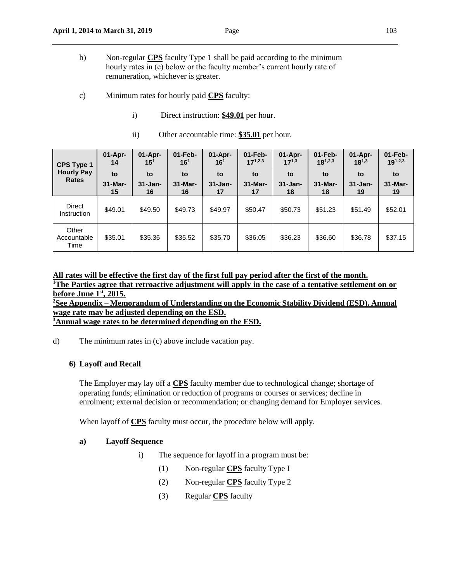- c) Minimum rates for hourly paid **CPS** faculty:
	- i) Direct instruction: **\$49.01** per hour.
	- ii) Other accountable time: **\$35.01** per hour.

| <b>CPS Type 1</b><br><b>Hourly Pay</b><br><b>Rates</b> | $01-Apr-$<br>14<br>to<br>$31 -$ Mar-<br>15 | $01-Apr-$<br>$15^{1}$<br>to<br>$31 - Jan-$<br>16 | $01$ -Feb-<br>16 <sup>1</sup><br>to<br>31-Mar-<br>16 | $01-Apr-$<br>16 <sup>1</sup><br>to<br>$31 - Jan-$<br>17 | $01$ -Feb-<br>$17^{1,2,3}$<br>to<br>$31-Mar-$<br>17 | 01-Apr-<br>$17^{1,3}$<br>to<br>$31 - Jan-$<br>18 | $01$ -Feb-<br>$18^{1,2,3}$<br>to<br>$31-Mar-$<br>18 | $01-Apr-$<br>$18^{1,3}$<br>to<br>$31 - Jan-$<br>19 | $01$ -Feb-<br>$19^{1,2,3}$<br>to<br>31-Mar-<br>19 |
|--------------------------------------------------------|--------------------------------------------|--------------------------------------------------|------------------------------------------------------|---------------------------------------------------------|-----------------------------------------------------|--------------------------------------------------|-----------------------------------------------------|----------------------------------------------------|---------------------------------------------------|
| <b>Direct</b><br>Instruction                           | \$49.01                                    | \$49.50                                          | \$49.73                                              | \$49.97                                                 | \$50.47                                             | \$50.73                                          | \$51.23                                             | \$51.49                                            | \$52.01                                           |
| Other<br>Accountable<br>Time                           | \$35.01                                    | \$35.36                                          | \$35.52                                              | \$35.70                                                 | \$36.05                                             | \$36.23                                          | \$36.60                                             | \$36.78                                            | \$37.15                                           |

**All rates will be effective the first day of the first full pay period after the first of the month. <sup>1</sup>The Parties agree that retroactive adjustment will apply in the case of a tentative settlement on or before June 1st, 2015. <sup>2</sup>See Appendix – Memorandum of Understanding on the Economic Stability Dividend (ESD). Annual wage rate may be adjusted depending on the ESD.**

**<sup>3</sup>Annual wage rates to be determined depending on the ESD.**

d) The minimum rates in (c) above include vacation pay.

## **6) Layoff and Recall**

The Employer may lay off a **CPS** faculty member due to technological change; shortage of operating funds; elimination or reduction of programs or courses or services; decline in enrolment; external decision or recommendation; or changing demand for Employer services.

When layoff of **CPS** faculty must occur, the procedure below will apply.

# **a) Layoff Sequence**

- i) The sequence for layoff in a program must be:
	- (1) Non-regular **CPS** faculty Type I
	- (2) Non-regular **CPS** faculty Type 2
	- (3) Regular **CPS** faculty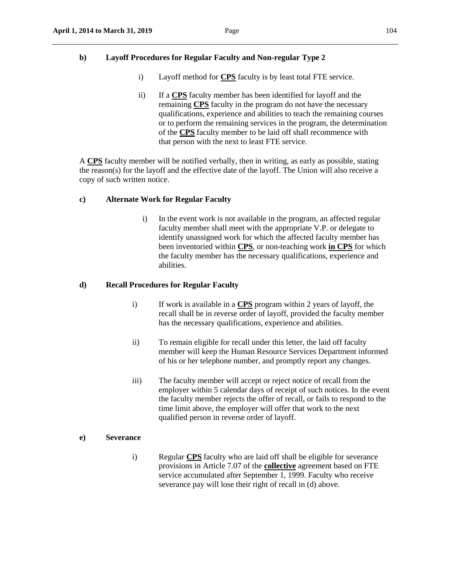# **b) Layoff Procedures for Regular Faculty and Non-regular Type 2**

- i) Layoff method for **CPS** faculty is by least total FTE service.
- ii) If a **CPS** faculty member has been identified for layoff and the remaining **CPS** faculty in the program do not have the necessary qualifications, experience and abilities to teach the remaining courses or to perform the remaining services in the program, the determination of the **CPS** faculty member to be laid off shall recommence with that person with the next to least FTE service.

A **CPS** faculty member will be notified verbally, then in writing, as early as possible, stating the reason(s) for the layoff and the effective date of the layoff. The Union will also receive a copy of such written notice.

# **c) Alternate Work for Regular Faculty**

 i) In the event work is not available in the program, an affected regular faculty member shall meet with the appropriate V.P. or delegate to identify unassigned work for which the affected faculty member has been inventoried within **CPS**, or non-teaching work **in CPS** for which the faculty member has the necessary qualifications, experience and abilities.

# **d) Recall Procedures for Regular Faculty**

- i) If work is available in a **CPS** program within 2 years of layoff, the recall shall be in reverse order of layoff, provided the faculty member has the necessary qualifications, experience and abilities.
- ii) To remain eligible for recall under this letter, the laid off faculty member will keep the Human Resource Services Department informed of his or her telephone number, and promptly report any changes.
- iii) The faculty member will accept or reject notice of recall from the employer within 5 calendar days of receipt of such notices. In the event the faculty member rejects the offer of recall, or fails to respond to the time limit above, the employer will offer that work to the next qualified person in reverse order of layoff.

## **e) Severance**

i) Regular **CPS** faculty who are laid off shall be eligible for severance provisions in Article 7.07 of the **collective** agreement based on FTE service accumulated after September 1, 1999. Faculty who receive severance pay will lose their right of recall in (d) above.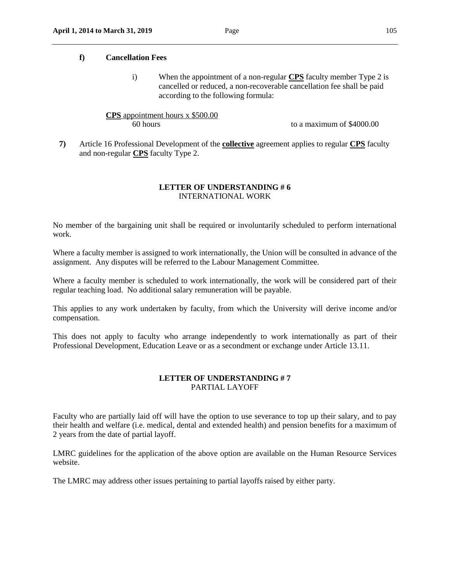#### **f) Cancellation Fees**

i) When the appointment of a non-regular **CPS** faculty member Type 2 is cancelled or reduced, a non-recoverable cancellation fee shall be paid according to the following formula:

# **CPS** appointment hours x \$500.00 60 hours to a maximum of \$4000.00

**7)** Article 16 Professional Development of the **collective** agreement applies to regular **CPS** faculty and non-regular **CPS** faculty Type 2.

# **LETTER OF UNDERSTANDING # 6** INTERNATIONAL WORK

No member of the bargaining unit shall be required or involuntarily scheduled to perform international work.

Where a faculty member is assigned to work internationally, the Union will be consulted in advance of the assignment. Any disputes will be referred to the Labour Management Committee.

Where a faculty member is scheduled to work internationally, the work will be considered part of their regular teaching load. No additional salary remuneration will be payable.

This applies to any work undertaken by faculty, from which the University will derive income and/or compensation.

This does not apply to faculty who arrange independently to work internationally as part of their Professional Development, Education Leave or as a secondment or exchange under Article 13.11.

# **LETTER OF UNDERSTANDING # 7** PARTIAL LAYOFF

Faculty who are partially laid off will have the option to use severance to top up their salary, and to pay their health and welfare (i.e. medical, dental and extended health) and pension benefits for a maximum of 2 years from the date of partial layoff.

LMRC guidelines for the application of the above option are available on the Human Resource Services website.

The LMRC may address other issues pertaining to partial layoffs raised by either party.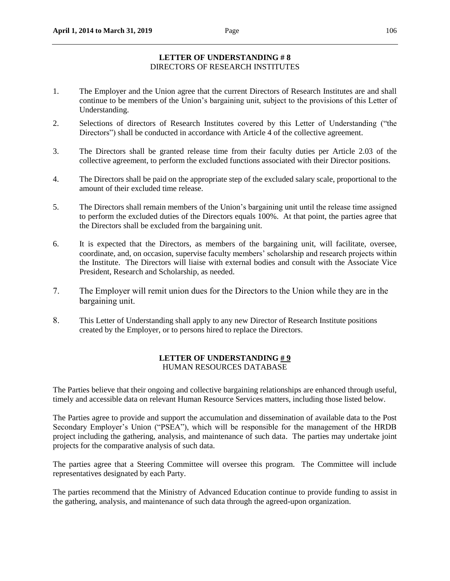# **LETTER OF UNDERSTANDING # 8** DIRECTORS OF RESEARCH INSTITUTES

- 1. The Employer and the Union agree that the current Directors of Research Institutes are and shall continue to be members of the Union's bargaining unit, subject to the provisions of this Letter of Understanding.
- 2. Selections of directors of Research Institutes covered by this Letter of Understanding ("the Directors") shall be conducted in accordance with Article 4 of the collective agreement.
- 3. The Directors shall be granted release time from their faculty duties per Article 2.03 of the collective agreement, to perform the excluded functions associated with their Director positions.
- 4. The Directors shall be paid on the appropriate step of the excluded salary scale, proportional to the amount of their excluded time release.
- 5. The Directors shall remain members of the Union's bargaining unit until the release time assigned to perform the excluded duties of the Directors equals 100%. At that point, the parties agree that the Directors shall be excluded from the bargaining unit.
- 6. It is expected that the Directors, as members of the bargaining unit, will facilitate, oversee, coordinate, and, on occasion, supervise faculty members' scholarship and research projects within the Institute. The Directors will liaise with external bodies and consult with the Associate Vice President, Research and Scholarship, as needed.
- 7. The Employer will remit union dues for the Directors to the Union while they are in the bargaining unit.
- 8. This Letter of Understanding shall apply to any new Director of Research Institute positions created by the Employer, or to persons hired to replace the Directors.

# **LETTER OF UNDERSTANDING # 9** HUMAN RESOURCES DATABASE

The Parties believe that their ongoing and collective bargaining relationships are enhanced through useful, timely and accessible data on relevant Human Resource Services matters, including those listed below.

The Parties agree to provide and support the accumulation and dissemination of available data to the Post Secondary Employer's Union ("PSEA"), which will be responsible for the management of the HRDB project including the gathering, analysis, and maintenance of such data. The parties may undertake joint projects for the comparative analysis of such data.

The parties agree that a Steering Committee will oversee this program. The Committee will include representatives designated by each Party.

The parties recommend that the Ministry of Advanced Education continue to provide funding to assist in the gathering, analysis, and maintenance of such data through the agreed-upon organization.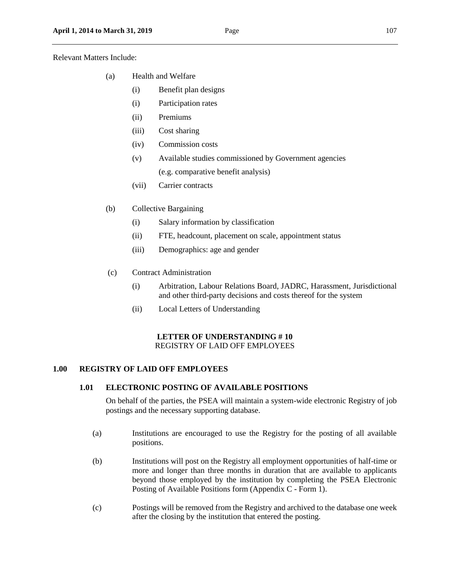Relevant Matters Include:

- (a) Health and Welfare
	- (i) Benefit plan designs
	- (i) Participation rates
	- (ii) Premiums
	- (iii) Cost sharing
	- (iv) Commission costs
	- (v) Available studies commissioned by Government agencies (e.g. comparative benefit analysis)
	- (vii) Carrier contracts
- (b) Collective Bargaining
	- (i) Salary information by classification
	- (ii) FTE, headcount, placement on scale, appointment status
	- (iii) Demographics: age and gender
- (c) Contract Administration
	- (i) Arbitration, Labour Relations Board, JADRC, Harassment, Jurisdictional and other third-party decisions and costs thereof for the system
	- (ii) Local Letters of Understanding

## **LETTER OF UNDERSTANDING # 10** REGISTRY OF LAID OFF EMPLOYEES

# **1.00 REGISTRY OF LAID OFF EMPLOYEES**

# **1.01 ELECTRONIC POSTING OF AVAILABLE POSITIONS**

On behalf of the parties, the PSEA will maintain a system-wide electronic Registry of job postings and the necessary supporting database.

- (a) Institutions are encouraged to use the Registry for the posting of all available positions.
- (b) Institutions will post on the Registry all employment opportunities of half-time or more and longer than three months in duration that are available to applicants beyond those employed by the institution by completing the PSEA Electronic Posting of Available Positions form (Appendix C - Form 1).
- (c) Postings will be removed from the Registry and archived to the database one week after the closing by the institution that entered the posting.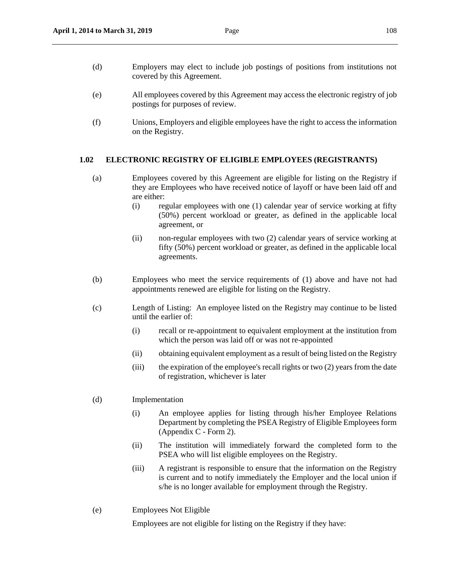- (d) Employers may elect to include job postings of positions from institutions not covered by this Agreement.
- (e) All employees covered by this Agreement may access the electronic registry of job postings for purposes of review.
- (f) Unions, Employers and eligible employees have the right to access the information on the Registry.

#### **1.02 ELECTRONIC REGISTRY OF ELIGIBLE EMPLOYEES (REGISTRANTS)**

- (a) Employees covered by this Agreement are eligible for listing on the Registry if they are Employees who have received notice of layoff or have been laid off and are either:
	- (i) regular employees with one (1) calendar year of service working at fifty (50%) percent workload or greater, as defined in the applicable local agreement, or
	- (ii) non-regular employees with two (2) calendar years of service working at fifty (50%) percent workload or greater, as defined in the applicable local agreements.
- (b) Employees who meet the service requirements of (1) above and have not had appointments renewed are eligible for listing on the Registry.
- (c) Length of Listing: An employee listed on the Registry may continue to be listed until the earlier of:
	- (i) recall or re-appointment to equivalent employment at the institution from which the person was laid off or was not re-appointed
	- (ii) obtaining equivalent employment as a result of being listed on the Registry
	- (iii) the expiration of the employee's recall rights or two (2) years from the date of registration, whichever is later
- (d) Implementation
	- (i) An employee applies for listing through his/her Employee Relations Department by completing the PSEA Registry of Eligible Employees form (Appendix C - Form 2).
	- (ii) The institution will immediately forward the completed form to the PSEA who will list eligible employees on the Registry.
	- (iii) A registrant is responsible to ensure that the information on the Registry is current and to notify immediately the Employer and the local union if s/he is no longer available for employment through the Registry.
- (e) Employees Not Eligible

Employees are not eligible for listing on the Registry if they have: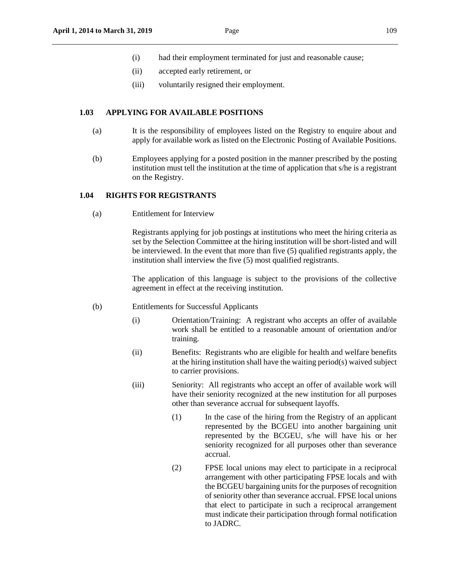- (i) had their employment terminated for just and reasonable cause;
- (ii) accepted early retirement, or
- (iii) voluntarily resigned their employment.

#### **1.03 APPLYING FOR AVAILABLE POSITIONS**

- (a) It is the responsibility of employees listed on the Registry to enquire about and apply for available work as listed on the Electronic Posting of Available Positions.
- (b) Employees applying for a posted position in the manner prescribed by the posting institution must tell the institution at the time of application that s/he is a registrant on the Registry.

#### **1.04 RIGHTS FOR REGISTRANTS**

(a) Entitlement for Interview

Registrants applying for job postings at institutions who meet the hiring criteria as set by the Selection Committee at the hiring institution will be short-listed and will be interviewed. In the event that more than five (5) qualified registrants apply, the institution shall interview the five (5) most qualified registrants.

The application of this language is subject to the provisions of the collective agreement in effect at the receiving institution.

- (b) Entitlements for Successful Applicants
	- (i) Orientation/Training: A registrant who accepts an offer of available work shall be entitled to a reasonable amount of orientation and/or training.
	- (ii) Benefits: Registrants who are eligible for health and welfare benefits at the hiring institution shall have the waiting period(s) waived subject to carrier provisions.
	- (iii) Seniority: All registrants who accept an offer of available work will have their seniority recognized at the new institution for all purposes other than severance accrual for subsequent layoffs.
		- (1) In the case of the hiring from the Registry of an applicant represented by the BCGEU into another bargaining unit represented by the BCGEU, s/he will have his or her seniority recognized for all purposes other than severance accrual.
		- (2) FPSE local unions may elect to participate in a reciprocal arrangement with other participating FPSE locals and with the BCGEU bargaining units for the purposes of recognition of seniority other than severance accrual. FPSE local unions that elect to participate in such a reciprocal arrangement must indicate their participation through formal notification to JADRC.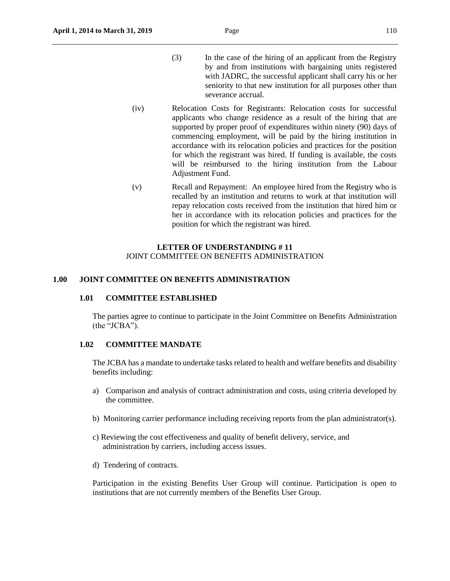- (3) In the case of the hiring of an applicant from the Registry by and from institutions with bargaining units registered with JADRC, the successful applicant shall carry his or her seniority to that new institution for all purposes other than severance accrual.
- (iv) Relocation Costs for Registrants: Relocation costs for successful applicants who change residence as a result of the hiring that are supported by proper proof of expenditures within ninety (90) days of commencing employment, will be paid by the hiring institution in accordance with its relocation policies and practices for the position for which the registrant was hired. If funding is available, the costs will be reimbursed to the hiring institution from the Labour Adjustment Fund.
- (v) Recall and Repayment: An employee hired from the Registry who is recalled by an institution and returns to work at that institution will repay relocation costs received from the institution that hired him or her in accordance with its relocation policies and practices for the position for which the registrant was hired.

## **LETTER OF UNDERSTANDING # 11** JOINT COMMITTEE ON BENEFITS ADMINISTRATION

#### **1.00 JOINT COMMITTEE ON BENEFITS ADMINISTRATION**

#### **1.01 COMMITTEE ESTABLISHED**

The parties agree to continue to participate in the Joint Committee on Benefits Administration (the "JCBA").

#### **1.02 COMMITTEE MANDATE**

The JCBA has a mandate to undertake tasks related to health and welfare benefits and disability benefits including:

- a) Comparison and analysis of contract administration and costs, using criteria developed by the committee.
- b) Monitoring carrier performance including receiving reports from the plan administrator(s).
- c) Reviewing the cost effectiveness and quality of benefit delivery, service, and administration by carriers, including access issues.
- d) Tendering of contracts.

Participation in the existing Benefits User Group will continue. Participation is open to institutions that are not currently members of the Benefits User Group.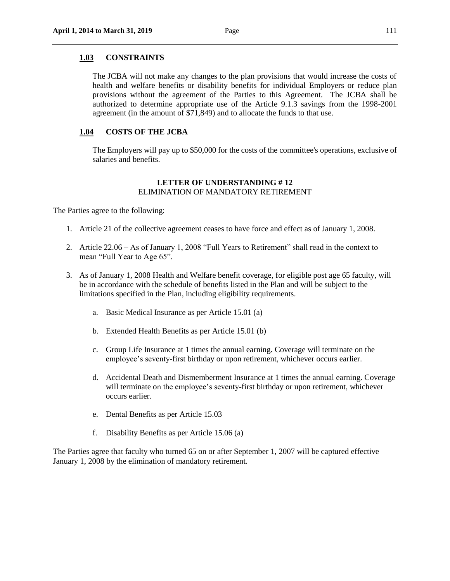#### **1.03 CONSTRAINTS**

The JCBA will not make any changes to the plan provisions that would increase the costs of health and welfare benefits or disability benefits for individual Employers or reduce plan provisions without the agreement of the Parties to this Agreement. The JCBA shall be authorized to determine appropriate use of the Article 9.1.3 savings from the 1998-2001 agreement (in the amount of \$71,849) and to allocate the funds to that use.

#### **1.04 COSTS OF THE JCBA**

The Employers will pay up to \$50,000 for the costs of the committee's operations, exclusive of salaries and benefits.

#### **LETTER OF UNDERSTANDING # 12** ELIMINATION OF MANDATORY RETIREMENT

The Parties agree to the following:

- 1. Article 21 of the collective agreement ceases to have force and effect as of January 1, 2008.
- 2. Article 22.06 As of January 1, 2008 "Full Years to Retirement" shall read in the context to mean "Full Year to Age 65".
- 3. As of January 1, 2008 Health and Welfare benefit coverage, for eligible post age 65 faculty, will be in accordance with the schedule of benefits listed in the Plan and will be subject to the limitations specified in the Plan, including eligibility requirements.
	- a. Basic Medical Insurance as per Article 15.01 (a)
	- b. Extended Health Benefits as per Article 15.01 (b)
	- c. Group Life Insurance at 1 times the annual earning. Coverage will terminate on the employee's seventy-first birthday or upon retirement, whichever occurs earlier.
	- d. Accidental Death and Dismemberment Insurance at 1 times the annual earning. Coverage will terminate on the employee's seventy-first birthday or upon retirement, whichever occurs earlier.
	- e. Dental Benefits as per Article 15.03
	- f. Disability Benefits as per Article 15.06 (a)

The Parties agree that faculty who turned 65 on or after September 1, 2007 will be captured effective January 1, 2008 by the elimination of mandatory retirement.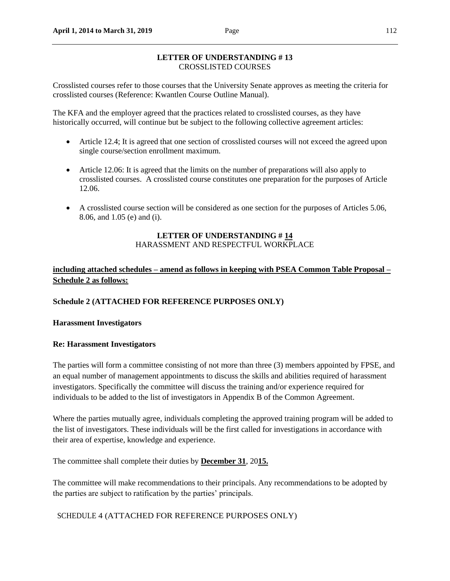## **LETTER OF UNDERSTANDING # 13** CROSSLISTED COURSES

Crosslisted courses refer to those courses that the University Senate approves as meeting the criteria for crosslisted courses (Reference: Kwantlen Course Outline Manual).

The KFA and the employer agreed that the practices related to crosslisted courses, as they have historically occurred, will continue but be subject to the following collective agreement articles:

- Article 12.4; It is agreed that one section of crosslisted courses will not exceed the agreed upon single course/section enrollment maximum.
- Article 12.06: It is agreed that the limits on the number of preparations will also apply to crosslisted courses. A crosslisted course constitutes one preparation for the purposes of Article 12.06.
- A crosslisted course section will be considered as one section for the purposes of Articles 5.06, 8.06, and 1.05 (e) and (i).

### **LETTER OF UNDERSTANDING # 14** HARASSMENT AND RESPECTFUL WORKPLACE

## **including attached schedules – amend as follows in keeping with PSEA Common Table Proposal – Schedule 2 as follows:**

### **Schedule 2 (ATTACHED FOR REFERENCE PURPOSES ONLY)**

### **Harassment Investigators**

### **Re: Harassment Investigators**

The parties will form a committee consisting of not more than three (3) members appointed by FPSE, and an equal number of management appointments to discuss the skills and abilities required of harassment investigators. Specifically the committee will discuss the training and/or experience required for individuals to be added to the list of investigators in Appendix B of the Common Agreement.

Where the parties mutually agree, individuals completing the approved training program will be added to the list of investigators. These individuals will be the first called for investigations in accordance with their area of expertise, knowledge and experience.

The committee shall complete their duties by **December 31**, 20**15.**

The committee will make recommendations to their principals. Any recommendations to be adopted by the parties are subject to ratification by the parties' principals.

SCHEDULE 4 (ATTACHED FOR REFERENCE PURPOSES ONLY)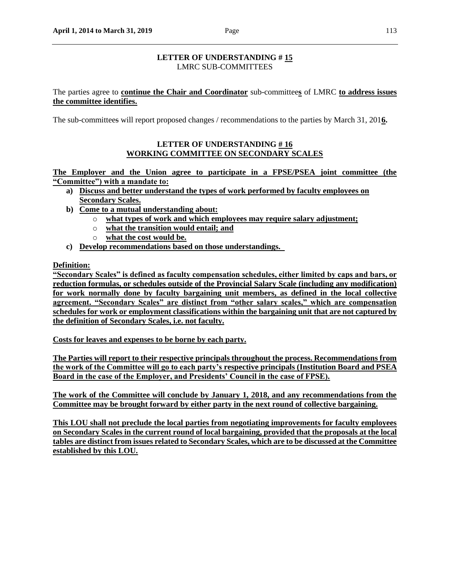## **LETTER OF UNDERSTANDING # 15** LMRC SUB-COMMITTEES

The parties agree to **continue the Chair and Coordinator** sub-committee**s** of LMRC **to address issues the committee identifies.**

The sub-committees will report proposed changes / recommendations to the parties by March 31, 201**6.**

### **LETTER OF UNDERSTANDING # 16 WORKING COMMITTEE ON SECONDARY SCALES**

**The Employer and the Union agree to participate in a FPSE/PSEA joint committee (the "Committee") with a mandate to:**

- **a) Discuss and better understand the types of work performed by faculty employees on Secondary Scales.**
- **b) Come to a mutual understanding about:**
	- o **what types of work and which employees may require salary adjustment;**
	- o **what the transition would entail; and**
	- o **what the cost would be.**
- **c) Develop recommendations based on those understandings.**

**Definition:**

**"Secondary Scales" is defined as faculty compensation schedules, either limited by caps and bars, or reduction formulas, or schedules outside of the Provincial Salary Scale (including any modification) for work normally done by faculty bargaining unit members, as defined in the local collective agreement. "Secondary Scales" are distinct from "other salary scales," which are compensation schedules for work or employment classifications within the bargaining unit that are not captured by the definition of Secondary Scales, i.e. not faculty.**

**Costs for leaves and expenses to be borne by each party.** 

**The Parties will report to their respective principals throughout the process. Recommendations from the work of the Committee will go to each party's respective principals (Institution Board and PSEA Board in the case of the Employer, and Presidents' Council in the case of FPSE).** 

**The work of the Committee will conclude by January 1, 2018, and any recommendations from the Committee may be brought forward by either party in the next round of collective bargaining.**

**This LOU shall not preclude the local parties from negotiating improvements for faculty employees on Secondary Scales in the current round of local bargaining, provided that the proposals at the local tables are distinct from issues related to Secondary Scales, which are to be discussed at the Committee established by this LOU.**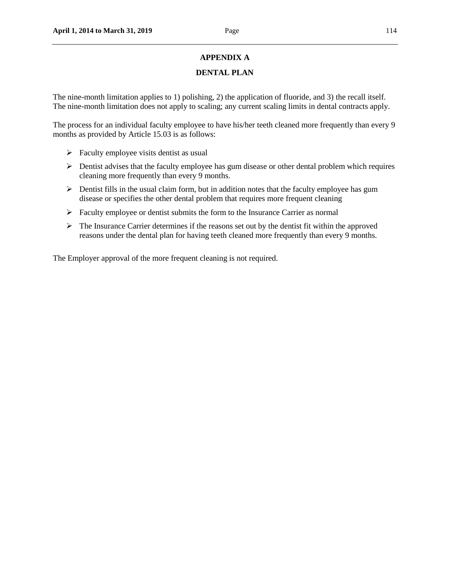## **APPENDIX A**

## **DENTAL PLAN**

The nine-month limitation applies to 1) polishing, 2) the application of fluoride, and 3) the recall itself. The nine-month limitation does not apply to scaling; any current scaling limits in dental contracts apply.

The process for an individual faculty employee to have his/her teeth cleaned more frequently than every 9 months as provided by Article 15.03 is as follows:

- $\triangleright$  Faculty employee visits dentist as usual
- $\triangleright$  Dentist advises that the faculty employee has gum disease or other dental problem which requires cleaning more frequently than every 9 months.
- $\triangleright$  Dentist fills in the usual claim form, but in addition notes that the faculty employee has gum disease or specifies the other dental problem that requires more frequent cleaning
- $\triangleright$  Faculty employee or dentist submits the form to the Insurance Carrier as normal
- $\triangleright$  The Insurance Carrier determines if the reasons set out by the dentist fit within the approved reasons under the dental plan for having teeth cleaned more frequently than every 9 months.

The Employer approval of the more frequent cleaning is not required.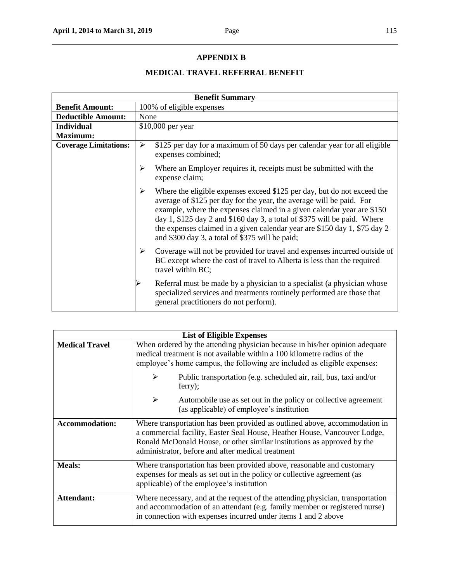# **APPENDIX B**

# **MEDICAL TRAVEL REFERRAL BENEFIT**

| <b>Benefit Summary</b>       |                                                                                                                                                                                                                                                                                                                                                                                                                                               |  |
|------------------------------|-----------------------------------------------------------------------------------------------------------------------------------------------------------------------------------------------------------------------------------------------------------------------------------------------------------------------------------------------------------------------------------------------------------------------------------------------|--|
| <b>Benefit Amount:</b>       | 100% of eligible expenses                                                                                                                                                                                                                                                                                                                                                                                                                     |  |
| <b>Deductible Amount:</b>    | None                                                                                                                                                                                                                                                                                                                                                                                                                                          |  |
| <b>Individual</b>            | \$10,000 per year                                                                                                                                                                                                                                                                                                                                                                                                                             |  |
| <b>Maximum:</b>              |                                                                                                                                                                                                                                                                                                                                                                                                                                               |  |
| <b>Coverage Limitations:</b> | \$125 per day for a maximum of 50 days per calendar year for all eligible<br>≻<br>expenses combined;                                                                                                                                                                                                                                                                                                                                          |  |
|                              | ➤<br>Where an Employer requires it, receipts must be submitted with the<br>expense claim;                                                                                                                                                                                                                                                                                                                                                     |  |
|                              | ≻<br>Where the eligible expenses exceed \$125 per day, but do not exceed the<br>average of \$125 per day for the year, the average will be paid. For<br>example, where the expenses claimed in a given calendar year are \$150<br>day 1, $$125$ day 2 and $$160$ day 3, a total of $$375$ will be paid. Where<br>the expenses claimed in a given calendar year are \$150 day 1, \$75 day 2<br>and \$300 day 3, a total of \$375 will be paid; |  |
|                              | ≻<br>Coverage will not be provided for travel and expenses incurred outside of<br>BC except where the cost of travel to Alberta is less than the required<br>travel within BC;                                                                                                                                                                                                                                                                |  |
|                              | Referral must be made by a physician to a specialist (a physician whose<br>specialized services and treatments routinely performed are those that<br>general practitioners do not perform).                                                                                                                                                                                                                                                   |  |

| <b>List of Eligible Expenses</b> |                                                                                                                                                                                                                                                                                         |  |
|----------------------------------|-----------------------------------------------------------------------------------------------------------------------------------------------------------------------------------------------------------------------------------------------------------------------------------------|--|
| <b>Medical Travel</b>            | When ordered by the attending physician because in his/her opinion adequate<br>medical treatment is not available within a 100 kilometre radius of the<br>employee's home campus, the following are included as eligible expenses:                                                      |  |
|                                  | ➤<br>Public transportation (e.g. scheduled air, rail, bus, taxi and/or<br>ferry);                                                                                                                                                                                                       |  |
|                                  | ➤<br>Automobile use as set out in the policy or collective agreement<br>(as applicable) of employee's institution                                                                                                                                                                       |  |
| <b>Accommodation:</b>            | Where transportation has been provided as outlined above, accommodation in<br>a commercial facility, Easter Seal House, Heather House, Vancouver Lodge,<br>Ronald McDonald House, or other similar institutions as approved by the<br>administrator, before and after medical treatment |  |
| <b>Meals:</b>                    | Where transportation has been provided above, reasonable and customary<br>expenses for meals as set out in the policy or collective agreement (as<br>applicable) of the employee's institution                                                                                          |  |
| <b>Attendant:</b>                | Where necessary, and at the request of the attending physician, transportation<br>and accommodation of an attendant (e.g. family member or registered nurse)<br>in connection with expenses incurred under items 1 and 2 above                                                          |  |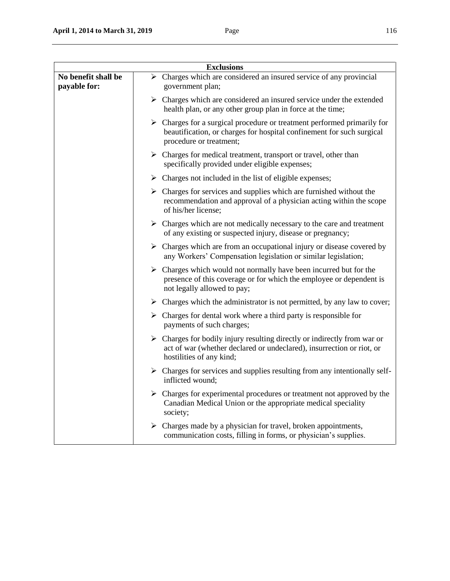|                                     | <b>Exclusions</b>                                                                                                                                                                            |
|-------------------------------------|----------------------------------------------------------------------------------------------------------------------------------------------------------------------------------------------|
| No benefit shall be<br>payable for: | $\triangleright$ Charges which are considered an insured service of any provincial<br>government plan;                                                                                       |
|                                     | $\triangleright$ Charges which are considered an insured service under the extended<br>health plan, or any other group plan in force at the time;                                            |
|                                     | $\triangleright$ Charges for a surgical procedure or treatment performed primarily for<br>beautification, or charges for hospital confinement for such surgical<br>procedure or treatment;   |
|                                     | $\triangleright$ Charges for medical treatment, transport or travel, other than<br>specifically provided under eligible expenses;                                                            |
|                                     | $\triangleright$ Charges not included in the list of eligible expenses;                                                                                                                      |
|                                     | $\triangleright$ Charges for services and supplies which are furnished without the<br>recommendation and approval of a physician acting within the scope<br>of his/her license;              |
|                                     | $\triangleright$ Charges which are not medically necessary to the care and treatment<br>of any existing or suspected injury, disease or pregnancy;                                           |
|                                     | $\triangleright$ Charges which are from an occupational injury or disease covered by<br>any Workers' Compensation legislation or similar legislation;                                        |
|                                     | $\triangleright$ Charges which would not normally have been incurred but for the<br>presence of this coverage or for which the employee or dependent is<br>not legally allowed to pay;       |
|                                     | $\triangleright$ Charges which the administrator is not permitted, by any law to cover;                                                                                                      |
|                                     | $\triangleright$ Charges for dental work where a third party is responsible for<br>payments of such charges;                                                                                 |
|                                     | $\triangleright$ Charges for bodily injury resulting directly or indirectly from war or<br>act of war (whether declared or undeclared), insurrection or riot, or<br>hostilities of any kind; |
|                                     | $\triangleright$ Charges for services and supplies resulting from any intentionally self-<br>inflicted wound;                                                                                |
|                                     | Charges for experimental procedures or treatment not approved by the<br>Canadian Medical Union or the appropriate medical speciality<br>society;                                             |
|                                     | $\triangleright$ Charges made by a physician for travel, broken appointments,<br>communication costs, filling in forms, or physician's supplies.                                             |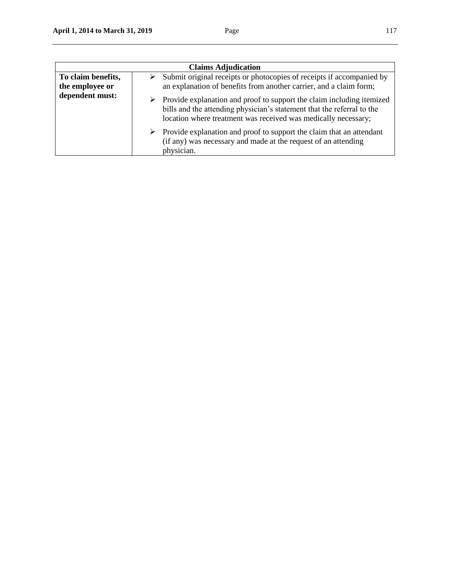| <b>Claims Adjudication</b>            |                                                                                                                                                                                                                                    |  |
|---------------------------------------|------------------------------------------------------------------------------------------------------------------------------------------------------------------------------------------------------------------------------------|--|
| To claim benefits,<br>the employee or | Submit original receipts or photocopies of receipts if accompanied by<br>➤<br>an explanation of benefits from another carrier, and a claim form;                                                                                   |  |
| dependent must:                       | $\triangleright$ Provide explanation and proof to support the claim including itemized<br>bills and the attending physician's statement that the referral to the<br>location where treatment was received was medically necessary; |  |
|                                       | $\triangleright$ Provide explanation and proof to support the claim that an attendant<br>(if any) was necessary and made at the request of an attending<br>physician.                                                              |  |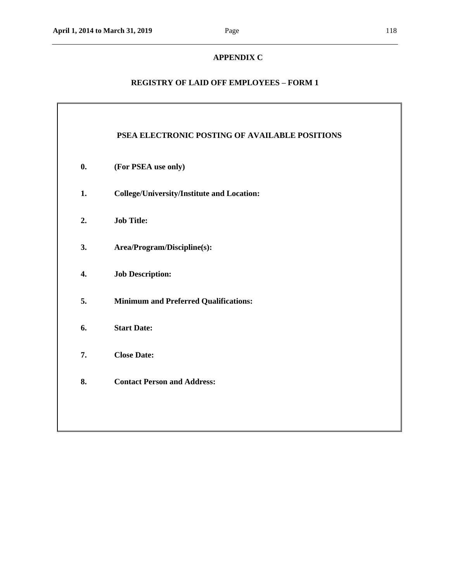# **APPENDIX C**

# **REGISTRY OF LAID OFF EMPLOYEES – FORM 1**

|                | PSEA ELECTRONIC POSTING OF AVAILABLE POSITIONS    |
|----------------|---------------------------------------------------|
| $\mathbf{0}$ . | (For PSEA use only)                               |
| 1.             | <b>College/University/Institute and Location:</b> |
| 2.             | <b>Job Title:</b>                                 |
| 3.             | Area/Program/Discipline(s):                       |
| 4.             | <b>Job Description:</b>                           |
| 5.             | <b>Minimum and Preferred Qualifications:</b>      |
| 6.             | <b>Start Date:</b>                                |
| 7.             | <b>Close Date:</b>                                |
| 8.             | <b>Contact Person and Address:</b>                |
|                |                                                   |

 $\overline{\mathbf{I}}$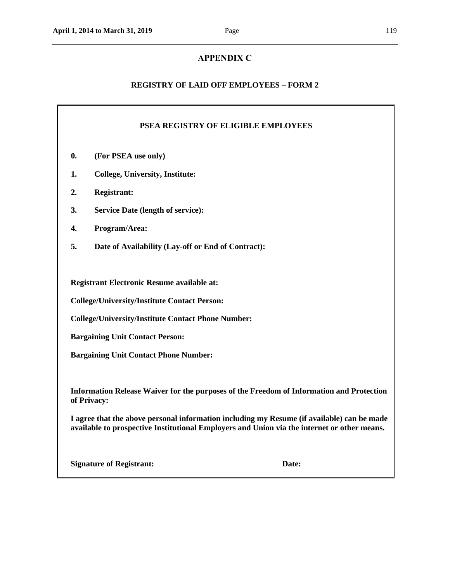## **APPENDIX C**

## **REGISTRY OF LAID OFF EMPLOYEES – FORM 2**

### **PSEA REGISTRY OF ELIGIBLE EMPLOYEES**

- **0. (For PSEA use only)**
- **1. College, University, Institute:**
- **2. Registrant:**
- **3. Service Date (length of service):**
- **4. Program/Area:**
- **5. Date of Availability (Lay-off or End of Contract):**

**Registrant Electronic Resume available at:**

**College/University/Institute Contact Person:**

**College/University/Institute Contact Phone Number:**

**Bargaining Unit Contact Person:**

**Bargaining Unit Contact Phone Number:**

**Information Release Waiver for the purposes of the Freedom of Information and Protection of Privacy:**

**I agree that the above personal information including my Resume (if available) can be made available to prospective Institutional Employers and Union via the internet or other means.**

**Signature of Registrant: Date:**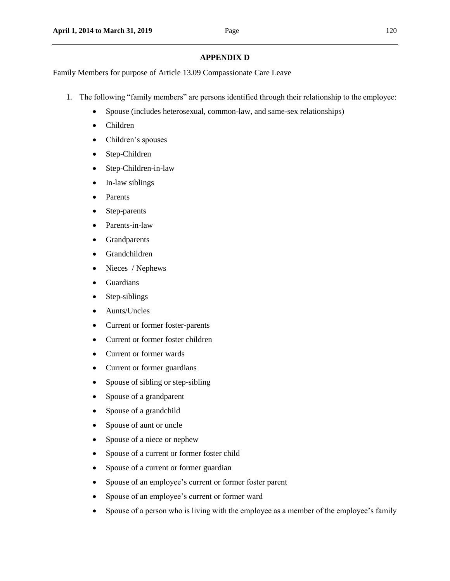### **APPENDIX D**

Family Members for purpose of Article 13.09 Compassionate Care Leave

- 1. The following "family members" are persons identified through their relationship to the employee:
	- Spouse (includes heterosexual, common-law, and same-sex relationships)
	- Children
	- Children's spouses
	- Step-Children
	- Step-Children-in-law
	- In-law siblings
	- Parents
	- Step-parents
	- Parents-in-law
	- Grandparents
	- Grandchildren
	- Nieces / Nephews
	- Guardians
	- Step-siblings
	- Aunts/Uncles
	- Current or former foster-parents
	- Current or former foster children
	- Current or former wards
	- Current or former guardians
	- Spouse of sibling or step-sibling
	- Spouse of a grandparent
	- Spouse of a grandchild
	- Spouse of aunt or uncle
	- Spouse of a niece or nephew
	- Spouse of a current or former foster child
	- Spouse of a current or former guardian
	- Spouse of an employee's current or former foster parent
	- Spouse of an employee's current or former ward
	- Spouse of a person who is living with the employee as a member of the employee's family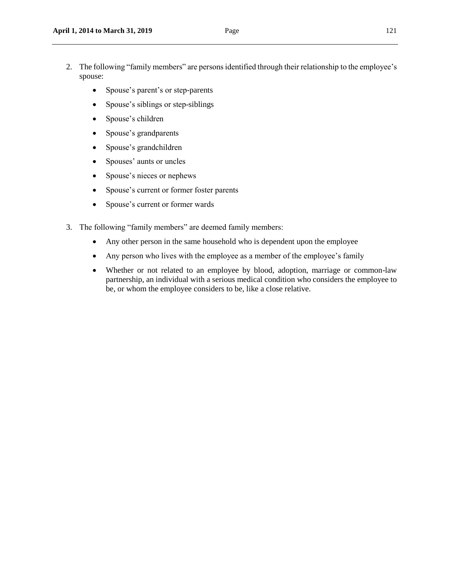- 2. The following "family members" are persons identified through their relationship to the employee's spouse:
	- Spouse's parent's or step-parents
	- Spouse's siblings or step-siblings
	- Spouse's children
	- Spouse's grandparents
	- Spouse's grandchildren
	- Spouses' aunts or uncles
	- Spouse's nieces or nephews
	- Spouse's current or former foster parents
	- Spouse's current or former wards
- 3. The following "family members" are deemed family members:
	- Any other person in the same household who is dependent upon the employee
	- Any person who lives with the employee as a member of the employee's family
	- Whether or not related to an employee by blood, adoption, marriage or common-law partnership, an individual with a serious medical condition who considers the employee to be, or whom the employee considers to be, like a close relative.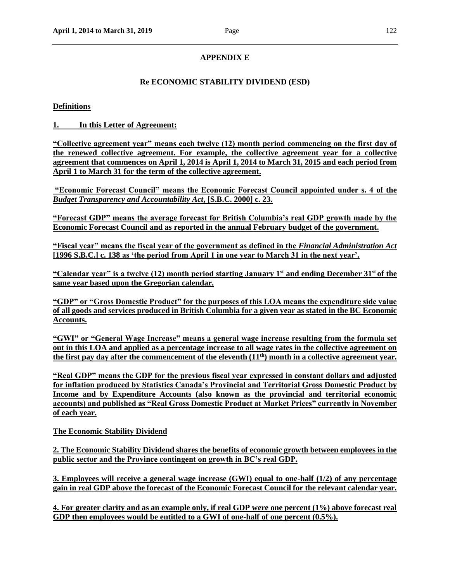## **APPENDIX E**

### **Re ECONOMIC STABILITY DIVIDEND (ESD)**

#### **Definitions**

**1. In this Letter of Agreement:**

**"Collective agreement year" means each twelve (12) month period commencing on the first day of the renewed collective agreement. For example, the collective agreement year for a collective agreement that commences on April 1, 2014 is April 1, 2014 to March 31, 2015 and each period from April 1 to March 31 for the term of the collective agreement.**

**"Economic Forecast Council" means the Economic Forecast Council appointed under s. 4 of the**  *Budget Transparency and Accountability Act***, [S.B.C. 2000] c. 23.**

**"Forecast GDP" means the average forecast for British Columbia's real GDP growth made by the Economic Forecast Council and as reported in the annual February budget of the government.**

**"Fiscal year" means the fiscal year of the government as defined in the** *Financial Administration Act* **[1996 S.B.C.] c. 138 as 'the period from April 1 in one year to March 31 in the next year'.**

**"Calendar year" is a twelve (12) month period starting January 1st and ending December 31st of the same year based upon the Gregorian calendar.**

**"GDP" or "Gross Domestic Product" for the purposes of this LOA means the expenditure side value of all goods and services produced in British Columbia for a given year as stated in the BC Economic Accounts.**

**"GWI" or "General Wage Increase" means a general wage increase resulting from the formula set out in this LOA and applied as a percentage increase to all wage rates in the collective agreement on the first pay day after the commencement of the eleventh (11th) month in a collective agreement year.**

**"Real GDP" means the GDP for the previous fiscal year expressed in constant dollars and adjusted for inflation produced by Statistics Canada's Provincial and Territorial Gross Domestic Product by Income and by Expenditure Accounts (also known as the provincial and territorial economic accounts) and published as "Real Gross Domestic Product at Market Prices" currently in November of each year.**

**The Economic Stability Dividend**

**2. The Economic Stability Dividend shares the benefits of economic growth between employees in the public sector and the Province contingent on growth in BC's real GDP.**

**3. Employees will receive a general wage increase (GWI) equal to one-half (1/2) of any percentage gain in real GDP above the forecast of the Economic Forecast Council for the relevant calendar year.**

**4. For greater clarity and as an example only, if real GDP were one percent (1%) above forecast real GDP then employees would be entitled to a GWI of one-half of one percent (0.5%).**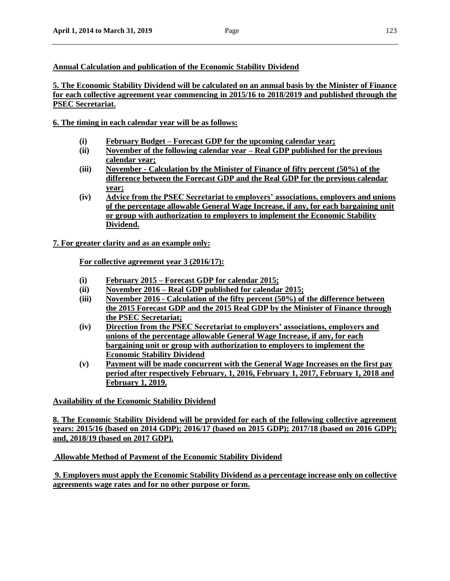## **Annual Calculation and publication of the Economic Stability Dividend**

**5. The Economic Stability Dividend will be calculated on an annual basis by the Minister of Finance for each collective agreement year commencing in 2015/16 to 2018/2019 and published through the PSEC Secretariat.**

**6. The timing in each calendar year will be as follows:**

- **(i) February Budget – Forecast GDP for the upcoming calendar year;**
- **(ii) November of the following calendar year – Real GDP published for the previous calendar year;**
- **(iii) November - Calculation by the Minister of Finance of fifty percent (50%) of the difference between the Forecast GDP and the Real GDP for the previous calendar year;**
- **(iv) Advice from the PSEC Secretariat to employers' associations, employers and unions of the percentage allowable General Wage Increase, if any, for each bargaining unit or group with authorization to employers to implement the Economic Stability Dividend.**

**7. For greater clarity and as an example only:**

**For collective agreement year 3 (2016/17):**

- **(i) February 2015 – Forecast GDP for calendar 2015;**
- **(ii) November 2016 – Real GDP published for calendar 2015;**
- **(iii) November 2016 - Calculation of the fifty percent (50%) of the difference between the 2015 Forecast GDP and the 2015 Real GDP by the Minister of Finance through the PSEC Secretariat;**
- **(iv) Direction from the PSEC Secretariat to employers' associations, employers and unions of the percentage allowable General Wage Increase, if any, for each bargaining unit or group with authorization to employers to implement the Economic Stability Dividend**
- **(v) Payment will be made concurrent with the General Wage Increases on the first pay period after respectively February, 1, 2016, February 1, 2017, February 1, 2018 and February 1, 2019.**

**Availability of the Economic Stability Dividend**

**8. The Economic Stability Dividend will be provided for each of the following collective agreement years: 2015/16 (based on 2014 GDP); 2016/17 (based on 2015 GDP); 2017/18 (based on 2016 GDP); and, 2018/19 (based on 2017 GDP).**

**Allowable Method of Payment of the Economic Stability Dividend**

**9. Employers must apply the Economic Stability Dividend as a percentage increase only on collective agreements wage rates and for no other purpose or form.**